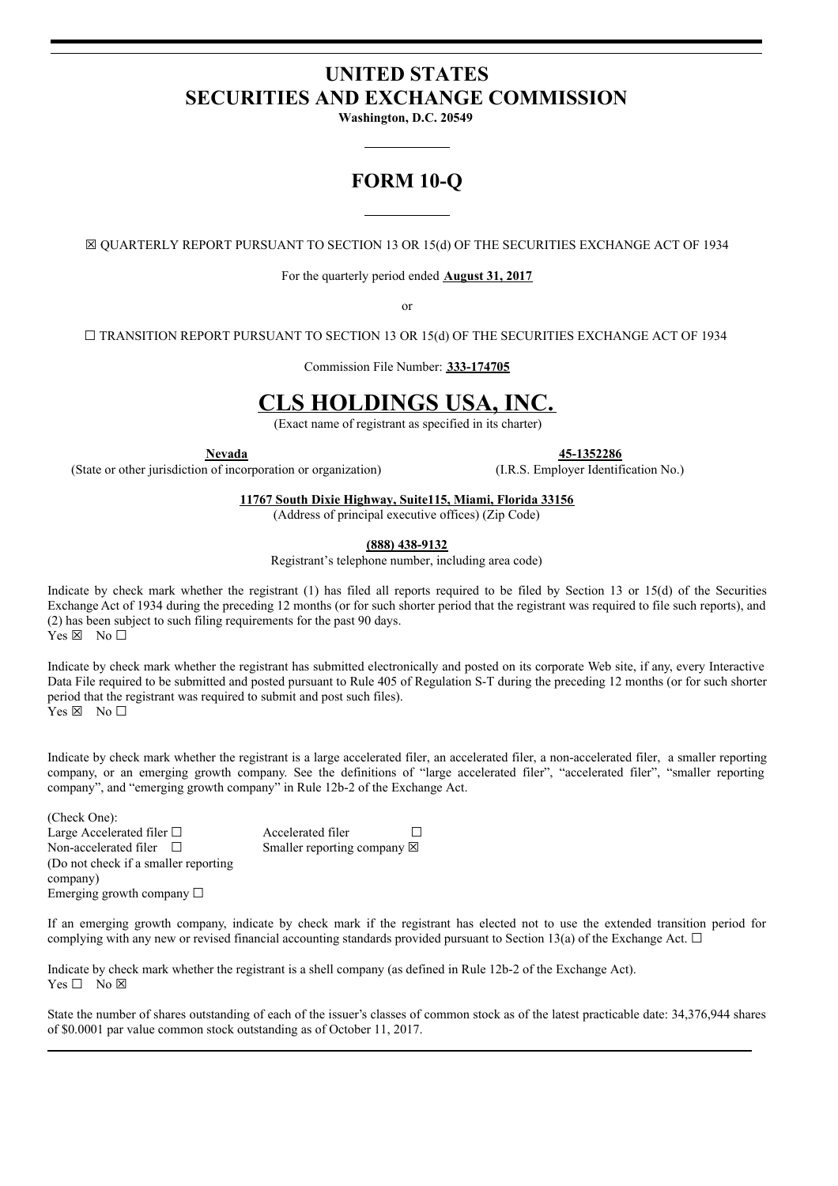# **UNITED STATES SECURITIES AND EXCHANGE COMMISSION**

**Washington, D.C. 20549**

# **FORM 10-Q**

☒ QUARTERLY REPORT PURSUANT TO SECTION 13 OR 15(d) OF THE SECURITIES EXCHANGE ACT OF 1934

For the quarterly period ended **August 31, 2017**

or

☐ TRANSITION REPORT PURSUANT TO SECTION 13 OR 15(d) OF THE SECURITIES EXCHANGE ACT OF 1934

Commission File Number: **333-174705**

# **CLS HOLDINGS USA, INC.**

(Exact name of registrant as specified in its charter)

**Nevada 45-1352286**

(State or other jurisdiction of incorporation or organization) (I.R.S. Employer Identification No.)

**11767 South Dixie Highway, Suite115, Miami, Florida 33156**

(Address of principal executive offices) (Zip Code)

**(888) 438-9132**

Registrant's telephone number, including area code)

Indicate by check mark whether the registrant (1) has filed all reports required to be filed by Section 13 or 15(d) of the Securities Exchange Act of 1934 during the preceding 12 months (or for such shorter period that the registrant was required to file such reports), and (2) has been subject to such filing requirements for the past 90 days.  $Yes \boxtimes No \Box$ 

Indicate by check mark whether the registrant has submitted electronically and posted on its corporate Web site, if any, every Interactive Data File required to be submitted and posted pursuant to Rule 405 of Regulation S-T during the preceding 12 months (or for such shorter period that the registrant was required to submit and post such files). Yes ⊠ No □

Indicate by check mark whether the registrant is a large accelerated filer, an accelerated filer, a non-accelerated filer, a smaller reporting company, or an emerging growth company. See the definitions of "large accelerated filer", "accelerated filer", "smaller reporting company", and "emerging growth company" in Rule 12b-2 of the Exchange Act.

(Check One): Large Accelerated filer □ Accelerated filer □ Non-accelerated filer  $□$ (Do not check if a smaller reporting company) Smaller reporting company  $\boxtimes$ Emerging growth company  $\Box$ 

If an emerging growth company, indicate by check mark if the registrant has elected not to use the extended transition period for complying with any new or revised financial accounting standards provided pursuant to Section 13(a) of the Exchange Act.  $\Box$ 

Indicate by check mark whether the registrant is a shell company (as defined in Rule 12b-2 of the Exchange Act). Yes □ No ⊠

State the number of shares outstanding of each of the issuer's classes of common stock as of the latest practicable date: 34,376,944 shares of \$0.0001 par value common stock outstanding as of October 11, 2017.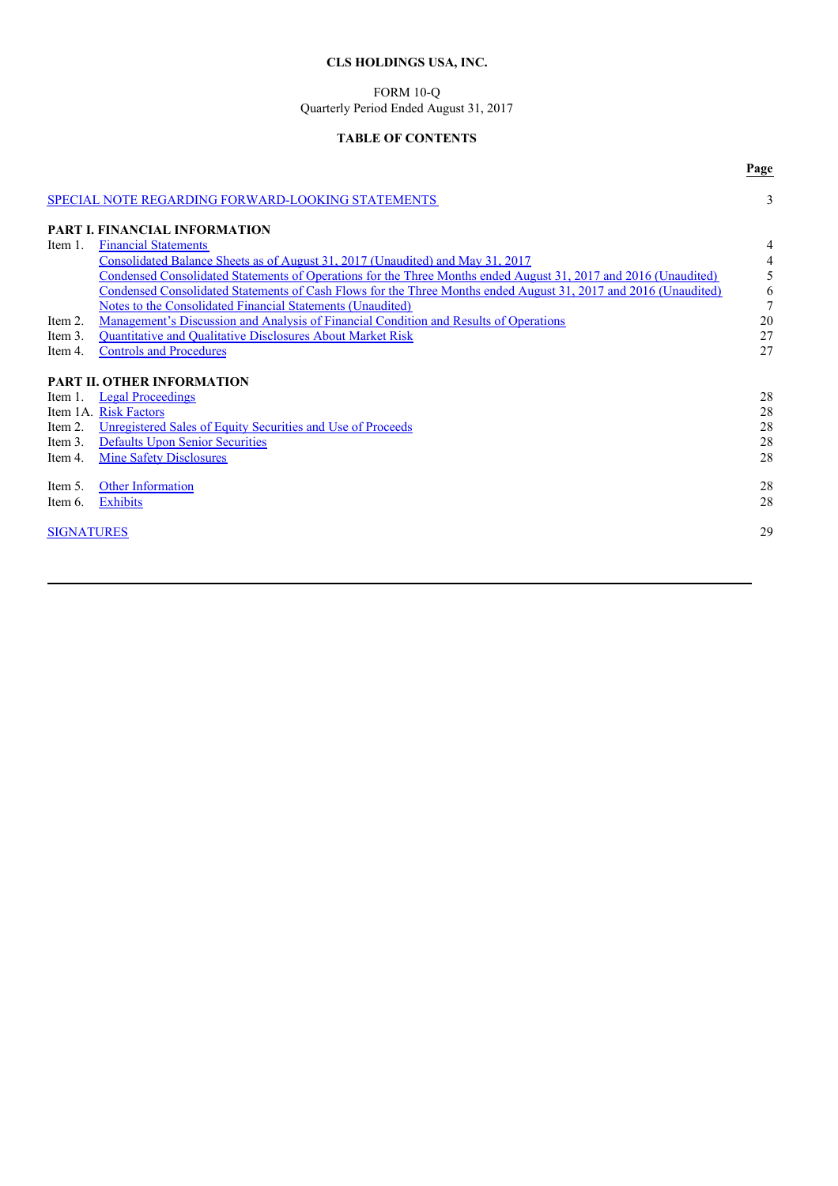# **CLS HOLDINGS USA, INC.**

### FORM 10-Q Quarterly Period Ended August 31, 2017

# **TABLE OF CONTENTS**

**Page**

|                   | <b>SPECIAL NOTE REGARDING FORWARD-LOOKING STATEMENTS</b>                                                        | 3              |
|-------------------|-----------------------------------------------------------------------------------------------------------------|----------------|
|                   | PART I. FINANCIAL INFORMATION                                                                                   |                |
| Item 1.           | <b>Financial Statements</b>                                                                                     | 4              |
|                   | Consolidated Balance Sheets as of August 31, 2017 (Unaudited) and May 31, 2017                                  | 4              |
|                   | Condensed Consolidated Statements of Operations for the Three Months ended August 31, 2017 and 2016 (Unaudited) | 5              |
|                   | Condensed Consolidated Statements of Cash Flows for the Three Months ended August 31, 2017 and 2016 (Unaudited) | 6              |
|                   | Notes to the Consolidated Financial Statements (Unaudited)                                                      | $\overline{7}$ |
| Item 2.           | Management's Discussion and Analysis of Financial Condition and Results of Operations                           | 20             |
| Item 3.           | <b>Ouantitative and Qualitative Disclosures About Market Risk</b>                                               | 27             |
| Item 4.           | <b>Controls and Procedures</b>                                                                                  | 27             |
|                   |                                                                                                                 |                |
|                   | <b>PART II. OTHER INFORMATION</b>                                                                               |                |
| Item 1.           | <b>Legal Proceedings</b>                                                                                        | 28             |
|                   | Item 1A. Risk Factors                                                                                           | 28             |
| Item 2.           | Unregistered Sales of Equity Securities and Use of Proceeds                                                     | 28             |
| Item 3.           | <b>Defaults Upon Senior Securities</b>                                                                          | 28             |
| Item 4.           | <b>Mine Safety Disclosures</b>                                                                                  | 28             |
|                   |                                                                                                                 |                |
| Item 5.           | <b>Other Information</b>                                                                                        | 28             |
| Item 6.           | <b>Exhibits</b>                                                                                                 | 28             |
|                   |                                                                                                                 |                |
| <b>SIGNATURES</b> |                                                                                                                 | 29             |
|                   |                                                                                                                 |                |
|                   |                                                                                                                 |                |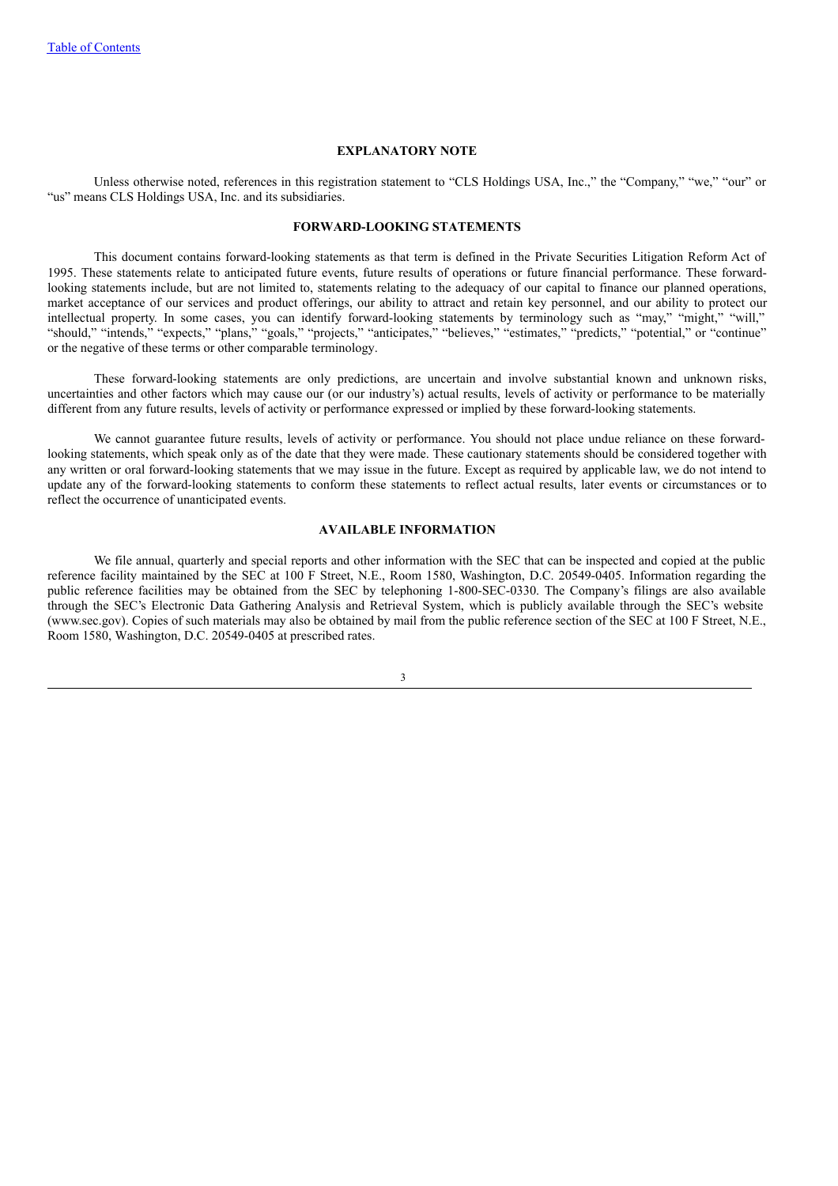## **EXPLANATORY NOTE**

Unless otherwise noted, references in this registration statement to "CLS Holdings USA, Inc.," the "Company," "we," "our" or "us" means CLS Holdings USA, Inc. and its subsidiaries.

# **FORWARD-LOOKING STATEMENTS**

This document contains forward-looking statements as that term is defined in the Private Securities Litigation Reform Act of 1995. These statements relate to anticipated future events, future results of operations or future financial performance. These forwardlooking statements include, but are not limited to, statements relating to the adequacy of our capital to finance our planned operations, market acceptance of our services and product offerings, our ability to attract and retain key personnel, and our ability to protect our intellectual property. In some cases, you can identify forward-looking statements by terminology such as "may," "might," "will," "should," "intends," "expects," "plans," "goals," "projects," "anticipates," "believes," "estimates," "predicts," "potential," or "continue" or the negative of these terms or other comparable terminology.

These forward-looking statements are only predictions, are uncertain and involve substantial known and unknown risks, uncertainties and other factors which may cause our (or our industry's) actual results, levels of activity or performance to be materially different from any future results, levels of activity or performance expressed or implied by these forward-looking statements.

We cannot guarantee future results, levels of activity or performance. You should not place undue reliance on these forwardlooking statements, which speak only as of the date that they were made. These cautionary statements should be considered together with any written or oral forward-looking statements that we may issue in the future. Except as required by applicable law, we do not intend to update any of the forward-looking statements to conform these statements to reflect actual results, later events or circumstances or to reflect the occurrence of unanticipated events.

## **AVAILABLE INFORMATION**

We file annual, quarterly and special reports and other information with the SEC that can be inspected and copied at the public reference facility maintained by the SEC at 100 F Street, N.E., Room 1580, Washington, D.C. 20549-0405. Information regarding the public reference facilities may be obtained from the SEC by telephoning 1-800-SEC-0330. The Company's filings are also available through the SEC's Electronic Data Gathering Analysis and Retrieval System, which is publicly available through the SEC's website (www.sec.gov). Copies of such materials may also be obtained by mail from the public reference section of the SEC at 100 F Street, N.E., Room 1580, Washington, D.C. 20549-0405 at prescribed rates.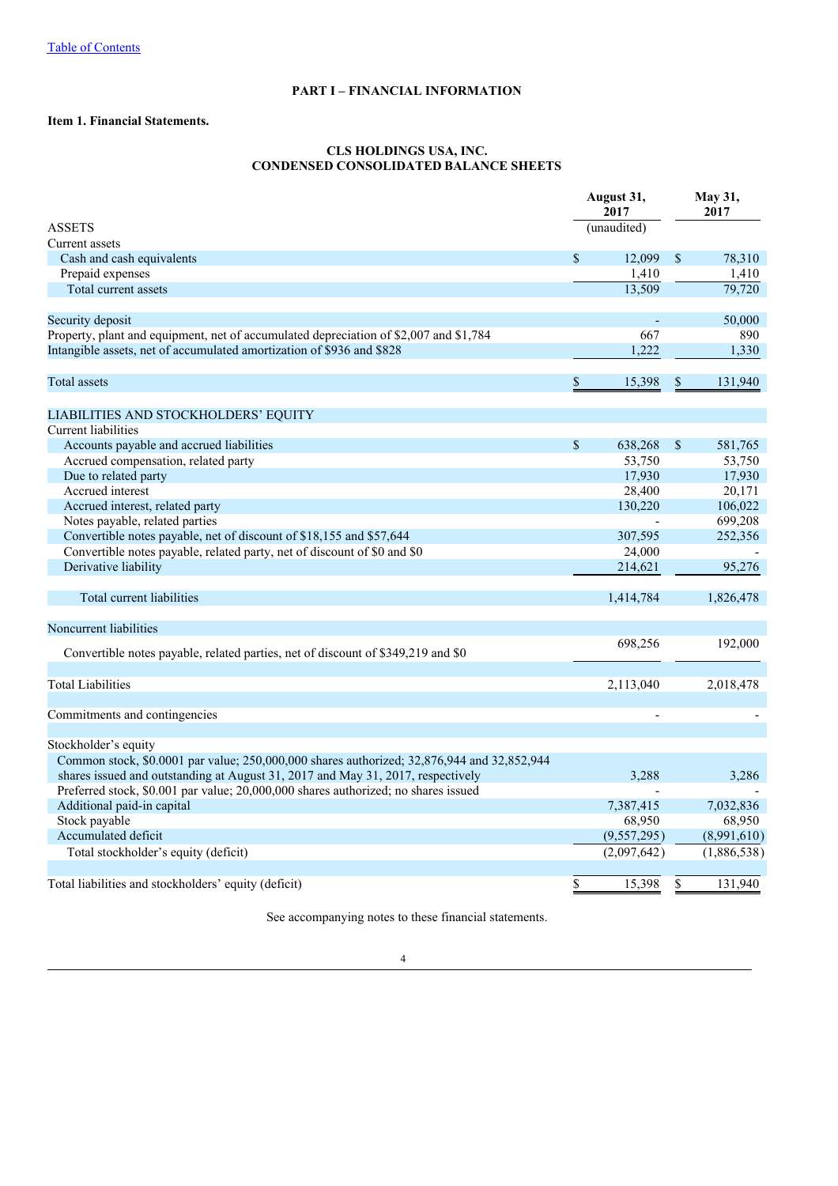# **PART I – FINANCIAL INFORMATION**

# **Item 1. Financial Statements.**

# **CLS HOLDINGS USA, INC. CONDENSED CONSOLIDATED BALANCE SHEETS**

|                                                                                            |              | August 31,<br>2017 | May 31,<br>2017 |             |
|--------------------------------------------------------------------------------------------|--------------|--------------------|-----------------|-------------|
| <b>ASSETS</b>                                                                              |              | (unaudited)        |                 |             |
| Current assets                                                                             |              |                    |                 |             |
| Cash and cash equivalents                                                                  | \$           | 12,099             | \$              | 78,310      |
| Prepaid expenses                                                                           |              | 1,410              |                 | 1,410       |
| Total current assets                                                                       |              | 13,509             |                 | 79,720      |
| Security deposit                                                                           |              |                    |                 | 50,000      |
| Property, plant and equipment, net of accumulated depreciation of \$2,007 and \$1,784      |              | 667                |                 | 890         |
| Intangible assets, net of accumulated amortization of \$936 and \$828                      |              | 1,222              |                 | 1,330       |
| <b>Total</b> assets                                                                        | \$           | 15,398             | \$              | 131,940     |
| LIABILITIES AND STOCKHOLDERS' EQUITY                                                       |              |                    |                 |             |
| Current liabilities                                                                        |              |                    |                 |             |
| Accounts payable and accrued liabilities                                                   | $\mathbb{S}$ | 638,268            | \$              | 581,765     |
| Accrued compensation, related party                                                        |              | 53,750             |                 | 53,750      |
| Due to related party                                                                       |              | 17,930             |                 | 17,930      |
| Accrued interest                                                                           |              | 28,400             |                 | 20,171      |
| Accrued interest, related party                                                            |              | 130,220            |                 | 106,022     |
| Notes payable, related parties                                                             |              |                    |                 | 699,208     |
| Convertible notes payable, net of discount of \$18,155 and \$57,644                        |              | 307,595            |                 | 252,356     |
| Convertible notes payable, related party, net of discount of \$0 and \$0                   |              | 24,000             |                 |             |
| Derivative liability                                                                       |              | 214,621            |                 | 95,276      |
|                                                                                            |              |                    |                 |             |
| Total current liabilities                                                                  |              | 1,414,784          |                 | 1,826,478   |
| Noncurrent liabilities                                                                     |              |                    |                 |             |
| Convertible notes payable, related parties, net of discount of \$349,219 and \$0           |              | 698,256            |                 | 192,000     |
| <b>Total Liabilities</b>                                                                   |              | 2,113,040          |                 | 2,018,478   |
|                                                                                            |              |                    |                 |             |
| Commitments and contingencies                                                              |              |                    |                 |             |
| Stockholder's equity                                                                       |              |                    |                 |             |
| Common stock, \$0.0001 par value; 250,000,000 shares authorized; 32,876,944 and 32,852,944 |              |                    |                 |             |
| shares issued and outstanding at August 31, 2017 and May 31, 2017, respectively            |              | 3,288              |                 | 3,286       |
| Preferred stock, \$0.001 par value; 20,000,000 shares authorized; no shares issued         |              |                    |                 |             |
| Additional paid-in capital                                                                 |              | 7,387,415          |                 | 7,032,836   |
| Stock payable                                                                              |              | 68,950             |                 | 68,950      |
| Accumulated deficit                                                                        |              | (9,557,295)        |                 | (8,991,610) |
| Total stockholder's equity (deficit)                                                       |              | (2,097,642)        |                 | (1,886,538) |
|                                                                                            |              |                    |                 |             |
| Total liabilities and stockholders' equity (deficit)                                       | \$           | 15,398             | \$              | 131,940     |

See accompanying notes to these financial statements.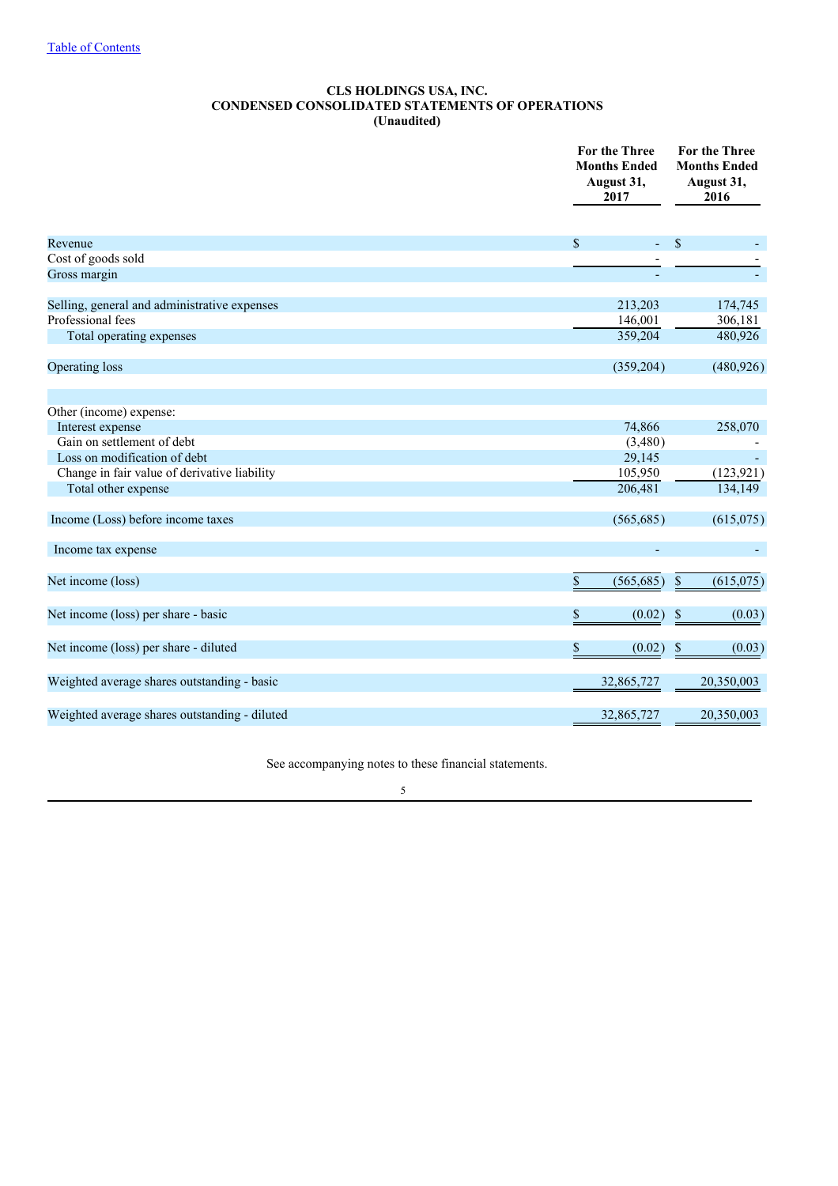# **CLS HOLDINGS USA, INC. CONDENSED CONSOLIDATED STATEMENTS OF OPERATIONS (Unaudited)**

|                                               | <b>For the Three</b><br><b>Months Ended</b><br>August 31,<br>2017 | For the Three<br><b>Months Ended</b><br>August 31,<br>2016 |
|-----------------------------------------------|-------------------------------------------------------------------|------------------------------------------------------------|
| Revenue                                       | \$<br>ä,                                                          | $\mathcal{S}$                                              |
| Cost of goods sold                            |                                                                   |                                                            |
| Gross margin                                  |                                                                   |                                                            |
| Selling, general and administrative expenses  | 213,203                                                           | 174,745                                                    |
| Professional fees                             | 146,001                                                           | 306,181                                                    |
| Total operating expenses                      | 359,204                                                           | 480,926                                                    |
| Operating loss                                | (359,204)                                                         | (480, 926)                                                 |
| Other (income) expense:                       |                                                                   |                                                            |
| Interest expense                              | 74,866                                                            | 258,070                                                    |
| Gain on settlement of debt                    | (3,480)                                                           |                                                            |
| Loss on modification of debt                  | 29,145                                                            |                                                            |
| Change in fair value of derivative liability  | 105,950                                                           | (123, 921)                                                 |
| Total other expense                           | 206,481                                                           | 134,149                                                    |
| Income (Loss) before income taxes             | (565, 685)                                                        | (615,075)                                                  |
| Income tax expense                            |                                                                   |                                                            |
| Net income (loss)                             | \$<br>(565, 685)                                                  | $\mathcal{S}$<br>(615,075)                                 |
| Net income (loss) per share - basic           | \$<br>(0.02)                                                      | \$<br>(0.03)                                               |
| Net income (loss) per share - diluted         | \$<br>(0.02)                                                      | <sup>\$</sup><br>(0.03)                                    |
| Weighted average shares outstanding - basic   | 32,865,727                                                        | 20,350,003                                                 |
| Weighted average shares outstanding - diluted | 32,865,727                                                        | 20,350,003                                                 |
|                                               |                                                                   |                                                            |

See accompanying notes to these financial statements.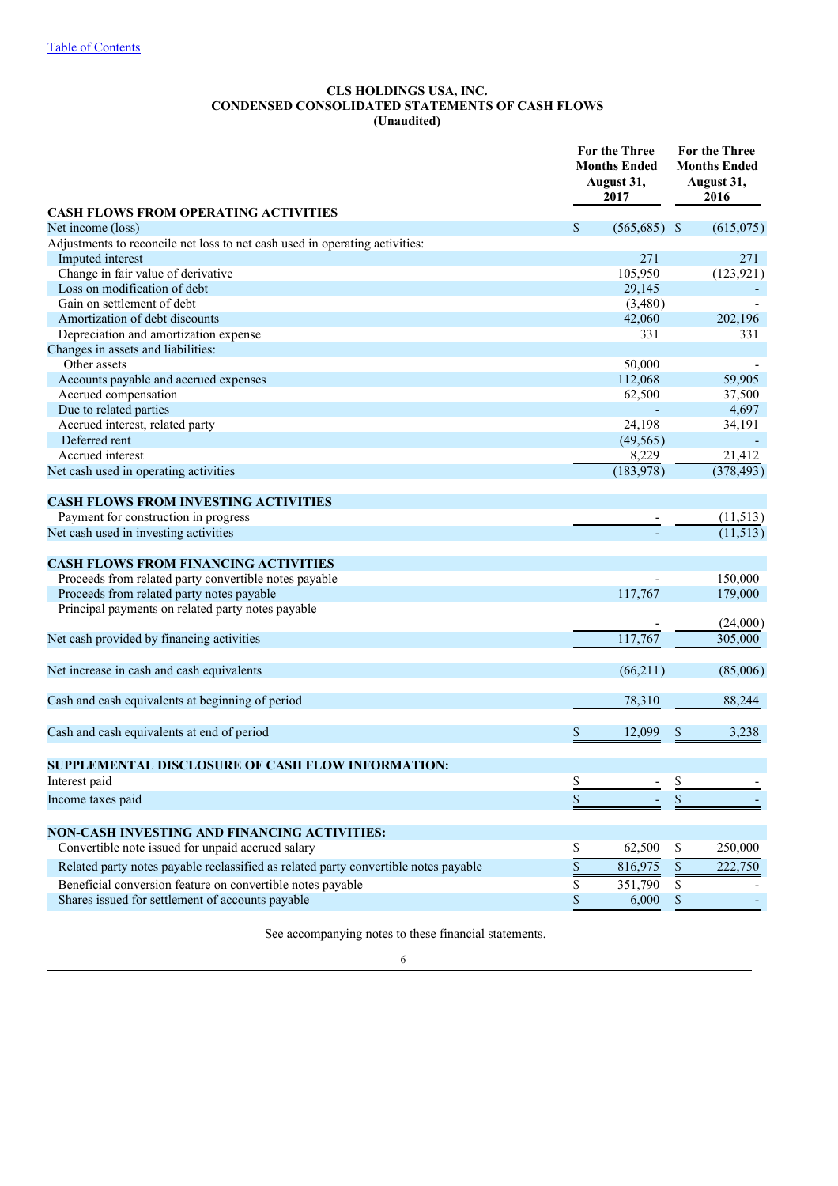# **CLS HOLDINGS USA, INC. CONDENSED CONSOLIDATED STATEMENTS OF CASH FLOWS (Unaudited)**

|                                                                                     |              | <b>For the Three</b><br><b>Months Ended</b><br>August 31,<br>2017 | <b>For the Three</b><br><b>Months Ended</b><br>August 31,<br>2016 |            |
|-------------------------------------------------------------------------------------|--------------|-------------------------------------------------------------------|-------------------------------------------------------------------|------------|
| <b>CASH FLOWS FROM OPERATING ACTIVITIES</b><br>Net income (loss)                    | $\mathbb{S}$ | $(565,685)$ \$                                                    |                                                                   | (615,075)  |
| Adjustments to reconcile net loss to net cash used in operating activities:         |              |                                                                   |                                                                   |            |
| Imputed interest                                                                    |              | 271                                                               |                                                                   | 271        |
| Change in fair value of derivative                                                  |              | 105,950                                                           |                                                                   | (123, 921) |
| Loss on modification of debt                                                        |              | 29,145                                                            |                                                                   |            |
| Gain on settlement of debt                                                          |              | (3,480)                                                           |                                                                   |            |
| Amortization of debt discounts                                                      |              | 42,060                                                            |                                                                   | 202,196    |
| Depreciation and amortization expense                                               |              | 331                                                               |                                                                   | 331        |
| Changes in assets and liabilities:                                                  |              |                                                                   |                                                                   |            |
| Other assets                                                                        |              | 50,000                                                            |                                                                   |            |
| Accounts payable and accrued expenses                                               |              | 112,068                                                           |                                                                   | 59,905     |
| Accrued compensation                                                                |              | 62,500                                                            |                                                                   | 37,500     |
| Due to related parties                                                              |              |                                                                   |                                                                   | 4,697      |
| Accrued interest, related party                                                     |              | 24,198                                                            |                                                                   | 34,191     |
| Deferred rent                                                                       |              | (49, 565)                                                         |                                                                   |            |
| Accrued interest                                                                    |              | 8,229                                                             |                                                                   | 21,412     |
| Net cash used in operating activities                                               |              | (183,978)                                                         |                                                                   | (378, 493) |
| <b>CASH FLOWS FROM INVESTING ACTIVITIES</b>                                         |              |                                                                   |                                                                   |            |
| Payment for construction in progress                                                |              |                                                                   |                                                                   | (11,513)   |
| Net cash used in investing activities                                               |              |                                                                   |                                                                   | (11, 513)  |
| <b>CASH FLOWS FROM FINANCING ACTIVITIES</b>                                         |              |                                                                   |                                                                   |            |
| Proceeds from related party convertible notes payable                               |              |                                                                   |                                                                   | 150,000    |
| Proceeds from related party notes payable                                           |              | 117,767                                                           |                                                                   | 179,000    |
| Principal payments on related party notes payable                                   |              |                                                                   |                                                                   | (24,000)   |
| Net cash provided by financing activities                                           |              | 117,767                                                           |                                                                   | 305,000    |
| Net increase in cash and cash equivalents                                           |              | (66,211)                                                          |                                                                   | (85,006)   |
| Cash and cash equivalents at beginning of period                                    |              | 78,310                                                            |                                                                   | 88,244     |
| Cash and cash equivalents at end of period                                          | \$           | 12,099                                                            | \$                                                                | 3,238      |
| SUPPLEMENTAL DISCLOSURE OF CASH FLOW INFORMATION:                                   |              |                                                                   |                                                                   |            |
| Interest paid                                                                       | P            |                                                                   | ď                                                                 |            |
| Income taxes paid                                                                   | \$           |                                                                   | \$                                                                |            |
|                                                                                     |              |                                                                   |                                                                   |            |
| <b>NON-CASH INVESTING AND FINANCING ACTIVITIES:</b>                                 |              |                                                                   |                                                                   |            |
| Convertible note issued for unpaid accrued salary                                   | \$           | 62,500                                                            | \$                                                                | 250,000    |
| Related party notes payable reclassified as related party convertible notes payable | \$           | 816,975                                                           | $\$$                                                              | 222,750    |
| Beneficial conversion feature on convertible notes payable                          | \$           | 351,790                                                           | \$                                                                |            |
| Shares issued for settlement of accounts payable                                    | \$           | 6,000                                                             | \$                                                                |            |

See accompanying notes to these financial statements.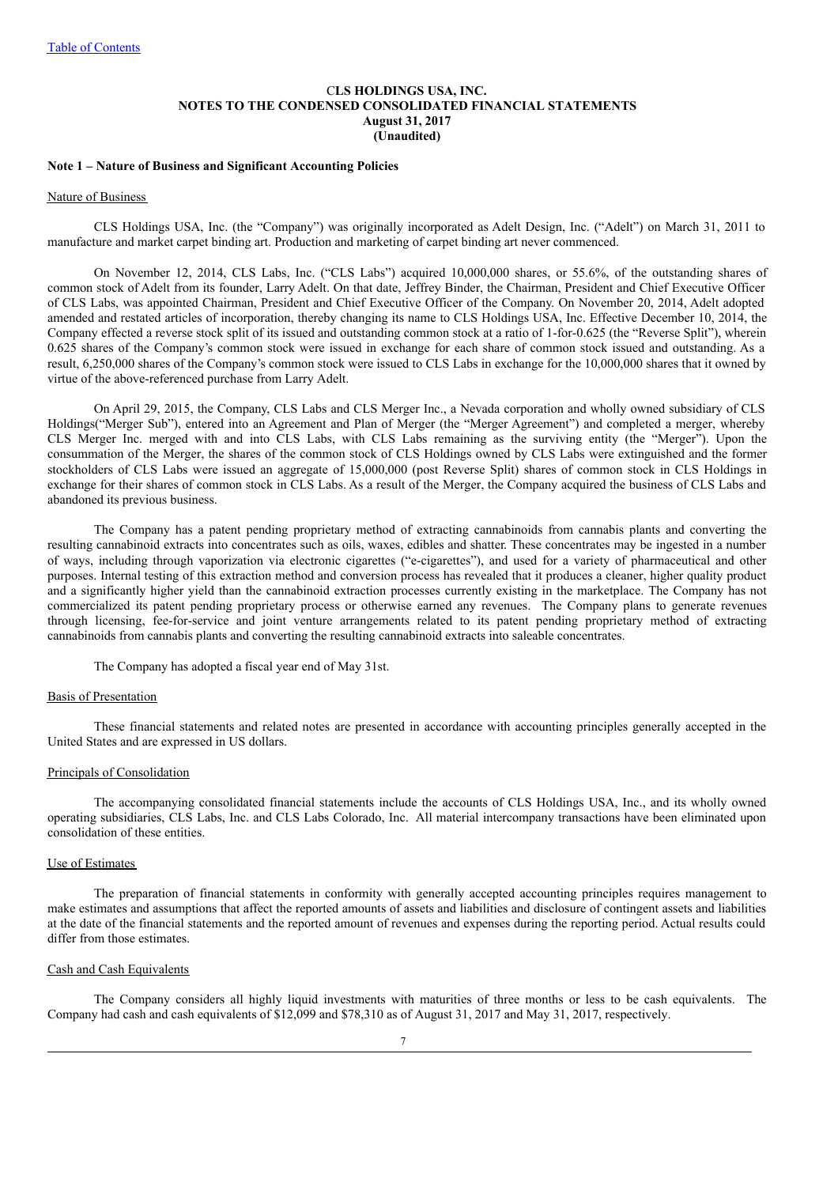## C**LS HOLDINGS USA, INC. NOTES TO THE CONDENSED CONSOLIDATED FINANCIAL STATEMENTS August 31, 2017 (Unaudited)**

#### **Note 1 – Nature of Business and Significant Accounting Policies**

#### Nature of Business

CLS Holdings USA, Inc. (the "Company") was originally incorporated as Adelt Design, Inc. ("Adelt") on March 31, 2011 to manufacture and market carpet binding art. Production and marketing of carpet binding art never commenced.

On November 12, 2014, CLS Labs, Inc. ("CLS Labs") acquired 10,000,000 shares, or 55.6%, of the outstanding shares of common stock of Adelt from its founder, Larry Adelt. On that date, Jeffrey Binder, the Chairman, President and Chief Executive Officer of CLS Labs, was appointed Chairman, President and Chief Executive Officer of the Company. On November 20, 2014, Adelt adopted amended and restated articles of incorporation, thereby changing its name to CLS Holdings USA, Inc. Effective December 10, 2014, the Company effected a reverse stock split of its issued and outstanding common stock at a ratio of 1-for-0.625 (the "Reverse Split"), wherein 0.625 shares of the Company's common stock were issued in exchange for each share of common stock issued and outstanding. As a result, 6,250,000 shares of the Company's common stock were issued to CLS Labs in exchange for the 10,000,000 shares that it owned by virtue of the above-referenced purchase from Larry Adelt.

On April 29, 2015, the Company, CLS Labs and CLS Merger Inc., a Nevada corporation and wholly owned subsidiary of CLS Holdings("Merger Sub"), entered into an Agreement and Plan of Merger (the "Merger Agreement") and completed a merger, whereby CLS Merger Inc. merged with and into CLS Labs, with CLS Labs remaining as the surviving entity (the "Merger"). Upon the consummation of the Merger, the shares of the common stock of CLS Holdings owned by CLS Labs were extinguished and the former stockholders of CLS Labs were issued an aggregate of 15,000,000 (post Reverse Split) shares of common stock in CLS Holdings in exchange for their shares of common stock in CLS Labs. As a result of the Merger, the Company acquired the business of CLS Labs and abandoned its previous business.

The Company has a patent pending proprietary method of extracting cannabinoids from cannabis plants and converting the resulting cannabinoid extracts into concentrates such as oils, waxes, edibles and shatter. These concentrates may be ingested in a number of ways, including through vaporization via electronic cigarettes ("e-cigarettes"), and used for a variety of pharmaceutical and other purposes. Internal testing of this extraction method and conversion process has revealed that it produces a cleaner, higher quality product and a significantly higher yield than the cannabinoid extraction processes currently existing in the marketplace. The Company has not commercialized its patent pending proprietary process or otherwise earned any revenues. The Company plans to generate revenues through licensing, fee-for-service and joint venture arrangements related to its patent pending proprietary method of extracting cannabinoids from cannabis plants and converting the resulting cannabinoid extracts into saleable concentrates.

The Company has adopted a fiscal year end of May 31st.

### Basis of Presentation

These financial statements and related notes are presented in accordance with accounting principles generally accepted in the United States and are expressed in US dollars.

### Principals of Consolidation

The accompanying consolidated financial statements include the accounts of CLS Holdings USA, Inc., and its wholly owned operating subsidiaries, CLS Labs, Inc. and CLS Labs Colorado, Inc. All material intercompany transactions have been eliminated upon consolidation of these entities.

### Use of Estimates

The preparation of financial statements in conformity with generally accepted accounting principles requires management to make estimates and assumptions that affect the reported amounts of assets and liabilities and disclosure of contingent assets and liabilities at the date of the financial statements and the reported amount of revenues and expenses during the reporting period. Actual results could differ from those estimates.

# Cash and Cash Equivalents

The Company considers all highly liquid investments with maturities of three months or less to be cash equivalents. The Company had cash and cash equivalents of \$12,099 and \$78,310 as of August 31, 2017 and May 31, 2017, respectively.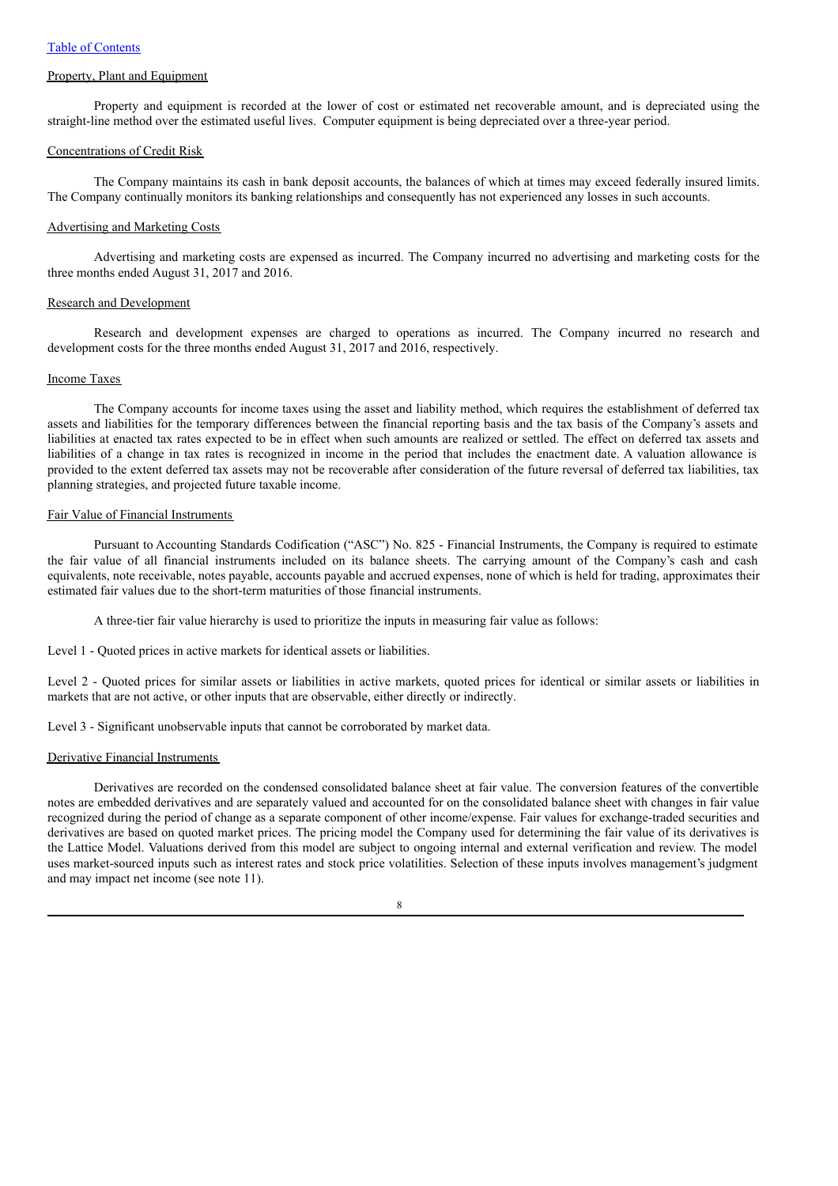### Property, Plant and Equipment

Property and equipment is recorded at the lower of cost or estimated net recoverable amount, and is depreciated using the straight-line method over the estimated useful lives. Computer equipment is being depreciated over a three-year period.

#### Concentrations of Credit Risk

The Company maintains its cash in bank deposit accounts, the balances of which at times may exceed federally insured limits. The Company continually monitors its banking relationships and consequently has not experienced any losses in such accounts.

# Advertising and Marketing Costs

Advertising and marketing costs are expensed as incurred. The Company incurred no advertising and marketing costs for the three months ended August 31, 2017 and 2016.

#### Research and Development

Research and development expenses are charged to operations as incurred. The Company incurred no research and development costs for the three months ended August 31, 2017 and 2016, respectively.

# Income Taxes

The Company accounts for income taxes using the asset and liability method, which requires the establishment of deferred tax assets and liabilities for the temporary differences between the financial reporting basis and the tax basis of the Company's assets and liabilities at enacted tax rates expected to be in effect when such amounts are realized or settled. The effect on deferred tax assets and liabilities of a change in tax rates is recognized in income in the period that includes the enactment date. A valuation allowance is provided to the extent deferred tax assets may not be recoverable after consideration of the future reversal of deferred tax liabilities, tax planning strategies, and projected future taxable income.

# Fair Value of Financial Instruments

Pursuant to Accounting Standards Codification ("ASC") No. 825 - Financial Instruments, the Company is required to estimate the fair value of all financial instruments included on its balance sheets. The carrying amount of the Company's cash and cash equivalents, note receivable, notes payable, accounts payable and accrued expenses, none of which is held for trading, approximates their estimated fair values due to the short-term maturities of those financial instruments.

A three-tier fair value hierarchy is used to prioritize the inputs in measuring fair value as follows:

Level 1 - Quoted prices in active markets for identical assets or liabilities.

Level 2 - Quoted prices for similar assets or liabilities in active markets, quoted prices for identical or similar assets or liabilities in markets that are not active, or other inputs that are observable, either directly or indirectly.

Level 3 - Significant unobservable inputs that cannot be corroborated by market data.

#### Derivative Financial Instruments

Derivatives are recorded on the condensed consolidated balance sheet at fair value. The conversion features of the convertible notes are embedded derivatives and are separately valued and accounted for on the consolidated balance sheet with changes in fair value recognized during the period of change as a separate component of other income/expense. Fair values for exchange-traded securities and derivatives are based on quoted market prices. The pricing model the Company used for determining the fair value of its derivatives is the Lattice Model. Valuations derived from this model are subject to ongoing internal and external verification and review. The model uses market-sourced inputs such as interest rates and stock price volatilities. Selection of these inputs involves management's judgment and may impact net income (see note 11).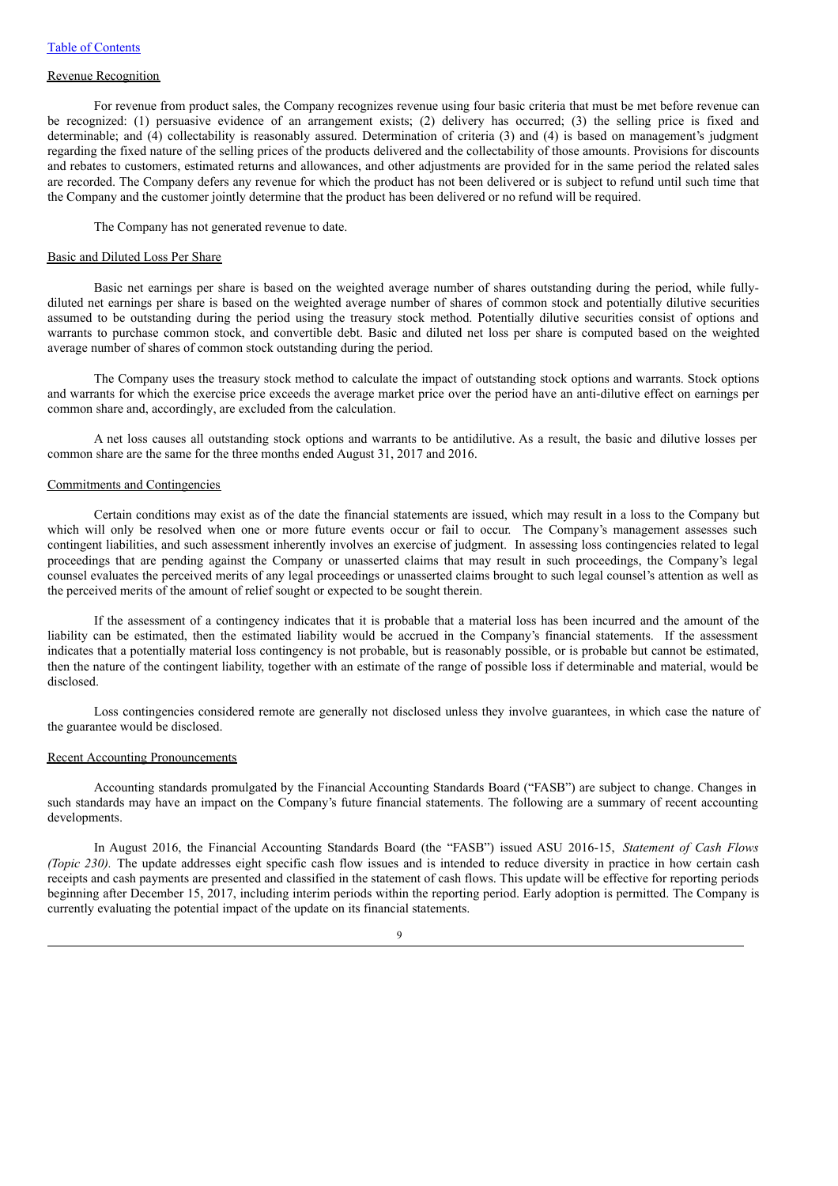### Revenue Recognition

For revenue from product sales, the Company recognizes revenue using four basic criteria that must be met before revenue can be recognized: (1) persuasive evidence of an arrangement exists; (2) delivery has occurred; (3) the selling price is fixed and determinable; and (4) collectability is reasonably assured. Determination of criteria (3) and (4) is based on management's judgment regarding the fixed nature of the selling prices of the products delivered and the collectability of those amounts. Provisions for discounts and rebates to customers, estimated returns and allowances, and other adjustments are provided for in the same period the related sales are recorded. The Company defers any revenue for which the product has not been delivered or is subject to refund until such time that the Company and the customer jointly determine that the product has been delivered or no refund will be required.

The Company has not generated revenue to date.

#### Basic and Diluted Loss Per Share

Basic net earnings per share is based on the weighted average number of shares outstanding during the period, while fullydiluted net earnings per share is based on the weighted average number of shares of common stock and potentially dilutive securities assumed to be outstanding during the period using the treasury stock method. Potentially dilutive securities consist of options and warrants to purchase common stock, and convertible debt. Basic and diluted net loss per share is computed based on the weighted average number of shares of common stock outstanding during the period.

The Company uses the treasury stock method to calculate the impact of outstanding stock options and warrants. Stock options and warrants for which the exercise price exceeds the average market price over the period have an anti-dilutive effect on earnings per common share and, accordingly, are excluded from the calculation.

A net loss causes all outstanding stock options and warrants to be antidilutive. As a result, the basic and dilutive losses per common share are the same for the three months ended August 31, 2017 and 2016.

#### Commitments and Contingencies

Certain conditions may exist as of the date the financial statements are issued, which may result in a loss to the Company but which will only be resolved when one or more future events occur or fail to occur. The Company's management assesses such contingent liabilities, and such assessment inherently involves an exercise of judgment. In assessing loss contingencies related to legal proceedings that are pending against the Company or unasserted claims that may result in such proceedings, the Company's legal counsel evaluates the perceived merits of any legal proceedings or unasserted claims brought to such legal counsel's attention as well as the perceived merits of the amount of relief sought or expected to be sought therein.

If the assessment of a contingency indicates that it is probable that a material loss has been incurred and the amount of the liability can be estimated, then the estimated liability would be accrued in the Company's financial statements. If the assessment indicates that a potentially material loss contingency is not probable, but is reasonably possible, or is probable but cannot be estimated, then the nature of the contingent liability, together with an estimate of the range of possible loss if determinable and material, would be disclosed.

Loss contingencies considered remote are generally not disclosed unless they involve guarantees, in which case the nature of the guarantee would be disclosed.

#### Recent Accounting Pronouncements

Accounting standards promulgated by the Financial Accounting Standards Board ("FASB") are subject to change. Changes in such standards may have an impact on the Company's future financial statements. The following are a summary of recent accounting developments.

In August 2016, the Financial Accounting Standards Board (the "FASB") issued ASU 2016-15, *Statement of Cash Flows (Topic 230)*. The update addresses eight specific cash flow issues and is intended to reduce diversity in practice in how certain cash receipts and cash payments are presented and classified in the statement of cash flows. This update will be effective for reporting periods beginning after December 15, 2017, including interim periods within the reporting period. Early adoption is permitted. The Company is currently evaluating the potential impact of the update on its financial statements.

 $\overline{Q}$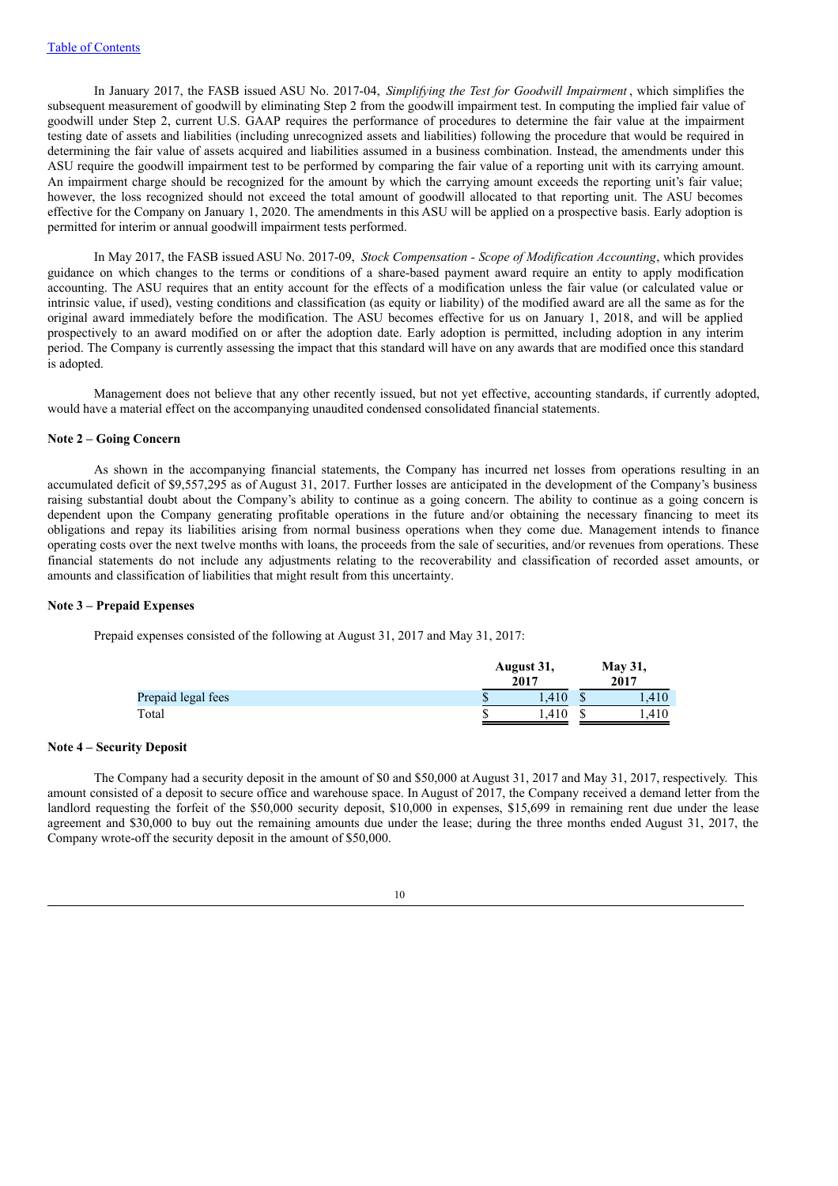In January 2017, the FASB issued ASU No. 2017-04, *Simplifying the Test for Goodwill Impairment* , which simplifies the subsequent measurement of goodwill by eliminating Step 2 from the goodwill impairment test. In computing the implied fair value of goodwill under Step 2, current U.S. GAAP requires the performance of procedures to determine the fair value at the impairment testing date of assets and liabilities (including unrecognized assets and liabilities) following the procedure that would be required in determining the fair value of assets acquired and liabilities assumed in a business combination. Instead, the amendments under this ASU require the goodwill impairment test to be performed by comparing the fair value of a reporting unit with its carrying amount. An impairment charge should be recognized for the amount by which the carrying amount exceeds the reporting unit's fair value; however, the loss recognized should not exceed the total amount of goodwill allocated to that reporting unit. The ASU becomes effective for the Company on January 1, 2020. The amendments in this ASU will be applied on a prospective basis. Early adoption is permitted for interim or annual goodwill impairment tests performed.

In May 2017, the FASB issued ASU No. 2017-09, *Stock Compensation - Scope of Modification Accounting*, which provides guidance on which changes to the terms or conditions of a share-based payment award require an entity to apply modification accounting. The ASU requires that an entity account for the effects of a modification unless the fair value (or calculated value or intrinsic value, if used), vesting conditions and classification (as equity or liability) of the modified award are all the same as for the original award immediately before the modification. The ASU becomes effective for us on January 1, 2018, and will be applied prospectively to an award modified on or after the adoption date. Early adoption is permitted, including adoption in any interim period. The Company is currently assessing the impact that this standard will have on any awards that are modified once this standard is adopted.

Management does not believe that any other recently issued, but not yet effective, accounting standards, if currently adopted, would have a material effect on the accompanying unaudited condensed consolidated financial statements.

# **Note 2 – Going Concern**

As shown in the accompanying financial statements, the Company has incurred net losses from operations resulting in an accumulated deficit of \$9,557,295 as of August 31, 2017. Further losses are anticipated in the development of the Company's business raising substantial doubt about the Company's ability to continue as a going concern. The ability to continue as a going concern is dependent upon the Company generating profitable operations in the future and/or obtaining the necessary financing to meet its obligations and repay its liabilities arising from normal business operations when they come due. Management intends to finance operating costs over the next twelve months with loans, the proceeds from the sale of securities, and/or revenues from operations. These financial statements do not include any adjustments relating to the recoverability and classification of recorded asset amounts, or amounts and classification of liabilities that might result from this uncertainty.

#### **Note 3 – Prepaid Expenses**

Prepaid expenses consisted of the following at August 31, 2017 and May 31, 2017:

|                    |    | August 31,<br>2017 | <b>May 31,</b><br>2017 |      |  |
|--------------------|----|--------------------|------------------------|------|--|
| Prepaid legal fees | ۰D | .410               |                        | .410 |  |
| Total              |    | .410               |                        | .410 |  |

### **Note 4 – Security Deposit**

The Company had a security deposit in the amount of \$0 and \$50,000 at August 31, 2017 and May 31, 2017, respectively. This amount consisted of a deposit to secure office and warehouse space. In August of 2017, the Company received a demand letter from the landlord requesting the forfeit of the \$50,000 security deposit, \$10,000 in expenses, \$15,699 in remaining rent due under the lease agreement and \$30,000 to buy out the remaining amounts due under the lease; during the three months ended August 31, 2017, the Company wrote-off the security deposit in the amount of \$50,000.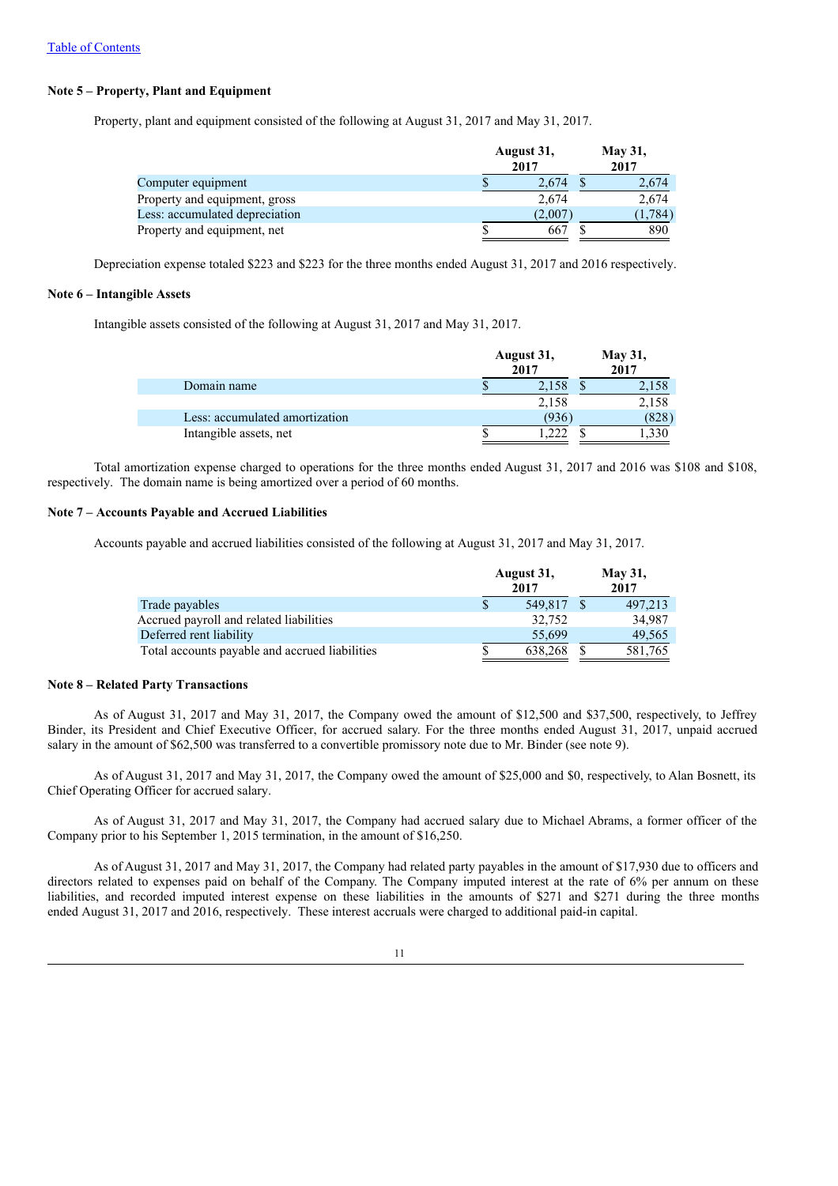# **Note 5 – Property, Plant and Equipment**

Property, plant and equipment consisted of the following at August 31, 2017 and May 31, 2017.

|                                | August 31,<br>2017 | <b>May 31,</b><br>2017 |
|--------------------------------|--------------------|------------------------|
| Computer equipment             | 2.674              | 2.674                  |
| Property and equipment, gross  | 2.674              | 2,674                  |
| Less: accumulated depreciation | (2,007)            | (1.784)                |
| Property and equipment, net    | 667                | 890                    |

Depreciation expense totaled \$223 and \$223 for the three months ended August 31, 2017 and 2016 respectively.

## **Note 6 – Intangible Assets**

Intangible assets consisted of the following at August 31, 2017 and May 31, 2017.

|                                | August 31,<br>2017 | <b>May 31,</b><br>2017 |
|--------------------------------|--------------------|------------------------|
| Domain name                    | 2.158<br>٠D        | 2,158                  |
|                                | 2,158              | 2,158                  |
| Less: accumulated amortization | (936               | (828)                  |
| Intangible assets, net         | 222                | .330                   |

Total amortization expense charged to operations for the three months ended August 31, 2017 and 2016 was \$108 and \$108, respectively. The domain name is being amortized over a period of 60 months.

#### **Note 7 – Accounts Payable and Accrued Liabilities**

Accounts payable and accrued liabilities consisted of the following at August 31, 2017 and May 31, 2017.

|                                                | August 31,<br>2017 | <b>May 31,</b><br>2017 |
|------------------------------------------------|--------------------|------------------------|
| Trade payables                                 | 549,817            | 497,213                |
| Accrued payroll and related liabilities        | 32,752             | 34,987                 |
| Deferred rent liability                        | 55,699             | 49.565                 |
| Total accounts payable and accrued liabilities | 638,268            | 581,765                |

#### **Note 8 – Related Party Transactions**

As of August 31, 2017 and May 31, 2017, the Company owed the amount of \$12,500 and \$37,500, respectively, to Jeffrey Binder, its President and Chief Executive Officer, for accrued salary. For the three months ended August 31, 2017, unpaid accrued salary in the amount of \$62,500 was transferred to a convertible promissory note due to Mr. Binder (see note 9).

As of August 31, 2017 and May 31, 2017, the Company owed the amount of \$25,000 and \$0, respectively, to Alan Bosnett, its Chief Operating Officer for accrued salary.

As of August 31, 2017 and May 31, 2017, the Company had accrued salary due to Michael Abrams, a former officer of the Company prior to his September 1, 2015 termination, in the amount of \$16,250.

As of August 31, 2017 and May 31, 2017, the Company had related party payables in the amount of \$17,930 due to officers and directors related to expenses paid on behalf of the Company. The Company imputed interest at the rate of 6% per annum on these liabilities, and recorded imputed interest expense on these liabilities in the amounts of \$271 and \$271 during the three months ended August 31, 2017 and 2016, respectively. These interest accruals were charged to additional paid-in capital.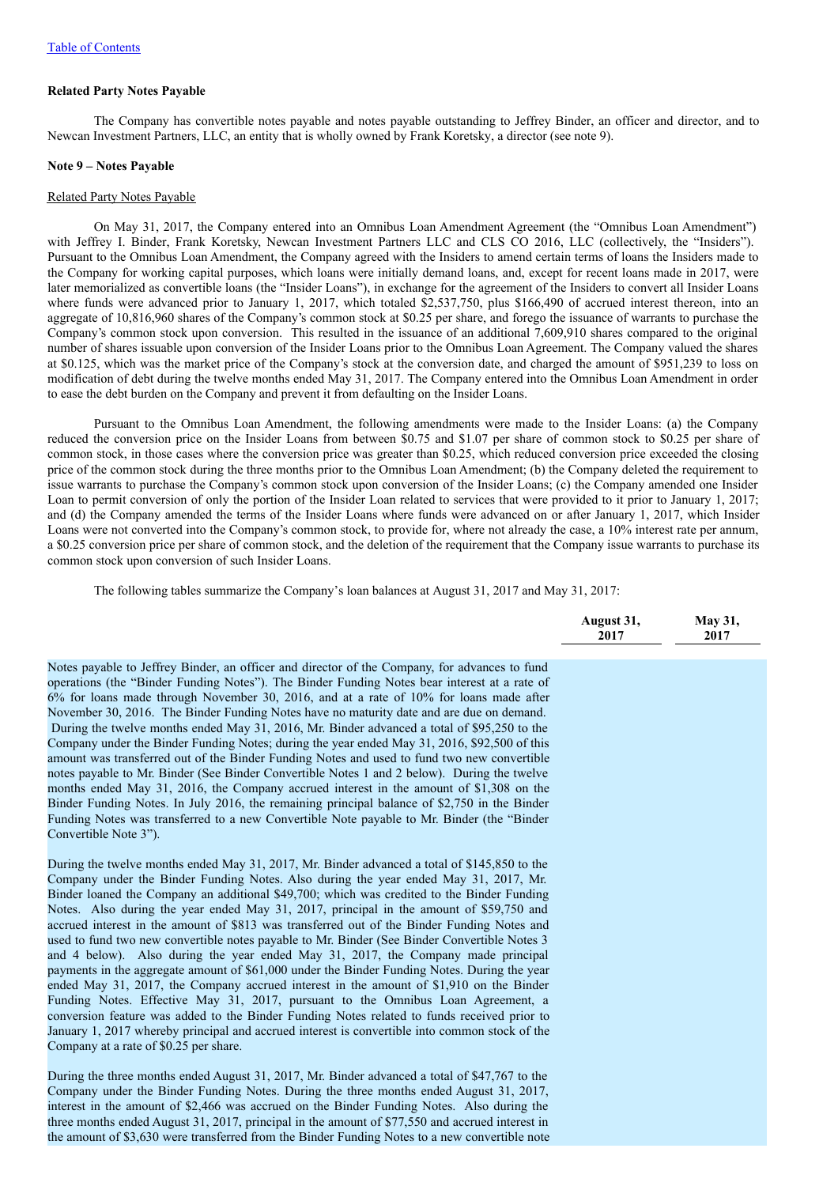#### **Related Party Notes Payable**

The Company has convertible notes payable and notes payable outstanding to Jeffrey Binder, an officer and director, and to Newcan Investment Partners, LLC, an entity that is wholly owned by Frank Koretsky, a director (see note 9).

#### **Note 9 – Notes Payable**

#### Related Party Notes Payable

On May 31, 2017, the Company entered into an Omnibus Loan Amendment Agreement (the "Omnibus Loan Amendment") with Jeffrey I. Binder, Frank Koretsky, Newcan Investment Partners LLC and CLS CO 2016, LLC (collectively, the "Insiders"). Pursuant to the Omnibus Loan Amendment, the Company agreed with the Insiders to amend certain terms of loans the Insiders made to the Company for working capital purposes, which loans were initially demand loans, and, except for recent loans made in 2017, were later memorialized as convertible loans (the "Insider Loans"), in exchange for the agreement of the Insiders to convert all Insider Loans where funds were advanced prior to January 1, 2017, which totaled \$2,537,750, plus \$166,490 of accrued interest thereon, into an aggregate of 10,816,960 shares of the Company's common stock at \$0.25 per share, and forego the issuance of warrants to purchase the Company's common stock upon conversion. This resulted in the issuance of an additional 7,609,910 shares compared to the original number of shares issuable upon conversion of the Insider Loans prior to the Omnibus Loan Agreement. The Company valued the shares at \$0.125, which was the market price of the Company's stock at the conversion date, and charged the amount of \$951,239 to loss on modification of debt during the twelve months ended May 31, 2017. The Company entered into the Omnibus Loan Amendment in order to ease the debt burden on the Company and prevent it from defaulting on the Insider Loans.

Pursuant to the Omnibus Loan Amendment, the following amendments were made to the Insider Loans: (a) the Company reduced the conversion price on the Insider Loans from between \$0.75 and \$1.07 per share of common stock to \$0.25 per share of common stock, in those cases where the conversion price was greater than \$0.25, which reduced conversion price exceeded the closing price of the common stock during the three months prior to the Omnibus Loan Amendment; (b) the Company deleted the requirement to issue warrants to purchase the Company's common stock upon conversion of the Insider Loans; (c) the Company amended one Insider Loan to permit conversion of only the portion of the Insider Loan related to services that were provided to it prior to January 1, 2017; and (d) the Company amended the terms of the Insider Loans where funds were advanced on or after January 1, 2017, which Insider Loans were not converted into the Company's common stock, to provide for, where not already the case, a 10% interest rate per annum, a \$0.25 conversion price per share of common stock, and the deletion of the requirement that the Company issue warrants to purchase its common stock upon conversion of such Insider Loans.

The following tables summarize the Company's loan balances at August 31, 2017 and May 31, 2017:

|                                                                                                                                                                                                                                                                                                                                                                                                                                                                                                                                                                                                                                                                                                                                                                                                                                                                                                                                                                                                                                                                                                                                                                                             | August 31,<br>2017 | May 31,<br>2017 |
|---------------------------------------------------------------------------------------------------------------------------------------------------------------------------------------------------------------------------------------------------------------------------------------------------------------------------------------------------------------------------------------------------------------------------------------------------------------------------------------------------------------------------------------------------------------------------------------------------------------------------------------------------------------------------------------------------------------------------------------------------------------------------------------------------------------------------------------------------------------------------------------------------------------------------------------------------------------------------------------------------------------------------------------------------------------------------------------------------------------------------------------------------------------------------------------------|--------------------|-----------------|
| Notes payable to Jeffrey Binder, an officer and director of the Company, for advances to fund<br>operations (the "Binder Funding Notes"). The Binder Funding Notes bear interest at a rate of<br>6% for loans made through November 30, 2016, and at a rate of 10% for loans made after<br>November 30, 2016. The Binder Funding Notes have no maturity date and are due on demand.<br>During the twelve months ended May 31, 2016, Mr. Binder advanced a total of \$95,250 to the<br>Company under the Binder Funding Notes; during the year ended May 31, 2016, \$92,500 of this<br>amount was transferred out of the Binder Funding Notes and used to fund two new convertible<br>notes payable to Mr. Binder (See Binder Convertible Notes 1 and 2 below). During the twelve<br>months ended May 31, 2016, the Company accrued interest in the amount of \$1,308 on the<br>Binder Funding Notes. In July 2016, the remaining principal balance of \$2,750 in the Binder<br>Funding Notes was transferred to a new Convertible Note payable to Mr. Binder (the "Binder<br>Convertible Note 3").                                                                                          |                    |                 |
| During the twelve months ended May 31, 2017, Mr. Binder advanced a total of \$145,850 to the<br>Company under the Binder Funding Notes. Also during the year ended May 31, 2017, Mr.<br>Binder loaned the Company an additional \$49,700; which was credited to the Binder Funding<br>Notes. Also during the year ended May 31, 2017, principal in the amount of \$59,750 and<br>accrued interest in the amount of \$813 was transferred out of the Binder Funding Notes and<br>used to fund two new convertible notes payable to Mr. Binder (See Binder Convertible Notes 3<br>and 4 below). Also during the year ended May 31, 2017, the Company made principal<br>payments in the aggregate amount of \$61,000 under the Binder Funding Notes. During the year<br>ended May 31, 2017, the Company accrued interest in the amount of \$1,910 on the Binder<br>Funding Notes. Effective May 31, 2017, pursuant to the Omnibus Loan Agreement, a<br>conversion feature was added to the Binder Funding Notes related to funds received prior to<br>January 1, 2017 whereby principal and accrued interest is convertible into common stock of the<br>Company at a rate of \$0.25 per share. |                    |                 |
| During the three months ended August 31, 2017, Mr. Binder advanced a total of \$47,767 to the<br>Company under the Binder Funding Notes. During the three months ended August 31, 2017,<br>interest in the amount of \$2,466 was accrued on the Binder Funding Notes. Also during the<br>three months ended August 31, 2017, principal in the amount of \$77,550 and accrued interest in<br>the amount of \$3,630 were transferred from the Binder Funding Notes to a new convertible note                                                                                                                                                                                                                                                                                                                                                                                                                                                                                                                                                                                                                                                                                                  |                    |                 |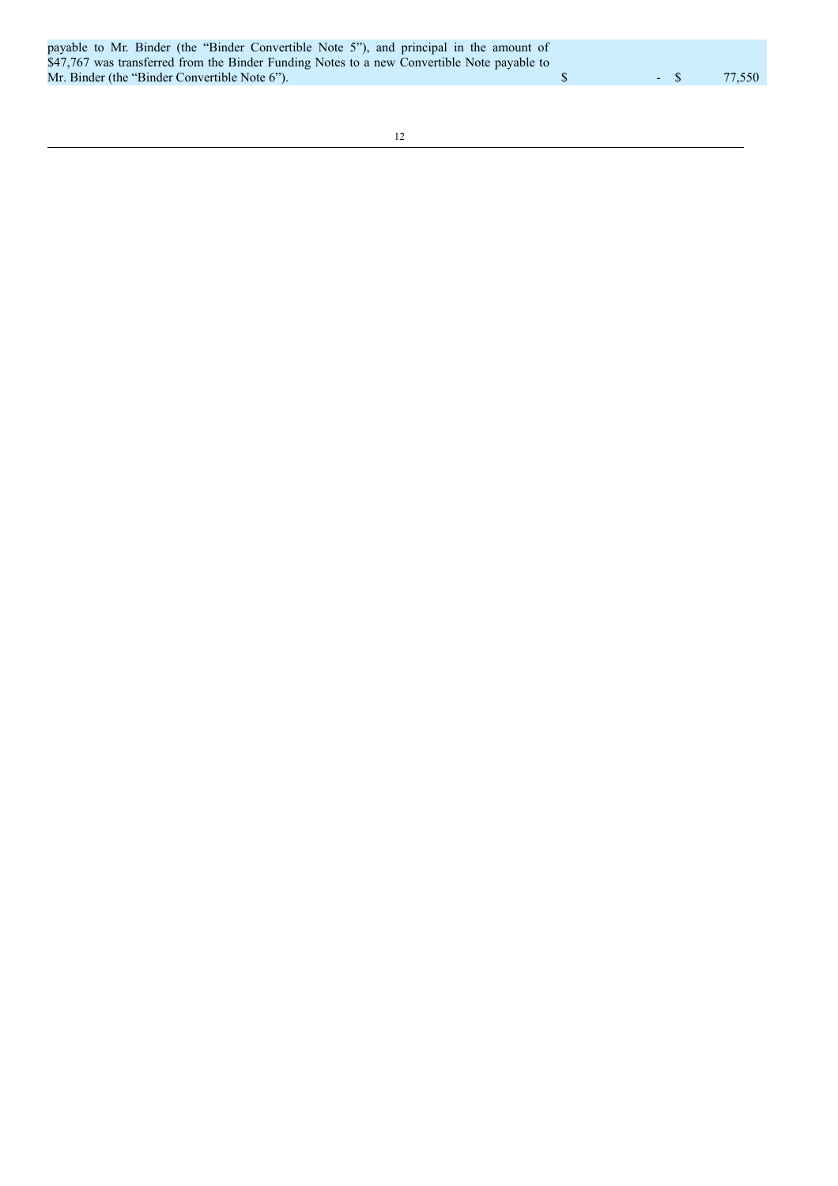|  | payable to Mr. Binder (the "Binder Convertible Note 5"), and principal in the amount of     |  |  |  |  |                |        |
|--|---------------------------------------------------------------------------------------------|--|--|--|--|----------------|--------|
|  | \$47,767 was transferred from the Binder Funding Notes to a new Convertible Note payable to |  |  |  |  |                |        |
|  | Mr. Binder (the "Binder Convertible Note 6").                                               |  |  |  |  | $ \mathcal{S}$ | 77.550 |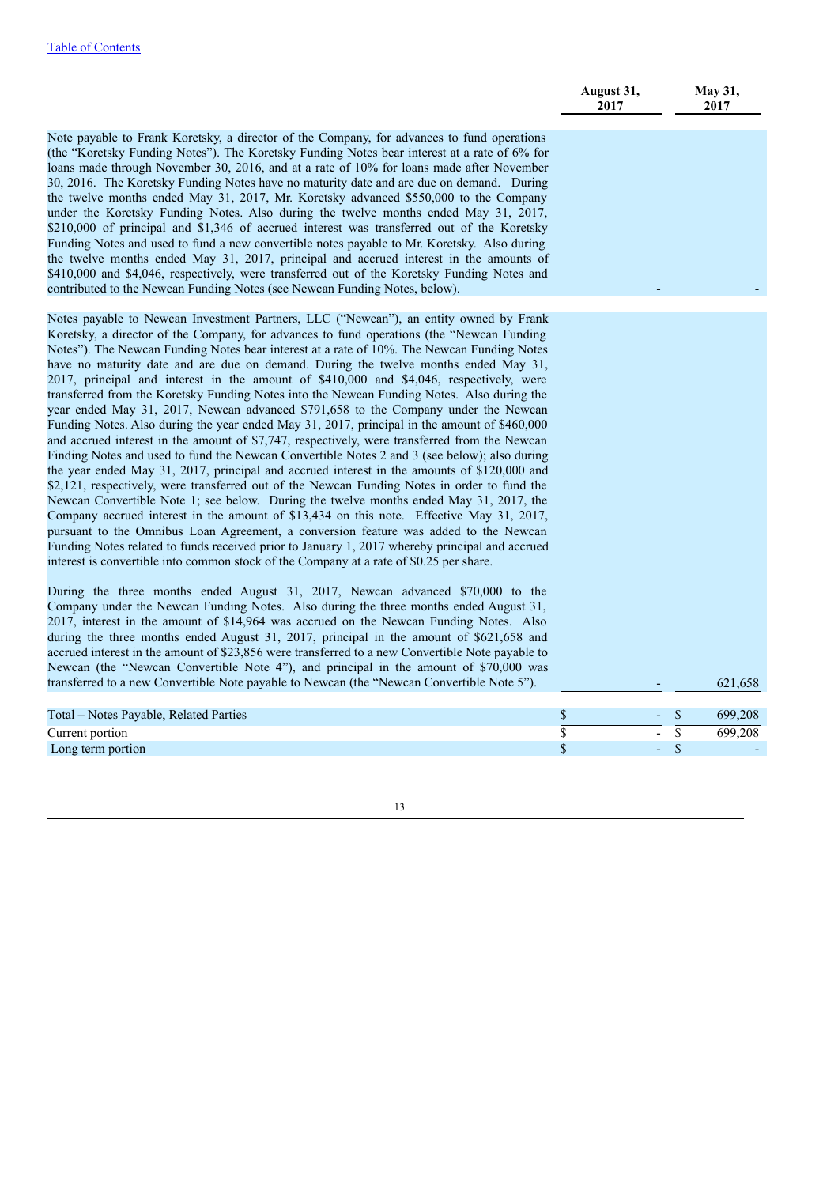|                                                                                                                                                                                                                                                                                                                                                                                                                                                                                                                                                                                                                                                                                                                                                                                                                                                                                                                                                                                                                                                                                                                                                                                                                                                                                                                                                                                                                                                                                                                                                                                                                                   | August 31,<br>2017 |        | <b>May 31,</b><br>2017 |
|-----------------------------------------------------------------------------------------------------------------------------------------------------------------------------------------------------------------------------------------------------------------------------------------------------------------------------------------------------------------------------------------------------------------------------------------------------------------------------------------------------------------------------------------------------------------------------------------------------------------------------------------------------------------------------------------------------------------------------------------------------------------------------------------------------------------------------------------------------------------------------------------------------------------------------------------------------------------------------------------------------------------------------------------------------------------------------------------------------------------------------------------------------------------------------------------------------------------------------------------------------------------------------------------------------------------------------------------------------------------------------------------------------------------------------------------------------------------------------------------------------------------------------------------------------------------------------------------------------------------------------------|--------------------|--------|------------------------|
| Note payable to Frank Koretsky, a director of the Company, for advances to fund operations<br>(the "Koretsky Funding Notes"). The Koretsky Funding Notes bear interest at a rate of 6% for<br>loans made through November 30, 2016, and at a rate of 10% for loans made after November<br>30, 2016. The Koretsky Funding Notes have no maturity date and are due on demand. During<br>the twelve months ended May 31, 2017, Mr. Koretsky advanced \$550,000 to the Company<br>under the Koretsky Funding Notes. Also during the twelve months ended May 31, 2017,<br>\$210,000 of principal and \$1,346 of accrued interest was transferred out of the Koretsky<br>Funding Notes and used to fund a new convertible notes payable to Mr. Koretsky. Also during<br>the twelve months ended May 31, 2017, principal and accrued interest in the amounts of<br>\$410,000 and \$4,046, respectively, were transferred out of the Koretsky Funding Notes and<br>contributed to the Newcan Funding Notes (see Newcan Funding Notes, below).                                                                                                                                                                                                                                                                                                                                                                                                                                                                                                                                                                                             |                    |        |                        |
| Notes payable to Newcan Investment Partners, LLC ("Newcan"), an entity owned by Frank<br>Koretsky, a director of the Company, for advances to fund operations (the "Newcan Funding<br>Notes"). The Newcan Funding Notes bear interest at a rate of 10%. The Newcan Funding Notes<br>have no maturity date and are due on demand. During the twelve months ended May 31,<br>2017, principal and interest in the amount of \$410,000 and \$4,046, respectively, were<br>transferred from the Koretsky Funding Notes into the Newcan Funding Notes. Also during the<br>year ended May 31, 2017, Newcan advanced \$791,658 to the Company under the Newcan<br>Funding Notes. Also during the year ended May 31, 2017, principal in the amount of \$460,000<br>and accrued interest in the amount of \$7,747, respectively, were transferred from the Newcan<br>Finding Notes and used to fund the Newcan Convertible Notes 2 and 3 (see below); also during<br>the year ended May 31, 2017, principal and accrued interest in the amounts of \$120,000 and<br>\$2,121, respectively, were transferred out of the Newcan Funding Notes in order to fund the<br>Newcan Convertible Note 1; see below. During the twelve months ended May 31, 2017, the<br>Company accrued interest in the amount of \$13,434 on this note. Effective May 31, 2017,<br>pursuant to the Omnibus Loan Agreement, a conversion feature was added to the Newcan<br>Funding Notes related to funds received prior to January 1, 2017 whereby principal and accrued<br>interest is convertible into common stock of the Company at a rate of \$0.25 per share. |                    |        |                        |
| During the three months ended August 31, 2017, Newcan advanced \$70,000 to the<br>Company under the Newcan Funding Notes. Also during the three months ended August 31,<br>2017, interest in the amount of \$14,964 was accrued on the Newcan Funding Notes. Also<br>during the three months ended August 31, 2017, principal in the amount of \$621,658 and<br>accrued interest in the amount of \$23,856 were transferred to a new Convertible Note payable to<br>Newcan (the "Newcan Convertible Note 4"), and principal in the amount of \$70,000 was<br>transferred to a new Convertible Note payable to Newcan (the "Newcan Convertible Note 5").                                                                                                                                                                                                                                                                                                                                                                                                                                                                                                                                                                                                                                                                                                                                                                                                                                                                                                                                                                           |                    |        |                        |
|                                                                                                                                                                                                                                                                                                                                                                                                                                                                                                                                                                                                                                                                                                                                                                                                                                                                                                                                                                                                                                                                                                                                                                                                                                                                                                                                                                                                                                                                                                                                                                                                                                   |                    |        | 621,658                |
| Total – Notes Payable, Related Parties                                                                                                                                                                                                                                                                                                                                                                                                                                                                                                                                                                                                                                                                                                                                                                                                                                                                                                                                                                                                                                                                                                                                                                                                                                                                                                                                                                                                                                                                                                                                                                                            | $\frac{1}{2}$      |        | \$<br>699,208          |
| Current portion<br>Long term portion                                                                                                                                                                                                                                                                                                                                                                                                                                                                                                                                                                                                                                                                                                                                                                                                                                                                                                                                                                                                                                                                                                                                                                                                                                                                                                                                                                                                                                                                                                                                                                                              | \$<br>\$           | $\sim$ | \$<br>699,208<br>\$    |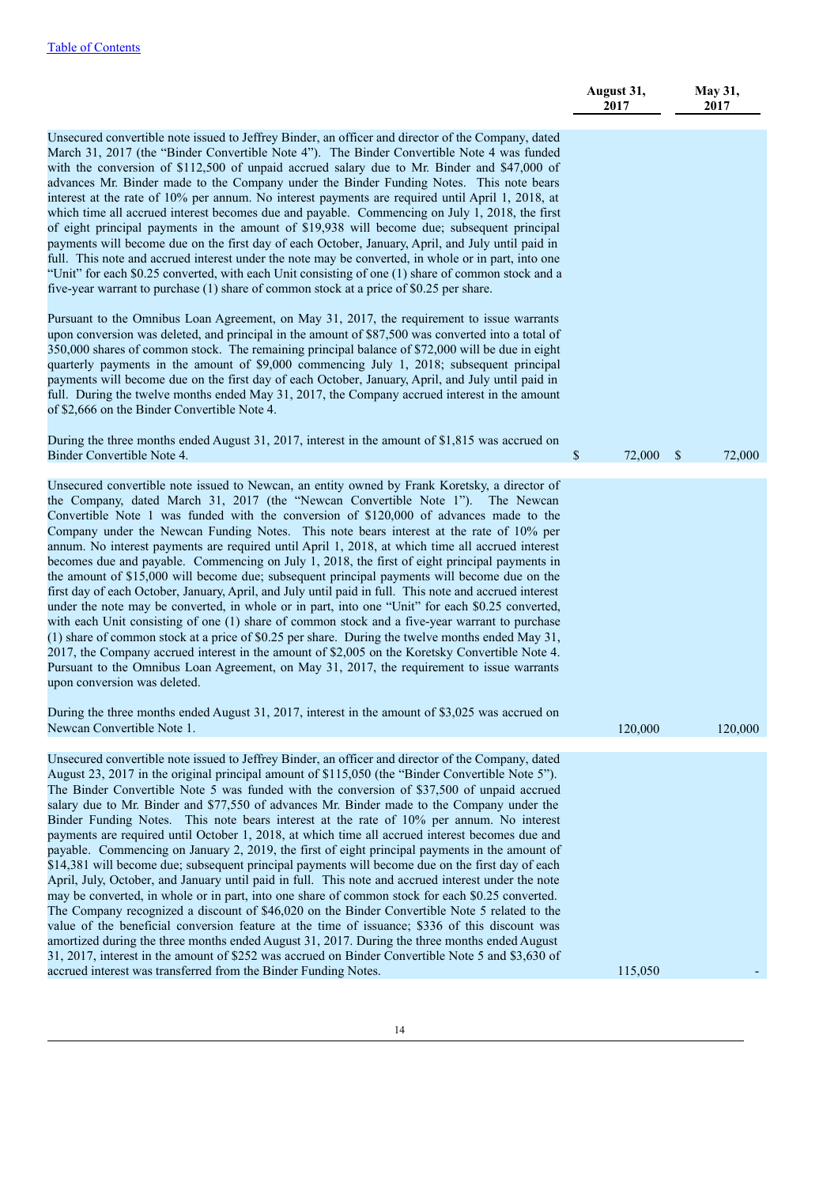|                                                                                                                                                                                                                                                                                                                                                                                                                                                                                                                                                                                                                                                                                                                                                                                                                                                                                                                                                                                                                                                                                                                                                                                                                                                                                                                                                                                                                                                                                                | August 31,<br>2017 |               | <b>May 31,</b><br>2017 |
|------------------------------------------------------------------------------------------------------------------------------------------------------------------------------------------------------------------------------------------------------------------------------------------------------------------------------------------------------------------------------------------------------------------------------------------------------------------------------------------------------------------------------------------------------------------------------------------------------------------------------------------------------------------------------------------------------------------------------------------------------------------------------------------------------------------------------------------------------------------------------------------------------------------------------------------------------------------------------------------------------------------------------------------------------------------------------------------------------------------------------------------------------------------------------------------------------------------------------------------------------------------------------------------------------------------------------------------------------------------------------------------------------------------------------------------------------------------------------------------------|--------------------|---------------|------------------------|
| Unsecured convertible note issued to Jeffrey Binder, an officer and director of the Company, dated<br>March 31, 2017 (the "Binder Convertible Note 4"). The Binder Convertible Note 4 was funded<br>with the conversion of \$112,500 of unpaid accrued salary due to Mr. Binder and \$47,000 of<br>advances Mr. Binder made to the Company under the Binder Funding Notes. This note bears<br>interest at the rate of 10% per annum. No interest payments are required until April 1, 2018, at<br>which time all accrued interest becomes due and payable. Commencing on July 1, 2018, the first<br>of eight principal payments in the amount of \$19,938 will become due; subsequent principal<br>payments will become due on the first day of each October, January, April, and July until paid in<br>full. This note and accrued interest under the note may be converted, in whole or in part, into one<br>"Unit" for each \$0.25 converted, with each Unit consisting of one (1) share of common stock and a<br>five-year warrant to purchase (1) share of common stock at a price of \$0.25 per share.                                                                                                                                                                                                                                                                                                                                                                                   |                    |               |                        |
| Pursuant to the Omnibus Loan Agreement, on May 31, 2017, the requirement to issue warrants<br>upon conversion was deleted, and principal in the amount of \$87,500 was converted into a total of<br>350,000 shares of common stock. The remaining principal balance of \$72,000 will be due in eight<br>quarterly payments in the amount of \$9,000 commencing July 1, 2018; subsequent principal<br>payments will become due on the first day of each October, January, April, and July until paid in<br>full. During the twelve months ended May 31, 2017, the Company accrued interest in the amount<br>of \$2,666 on the Binder Convertible Note 4.                                                                                                                                                                                                                                                                                                                                                                                                                                                                                                                                                                                                                                                                                                                                                                                                                                        |                    |               |                        |
| During the three months ended August 31, 2017, interest in the amount of \$1,815 was accrued on<br>Binder Convertible Note 4.                                                                                                                                                                                                                                                                                                                                                                                                                                                                                                                                                                                                                                                                                                                                                                                                                                                                                                                                                                                                                                                                                                                                                                                                                                                                                                                                                                  | \$<br>72,000       | $\mathcal{S}$ | 72,000                 |
| Unsecured convertible note issued to Newcan, an entity owned by Frank Koretsky, a director of<br>the Company, dated March 31, 2017 (the "Newcan Convertible Note 1"). The Newcan<br>Convertible Note 1 was funded with the conversion of \$120,000 of advances made to the<br>Company under the Newcan Funding Notes. This note bears interest at the rate of 10% per<br>annum. No interest payments are required until April 1, 2018, at which time all accrued interest<br>becomes due and payable. Commencing on July 1, 2018, the first of eight principal payments in<br>the amount of \$15,000 will become due; subsequent principal payments will become due on the<br>first day of each October, January, April, and July until paid in full. This note and accrued interest<br>under the note may be converted, in whole or in part, into one "Unit" for each \$0.25 converted,<br>with each Unit consisting of one (1) share of common stock and a five-year warrant to purchase<br>$(1)$ share of common stock at a price of \$0.25 per share. During the twelve months ended May 31,<br>2017, the Company accrued interest in the amount of \$2,005 on the Koretsky Convertible Note 4.<br>Pursuant to the Omnibus Loan Agreement, on May 31, 2017, the requirement to issue warrants<br>upon conversion was deleted.                                                                                                                                                              |                    |               |                        |
| During the three months ended August 31, 2017, interest in the amount of \$3,025 was accrued on<br>Newcan Convertible Note 1.                                                                                                                                                                                                                                                                                                                                                                                                                                                                                                                                                                                                                                                                                                                                                                                                                                                                                                                                                                                                                                                                                                                                                                                                                                                                                                                                                                  | 120,000            |               | 120,000                |
| Unsecured convertible note issued to Jeffrey Binder, an officer and director of the Company, dated<br>August 23, 2017 in the original principal amount of \$115,050 (the "Binder Convertible Note 5").<br>The Binder Convertible Note 5 was funded with the conversion of \$37,500 of unpaid accrued<br>salary due to Mr. Binder and \$77,550 of advances Mr. Binder made to the Company under the<br>Binder Funding Notes. This note bears interest at the rate of 10% per annum. No interest<br>payments are required until October 1, 2018, at which time all accrued interest becomes due and<br>payable. Commencing on January 2, 2019, the first of eight principal payments in the amount of<br>\$14,381 will become due; subsequent principal payments will become due on the first day of each<br>April, July, October, and January until paid in full. This note and accrued interest under the note<br>may be converted, in whole or in part, into one share of common stock for each \$0.25 converted.<br>The Company recognized a discount of \$46,020 on the Binder Convertible Note 5 related to the<br>value of the beneficial conversion feature at the time of issuance; \$336 of this discount was<br>amortized during the three months ended August 31, 2017. During the three months ended August<br>31, 2017, interest in the amount of \$252 was accrued on Binder Convertible Note 5 and \$3,630 of<br>accrued interest was transferred from the Binder Funding Notes. | 115,050            |               |                        |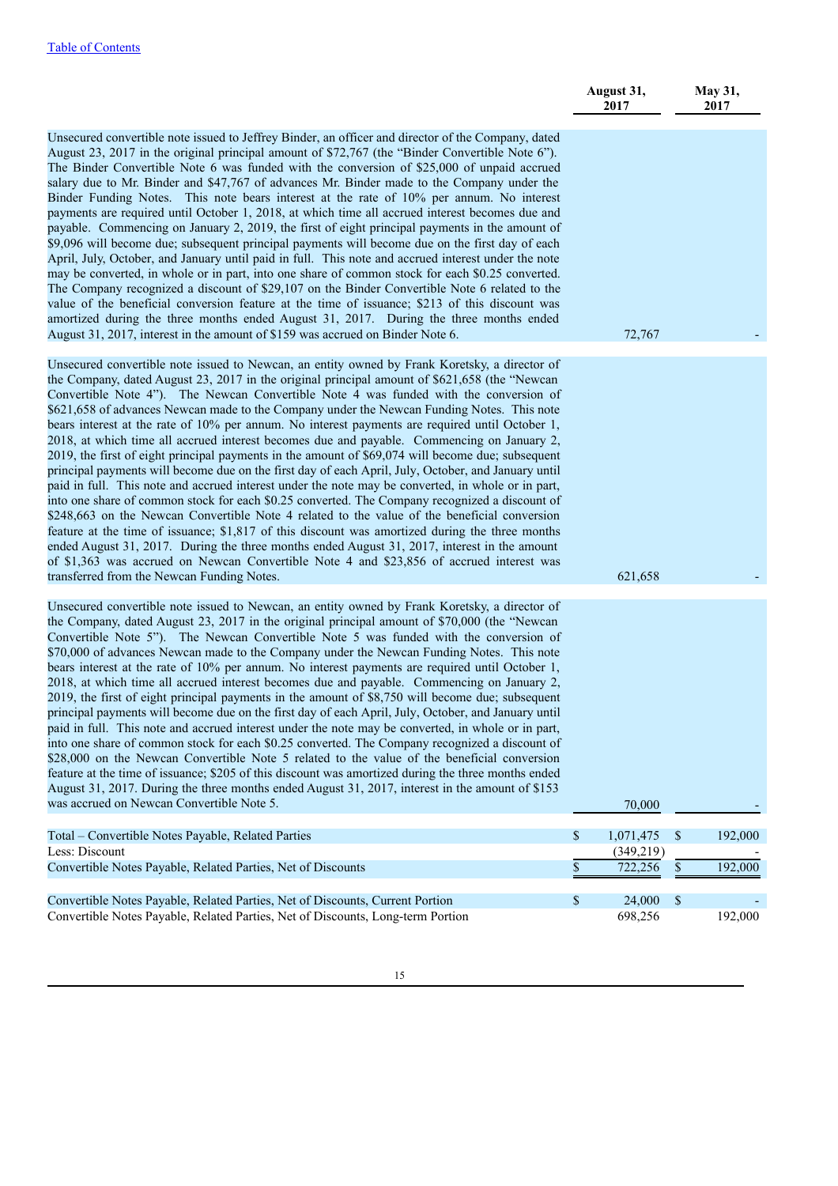|                                                                                                                                                                                                                                                                                                                                                                                                                                                                                                                                                                                                                                                                                                                                                                                                                                                                                                                                                                                                                                                                                                                                                                                                                                                                                                                                                                                                                                                         | August 31,<br>2017            |              | May 31,<br>2017 |
|---------------------------------------------------------------------------------------------------------------------------------------------------------------------------------------------------------------------------------------------------------------------------------------------------------------------------------------------------------------------------------------------------------------------------------------------------------------------------------------------------------------------------------------------------------------------------------------------------------------------------------------------------------------------------------------------------------------------------------------------------------------------------------------------------------------------------------------------------------------------------------------------------------------------------------------------------------------------------------------------------------------------------------------------------------------------------------------------------------------------------------------------------------------------------------------------------------------------------------------------------------------------------------------------------------------------------------------------------------------------------------------------------------------------------------------------------------|-------------------------------|--------------|-----------------|
| Unsecured convertible note issued to Jeffrey Binder, an officer and director of the Company, dated<br>August 23, 2017 in the original principal amount of \$72,767 (the "Binder Convertible Note 6").<br>The Binder Convertible Note 6 was funded with the conversion of \$25,000 of unpaid accrued<br>salary due to Mr. Binder and \$47,767 of advances Mr. Binder made to the Company under the<br>Binder Funding Notes. This note bears interest at the rate of 10% per annum. No interest<br>payments are required until October 1, 2018, at which time all accrued interest becomes due and<br>payable. Commencing on January 2, 2019, the first of eight principal payments in the amount of<br>\$9,096 will become due; subsequent principal payments will become due on the first day of each<br>April, July, October, and January until paid in full. This note and accrued interest under the note<br>may be converted, in whole or in part, into one share of common stock for each \$0.25 converted.<br>The Company recognized a discount of \$29,107 on the Binder Convertible Note 6 related to the<br>value of the beneficial conversion feature at the time of issuance; \$213 of this discount was<br>amortized during the three months ended August 31, 2017. During the three months ended<br>August 31, 2017, interest in the amount of \$159 was accrued on Binder Note 6.                                                         | 72,767                        |              |                 |
| Unsecured convertible note issued to Newcan, an entity owned by Frank Koretsky, a director of<br>the Company, dated August 23, 2017 in the original principal amount of \$621,658 (the "Newcan<br>Convertible Note 4"). The Newcan Convertible Note 4 was funded with the conversion of<br>\$621,658 of advances Newcan made to the Company under the Newcan Funding Notes. This note<br>bears interest at the rate of 10% per annum. No interest payments are required until October 1,<br>2018, at which time all accrued interest becomes due and payable. Commencing on January 2,<br>2019, the first of eight principal payments in the amount of \$69,074 will become due; subsequent<br>principal payments will become due on the first day of each April, July, October, and January until<br>paid in full. This note and accrued interest under the note may be converted, in whole or in part,<br>into one share of common stock for each \$0.25 converted. The Company recognized a discount of<br>\$248,663 on the Newcan Convertible Note 4 related to the value of the beneficial conversion<br>feature at the time of issuance; \$1,817 of this discount was amortized during the three months<br>ended August 31, 2017. During the three months ended August 31, 2017, interest in the amount<br>of \$1,363 was accrued on Newcan Convertible Note 4 and \$23,856 of accrued interest was<br>transferred from the Newcan Funding Notes. | 621,658                       |              |                 |
| Unsecured convertible note issued to Newcan, an entity owned by Frank Koretsky, a director of<br>the Company, dated August 23, 2017 in the original principal amount of \$70,000 (the "Newcan<br>Convertible Note 5"). The Newcan Convertible Note 5 was funded with the conversion of<br>\$70,000 of advances Newcan made to the Company under the Newcan Funding Notes. This note<br>bears interest at the rate of 10% per annum. No interest payments are required until October 1,<br>2018, at which time all accrued interest becomes due and payable. Commencing on January 2,<br>2019, the first of eight principal payments in the amount of \$8,750 will become due; subsequent<br>principal payments will become due on the first day of each April, July, October, and January until<br>paid in full. This note and accrued interest under the note may be converted, in whole or in part,<br>into one share of common stock for each \$0.25 converted. The Company recognized a discount of<br>\$28,000 on the Newcan Convertible Note 5 related to the value of the beneficial conversion<br>feature at the time of issuance; \$205 of this discount was amortized during the three months ended<br>August 31, 2017. During the three months ended August 31, 2017, interest in the amount of \$153<br>was accrued on Newcan Convertible Note 5.                                                                                           | 70,000                        |              |                 |
| Total - Convertible Notes Payable, Related Parties<br>Less: Discount                                                                                                                                                                                                                                                                                                                                                                                                                                                                                                                                                                                                                                                                                                                                                                                                                                                                                                                                                                                                                                                                                                                                                                                                                                                                                                                                                                                    | \$<br>1,071,475<br>(349, 219) | $\mathbb{S}$ | 192,000         |
| Convertible Notes Payable, Related Parties, Net of Discounts                                                                                                                                                                                                                                                                                                                                                                                                                                                                                                                                                                                                                                                                                                                                                                                                                                                                                                                                                                                                                                                                                                                                                                                                                                                                                                                                                                                            | \$<br>722,256                 | $\mathbb{S}$ | 192,000         |
| Convertible Notes Payable, Related Parties, Net of Discounts, Current Portion<br>Convertible Notes Payable, Related Parties, Net of Discounts, Long-term Portion                                                                                                                                                                                                                                                                                                                                                                                                                                                                                                                                                                                                                                                                                                                                                                                                                                                                                                                                                                                                                                                                                                                                                                                                                                                                                        | \$<br>24,000<br>698,256       | $\mathbb{S}$ | 192,000         |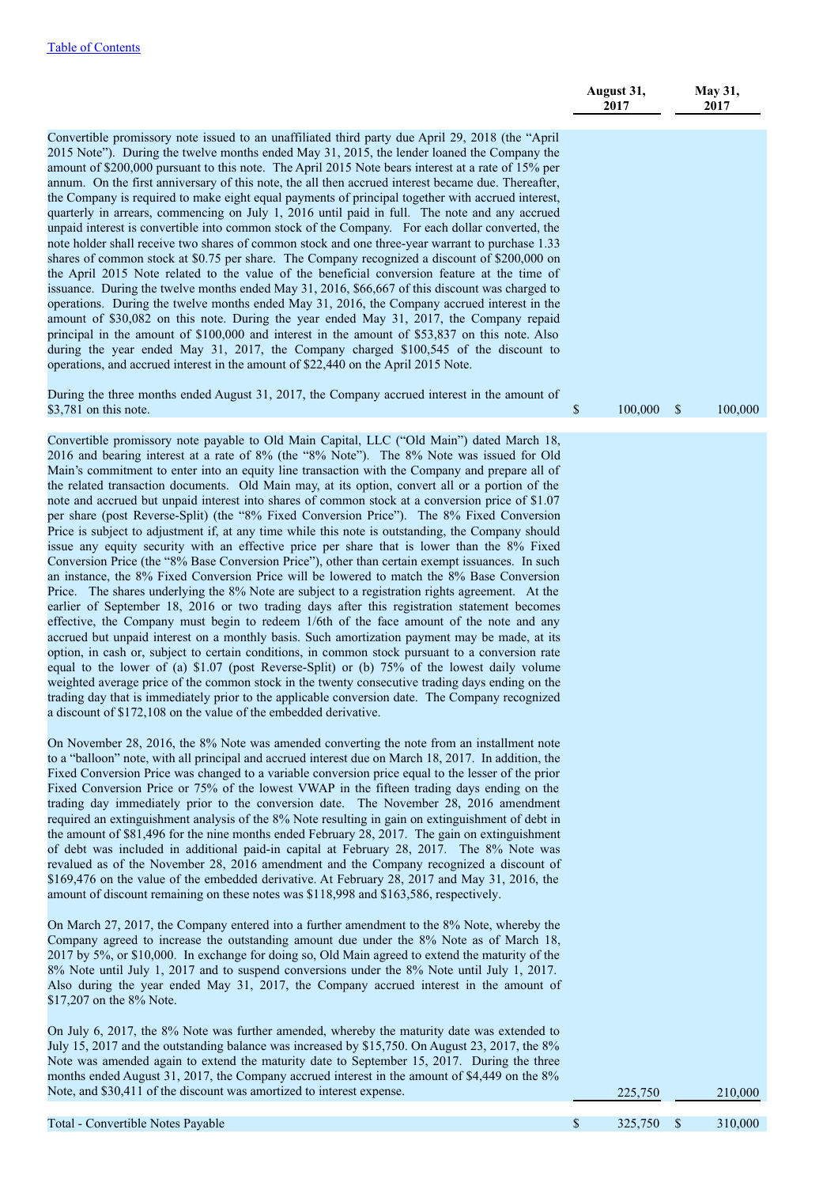|                                                                                                                                                                                                                                                                                                                                                                                                                                                                                                                                                                                                                                                                                                                                                                                                                                                                                                                                                                                                                                                                                                                                                                                                                                                                                                                                                                                                                                                                                                                                                                                                                                                                                                                                                                                                                                                                               | August 31,<br>2017      | May 31,<br>2017 |
|-------------------------------------------------------------------------------------------------------------------------------------------------------------------------------------------------------------------------------------------------------------------------------------------------------------------------------------------------------------------------------------------------------------------------------------------------------------------------------------------------------------------------------------------------------------------------------------------------------------------------------------------------------------------------------------------------------------------------------------------------------------------------------------------------------------------------------------------------------------------------------------------------------------------------------------------------------------------------------------------------------------------------------------------------------------------------------------------------------------------------------------------------------------------------------------------------------------------------------------------------------------------------------------------------------------------------------------------------------------------------------------------------------------------------------------------------------------------------------------------------------------------------------------------------------------------------------------------------------------------------------------------------------------------------------------------------------------------------------------------------------------------------------------------------------------------------------------------------------------------------------|-------------------------|-----------------|
| Convertible promissory note issued to an unaffiliated third party due April 29, 2018 (the "April<br>2015 Note"). During the twelve months ended May 31, 2015, the lender loaned the Company the<br>amount of \$200,000 pursuant to this note. The April 2015 Note bears interest at a rate of 15% per<br>annum. On the first anniversary of this note, the all then accrued interest became due. Thereafter,<br>the Company is required to make eight equal payments of principal together with accrued interest,<br>quarterly in arrears, commencing on July 1, 2016 until paid in full. The note and any accrued<br>unpaid interest is convertible into common stock of the Company. For each dollar converted, the<br>note holder shall receive two shares of common stock and one three-year warrant to purchase 1.33<br>shares of common stock at \$0.75 per share. The Company recognized a discount of \$200,000 on<br>the April 2015 Note related to the value of the beneficial conversion feature at the time of<br>issuance. During the twelve months ended May 31, 2016, \$66,667 of this discount was charged to<br>operations. During the twelve months ended May 31, 2016, the Company accrued interest in the<br>amount of \$30,082 on this note. During the year ended May 31, 2017, the Company repaid<br>principal in the amount of \$100,000 and interest in the amount of \$53,837 on this note. Also<br>during the year ended May 31, 2017, the Company charged \$100,545 of the discount to<br>operations, and accrued interest in the amount of \$22,440 on the April 2015 Note.<br>During the three months ended August 31, 2017, the Company accrued interest in the amount of<br>\$3,781 on this note.                                                                                                                                             | \$<br>100,000           | \$<br>100,000   |
|                                                                                                                                                                                                                                                                                                                                                                                                                                                                                                                                                                                                                                                                                                                                                                                                                                                                                                                                                                                                                                                                                                                                                                                                                                                                                                                                                                                                                                                                                                                                                                                                                                                                                                                                                                                                                                                                               |                         |                 |
| Convertible promissory note payable to Old Main Capital, LLC ("Old Main") dated March 18,<br>2016 and bearing interest at a rate of 8% (the "8% Note"). The 8% Note was issued for Old<br>Main's commitment to enter into an equity line transaction with the Company and prepare all of<br>the related transaction documents. Old Main may, at its option, convert all or a portion of the<br>note and accrued but unpaid interest into shares of common stock at a conversion price of \$1.07<br>per share (post Reverse-Split) (the "8% Fixed Conversion Price"). The 8% Fixed Conversion<br>Price is subject to adjustment if, at any time while this note is outstanding, the Company should<br>issue any equity security with an effective price per share that is lower than the 8% Fixed<br>Conversion Price (the "8% Base Conversion Price"), other than certain exempt issuances. In such<br>an instance, the 8% Fixed Conversion Price will be lowered to match the 8% Base Conversion<br>Price. The shares underlying the 8% Note are subject to a registration rights agreement. At the<br>earlier of September 18, 2016 or two trading days after this registration statement becomes<br>effective, the Company must begin to redeem 1/6th of the face amount of the note and any<br>accrued but unpaid interest on a monthly basis. Such amortization payment may be made, at its<br>option, in cash or, subject to certain conditions, in common stock pursuant to a conversion rate<br>equal to the lower of (a) \$1.07 (post Reverse-Split) or (b) 75% of the lowest daily volume<br>weighted average price of the common stock in the twenty consecutive trading days ending on the<br>trading day that is immediately prior to the applicable conversion date. The Company recognized<br>a discount of \$172,108 on the value of the embedded derivative. |                         |                 |
| On November 28, 2016, the 8% Note was amended converting the note from an installment note<br>to a "balloon" note, with all principal and accrued interest due on March 18, 2017. In addition, the<br>Fixed Conversion Price was changed to a variable conversion price equal to the lesser of the prior<br>Fixed Conversion Price or 75% of the lowest VWAP in the fifteen trading days ending on the<br>trading day immediately prior to the conversion date. The November 28, 2016 amendment<br>required an extinguishment analysis of the 8% Note resulting in gain on extinguishment of debt in<br>the amount of \$81,496 for the nine months ended February 28, 2017. The gain on extinguishment<br>of debt was included in additional paid-in capital at February 28, 2017. The 8% Note was<br>revalued as of the November 28, 2016 amendment and the Company recognized a discount of<br>\$169,476 on the value of the embedded derivative. At February 28, 2017 and May 31, 2016, the<br>amount of discount remaining on these notes was \$118,998 and \$163,586, respectively.                                                                                                                                                                                                                                                                                                                                                                                                                                                                                                                                                                                                                                                                                                                                                                                      |                         |                 |
| On March 27, 2017, the Company entered into a further amendment to the 8% Note, whereby the<br>Company agreed to increase the outstanding amount due under the 8% Note as of March 18,<br>2017 by 5%, or \$10,000. In exchange for doing so, Old Main agreed to extend the maturity of the<br>8% Note until July 1, 2017 and to suspend conversions under the 8% Note until July 1, 2017.<br>Also during the year ended May 31, 2017, the Company accrued interest in the amount of<br>\$17,207 on the 8% Note.<br>On July 6, 2017, the 8% Note was further amended, whereby the maturity date was extended to<br>July 15, 2017 and the outstanding balance was increased by \$15,750. On August 23, 2017, the 8%<br>Note was amended again to extend the maturity date to September 15, 2017. During the three<br>months ended August 31, 2017, the Company accrued interest in the amount of \$4,449 on the 8%                                                                                                                                                                                                                                                                                                                                                                                                                                                                                                                                                                                                                                                                                                                                                                                                                                                                                                                                                              |                         |                 |
| Note, and \$30,411 of the discount was amortized to interest expense.                                                                                                                                                                                                                                                                                                                                                                                                                                                                                                                                                                                                                                                                                                                                                                                                                                                                                                                                                                                                                                                                                                                                                                                                                                                                                                                                                                                                                                                                                                                                                                                                                                                                                                                                                                                                         | 225,750                 | 210,000         |
| Total - Convertible Notes Payable                                                                                                                                                                                                                                                                                                                                                                                                                                                                                                                                                                                                                                                                                                                                                                                                                                                                                                                                                                                                                                                                                                                                                                                                                                                                                                                                                                                                                                                                                                                                                                                                                                                                                                                                                                                                                                             | $\mathbb{S}$<br>325,750 | \$<br>310,000   |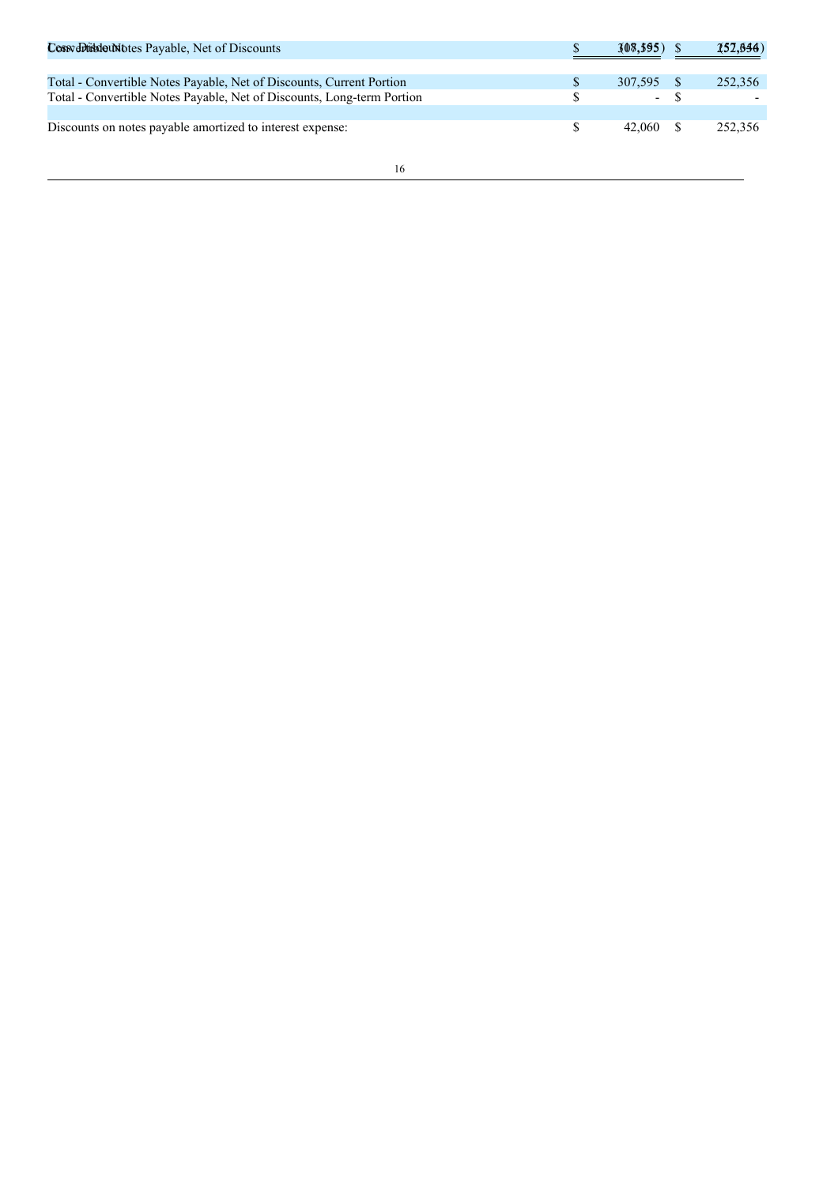| Cossy obtisded Notes Payable, Net of Discounts                                                                                                 | $308,395$ ) S                          | 152,644) |
|------------------------------------------------------------------------------------------------------------------------------------------------|----------------------------------------|----------|
| Total - Convertible Notes Payable, Net of Discounts, Current Portion<br>Total - Convertible Notes Payable, Net of Discounts, Long-term Portion | 307,595 \$<br>$\overline{\phantom{a}}$ | 252,356  |
| Discounts on notes payable amortized to interest expense:                                                                                      | 42.060                                 | 252,356  |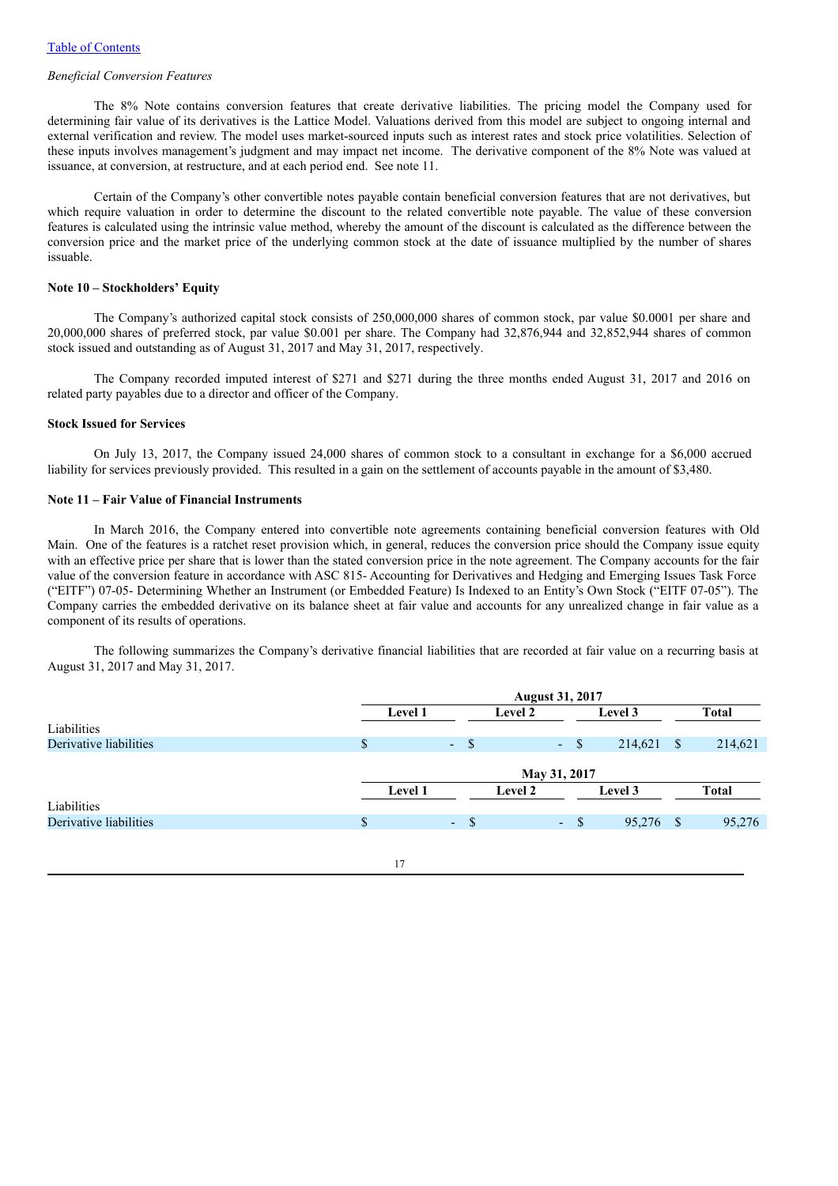### *Beneficial Conversion Features*

The 8% Note contains conversion features that create derivative liabilities. The pricing model the Company used for determining fair value of its derivatives is the Lattice Model. Valuations derived from this model are subject to ongoing internal and external verification and review. The model uses market-sourced inputs such as interest rates and stock price volatilities. Selection of these inputs involves management's judgment and may impact net income. The derivative component of the 8% Note was valued at issuance, at conversion, at restructure, and at each period end. See note 11.

Certain of the Company's other convertible notes payable contain beneficial conversion features that are not derivatives, but which require valuation in order to determine the discount to the related convertible note payable. The value of these conversion features is calculated using the intrinsic value method, whereby the amount of the discount is calculated as the difference between the conversion price and the market price of the underlying common stock at the date of issuance multiplied by the number of shares issuable.

#### **Note 10 – Stockholders' Equity**

The Company's authorized capital stock consists of 250,000,000 shares of common stock, par value \$0.0001 per share and 20,000,000 shares of preferred stock, par value \$0.001 per share. The Company had 32,876,944 and 32,852,944 shares of common stock issued and outstanding as of August 31, 2017 and May 31, 2017, respectively.

The Company recorded imputed interest of \$271 and \$271 during the three months ended August 31, 2017 and 2016 on related party payables due to a director and officer of the Company.

# **Stock Issued for Services**

On July 13, 2017, the Company issued 24,000 shares of common stock to a consultant in exchange for a \$6,000 accrued liability for services previously provided. This resulted in a gain on the settlement of accounts payable in the amount of \$3,480.

# **Note 11 – Fair Value of Financial Instruments**

In March 2016, the Company entered into convertible note agreements containing beneficial conversion features with Old Main. One of the features is a ratchet reset provision which, in general, reduces the conversion price should the Company issue equity with an effective price per share that is lower than the stated conversion price in the note agreement. The Company accounts for the fair value of the conversion feature in accordance with ASC 815- Accounting for Derivatives and Hedging and Emerging Issues Task Force ("EITF") 07-05- Determining Whether an Instrument (or Embedded Feature) Is Indexed to an Entity's Own Stock ("EITF 07-05"). The Company carries the embedded derivative on its balance sheet at fair value and accounts for any unrealized change in fair value as a component of its results of operations.

The following summarizes the Company's derivative financial liabilities that are recorded at fair value on a recurring basis at August 31, 2017 and May 31, 2017.

|                        |    | <b>August 31, 2017</b> |                  |                |        |           |     |              |
|------------------------|----|------------------------|------------------|----------------|--------|-----------|-----|--------------|
|                        |    | Level 1                |                  | Level 2        |        | Level 3   |     | <b>Total</b> |
| Liabilities            |    |                        |                  |                |        |           |     |              |
| Derivative liabilities | S  |                        | $-$ \$           |                | $-$ \$ | 214,621   | -\$ | 214,621      |
|                        |    |                        |                  |                |        |           |     |              |
|                        |    | May 31, 2017           |                  |                |        |           |     |              |
|                        |    | Level 1                |                  | <b>Level 2</b> |        | Level 3   |     | <b>Total</b> |
| Liabilities            |    |                        |                  |                |        |           |     |              |
| Derivative liabilities | \$ |                        | - \$<br>$\sim$ . |                | $-$ \$ | 95,276 \$ |     | 95,276       |
|                        |    |                        |                  |                |        |           |     |              |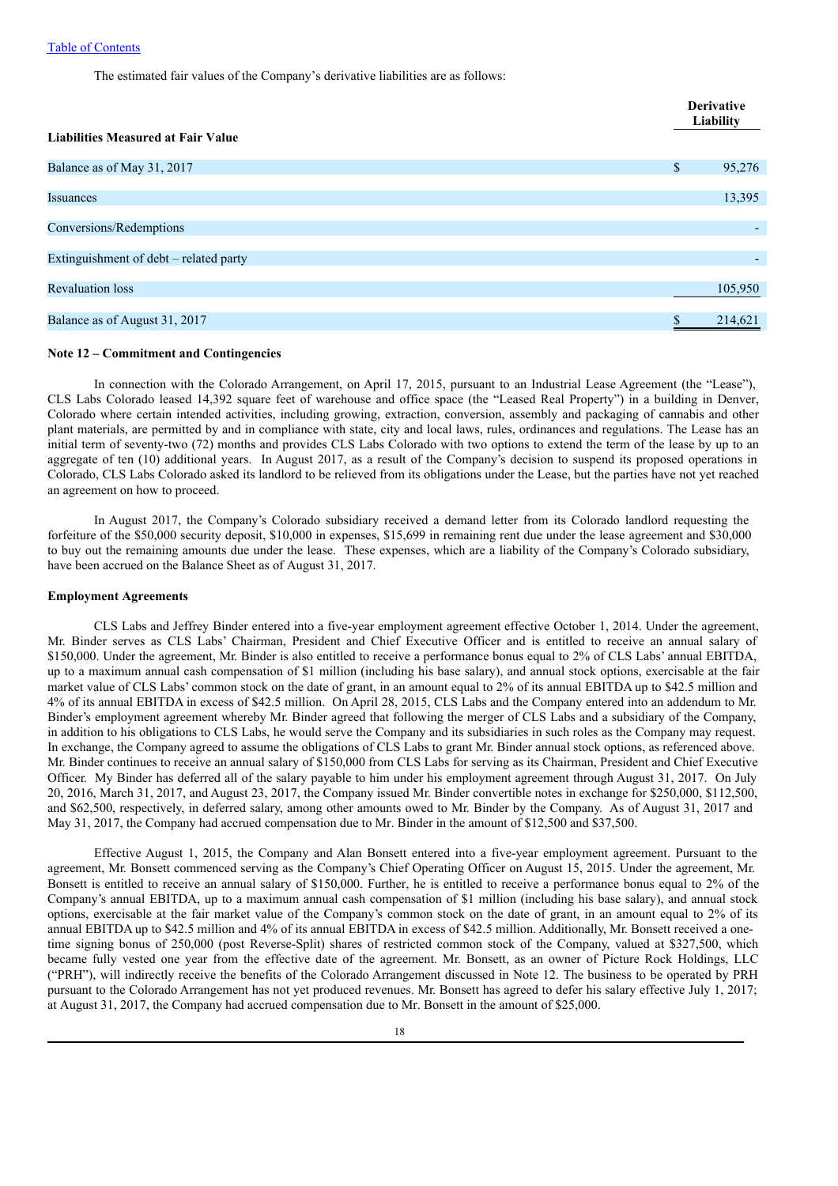The estimated fair values of the Company's derivative liabilities are as follows:

| <b>Liabilities Measured at Fair Value</b> |    | <b>Derivative</b><br>Liability |  |
|-------------------------------------------|----|--------------------------------|--|
|                                           |    |                                |  |
| Balance as of May 31, 2017                | \$ | 95,276                         |  |
|                                           |    |                                |  |
| <b>Issuances</b>                          |    | 13,395                         |  |
|                                           |    |                                |  |
| Conversions/Redemptions                   |    |                                |  |
|                                           |    |                                |  |
| Extinguishment of debt – related party    |    |                                |  |
|                                           |    |                                |  |
| <b>Revaluation loss</b>                   |    | 105,950                        |  |
|                                           |    |                                |  |
| Balance as of August 31, 2017             | ¢  | 214,621                        |  |

### **Note 12 – Commitment and Contingencies**

In connection with the Colorado Arrangement, on April 17, 2015, pursuant to an Industrial Lease Agreement (the "Lease"), CLS Labs Colorado leased 14,392 square feet of warehouse and office space (the "Leased Real Property") in a building in Denver, Colorado where certain intended activities, including growing, extraction, conversion, assembly and packaging of cannabis and other plant materials, are permitted by and in compliance with state, city and local laws, rules, ordinances and regulations. The Lease has an initial term of seventy-two (72) months and provides CLS Labs Colorado with two options to extend the term of the lease by up to an aggregate of ten (10) additional years. In August 2017, as a result of the Company's decision to suspend its proposed operations in Colorado, CLS Labs Colorado asked its landlord to be relieved from its obligations under the Lease, but the parties have not yet reached an agreement on how to proceed.

In August 2017, the Company's Colorado subsidiary received a demand letter from its Colorado landlord requesting the forfeiture of the \$50,000 security deposit, \$10,000 in expenses, \$15,699 in remaining rent due under the lease agreement and \$30,000 to buy out the remaining amounts due under the lease. These expenses, which are a liability of the Company's Colorado subsidiary, have been accrued on the Balance Sheet as of August 31, 2017.

### **Employment Agreements**

CLS Labs and Jeffrey Binder entered into a five-year employment agreement effective October 1, 2014. Under the agreement, Mr. Binder serves as CLS Labs' Chairman, President and Chief Executive Officer and is entitled to receive an annual salary of \$150,000. Under the agreement, Mr. Binder is also entitled to receive a performance bonus equal to 2% of CLS Labs' annual EBITDA, up to a maximum annual cash compensation of \$1 million (including his base salary), and annual stock options, exercisable at the fair market value of CLS Labs' common stock on the date of grant, in an amount equal to 2% of its annual EBITDA up to \$42.5 million and 4% of its annual EBITDA in excess of \$42.5 million. On April 28, 2015, CLS Labs and the Company entered into an addendum to Mr. Binder's employment agreement whereby Mr. Binder agreed that following the merger of CLS Labs and a subsidiary of the Company, in addition to his obligations to CLS Labs, he would serve the Company and its subsidiaries in such roles as the Company may request. In exchange, the Company agreed to assume the obligations of CLS Labs to grant Mr. Binder annual stock options, as referenced above. Mr. Binder continues to receive an annual salary of \$150,000 from CLS Labs for serving as its Chairman, President and Chief Executive Officer. My Binder has deferred all of the salary payable to him under his employment agreement through August 31, 2017. On July 20, 2016, March 31, 2017, and August 23, 2017, the Company issued Mr. Binder convertible notes in exchange for \$250,000, \$112,500, and \$62,500, respectively, in deferred salary, among other amounts owed to Mr. Binder by the Company. As of August 31, 2017 and May 31, 2017, the Company had accrued compensation due to Mr. Binder in the amount of \$12,500 and \$37,500.

Effective August 1, 2015, the Company and Alan Bonsett entered into a five-year employment agreement. Pursuant to the agreement, Mr. Bonsett commenced serving as the Company's Chief Operating Officer on August 15, 2015. Under the agreement, Mr. Bonsett is entitled to receive an annual salary of \$150,000. Further, he is entitled to receive a performance bonus equal to 2% of the Company's annual EBITDA, up to a maximum annual cash compensation of \$1 million (including his base salary), and annual stock options, exercisable at the fair market value of the Company's common stock on the date of grant, in an amount equal to 2% of its annual EBITDA up to \$42.5 million and 4% of its annual EBITDA in excess of \$42.5 million. Additionally, Mr. Bonsett received a onetime signing bonus of 250,000 (post Reverse-Split) shares of restricted common stock of the Company, valued at \$327,500, which became fully vested one year from the effective date of the agreement. Mr. Bonsett, as an owner of Picture Rock Holdings, LLC ("PRH"), will indirectly receive the benefits of the Colorado Arrangement discussed in Note 12. The business to be operated by PRH pursuant to the Colorado Arrangement has not yet produced revenues. Mr. Bonsett has agreed to defer his salary effective July 1, 2017; at August 31, 2017, the Company had accrued compensation due to Mr. Bonsett in the amount of \$25,000.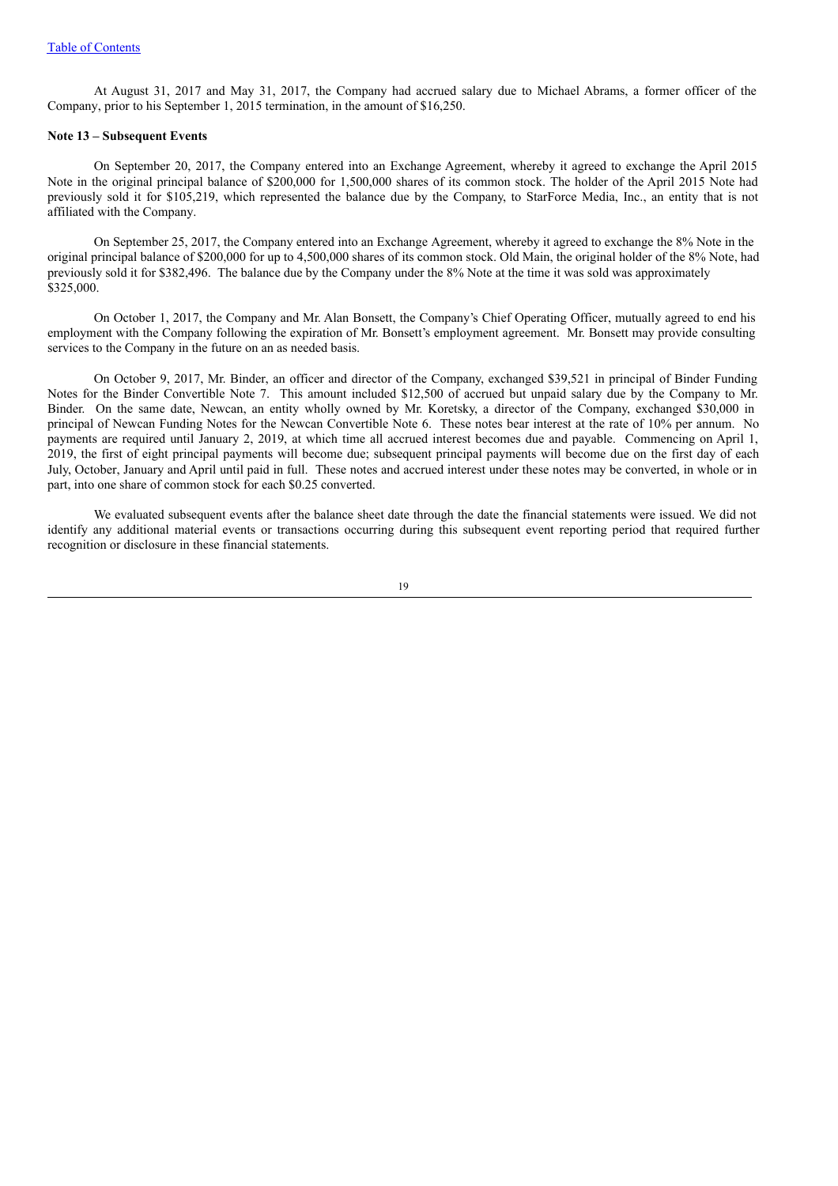At August 31, 2017 and May 31, 2017, the Company had accrued salary due to Michael Abrams, a former officer of the Company, prior to his September 1, 2015 termination, in the amount of \$16,250.

### **Note 13 – Subsequent Events**

On September 20, 2017, the Company entered into an Exchange Agreement, whereby it agreed to exchange the April 2015 Note in the original principal balance of \$200,000 for 1,500,000 shares of its common stock. The holder of the April 2015 Note had previously sold it for \$105,219, which represented the balance due by the Company, to StarForce Media, Inc., an entity that is not affiliated with the Company.

On September 25, 2017, the Company entered into an Exchange Agreement, whereby it agreed to exchange the 8% Note in the original principal balance of \$200,000 for up to 4,500,000 shares of its common stock. Old Main, the original holder of the 8% Note, had previously sold it for \$382,496. The balance due by the Company under the 8% Note at the time it was sold was approximately  $$325,000.$ 

On October 1, 2017, the Company and Mr. Alan Bonsett, the Company's Chief Operating Officer, mutually agreed to end his employment with the Company following the expiration of Mr. Bonsett's employment agreement. Mr. Bonsett may provide consulting services to the Company in the future on an as needed basis.

On October 9, 2017, Mr. Binder, an officer and director of the Company, exchanged \$39,521 in principal of Binder Funding Notes for the Binder Convertible Note 7. This amount included \$12,500 of accrued but unpaid salary due by the Company to Mr. Binder. On the same date, Newcan, an entity wholly owned by Mr. Koretsky, a director of the Company, exchanged \$30,000 in principal of Newcan Funding Notes for the Newcan Convertible Note 6. These notes bear interest at the rate of 10% per annum. No payments are required until January 2, 2019, at which time all accrued interest becomes due and payable. Commencing on April 1, 2019, the first of eight principal payments will become due; subsequent principal payments will become due on the first day of each July, October, January and April until paid in full. These notes and accrued interest under these notes may be converted, in whole or in part, into one share of common stock for each \$0.25 converted.

We evaluated subsequent events after the balance sheet date through the date the financial statements were issued. We did not identify any additional material events or transactions occurring during this subsequent event reporting period that required further recognition or disclosure in these financial statements.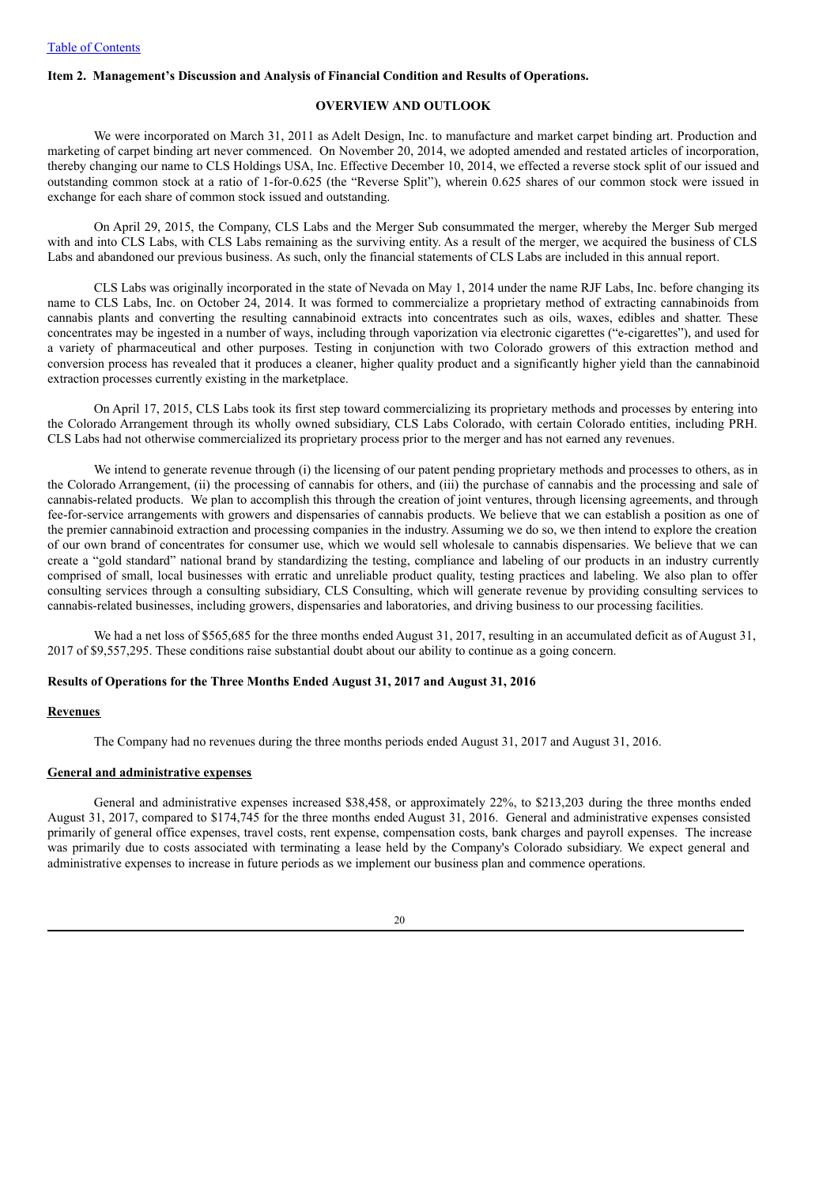# **Item 2. Management's Discussion and Analysis of Financial Condition and Results of Operations.**

# **OVERVIEW AND OUTLOOK**

We were incorporated on March 31, 2011 as Adelt Design, Inc. to manufacture and market carpet binding art. Production and marketing of carpet binding art never commenced. On November 20, 2014, we adopted amended and restated articles of incorporation, thereby changing our name to CLS Holdings USA, Inc. Effective December 10, 2014, we effected a reverse stock split of our issued and outstanding common stock at a ratio of 1-for-0.625 (the "Reverse Split"), wherein 0.625 shares of our common stock were issued in exchange for each share of common stock issued and outstanding.

On April 29, 2015, the Company, CLS Labs and the Merger Sub consummated the merger, whereby the Merger Sub merged with and into CLS Labs, with CLS Labs remaining as the surviving entity. As a result of the merger, we acquired the business of CLS Labs and abandoned our previous business. As such, only the financial statements of CLS Labs are included in this annual report.

CLS Labs was originally incorporated in the state of Nevada on May 1, 2014 under the name RJF Labs, Inc. before changing its name to CLS Labs, Inc. on October 24, 2014. It was formed to commercialize a proprietary method of extracting cannabinoids from cannabis plants and converting the resulting cannabinoid extracts into concentrates such as oils, waxes, edibles and shatter. These concentrates may be ingested in a number of ways, including through vaporization via electronic cigarettes ("e-cigarettes"), and used for a variety of pharmaceutical and other purposes. Testing in conjunction with two Colorado growers of this extraction method and conversion process has revealed that it produces a cleaner, higher quality product and a significantly higher yield than the cannabinoid extraction processes currently existing in the marketplace.

On April 17, 2015, CLS Labs took its first step toward commercializing its proprietary methods and processes by entering into the Colorado Arrangement through its wholly owned subsidiary, CLS Labs Colorado, with certain Colorado entities, including PRH. CLS Labs had not otherwise commercialized its proprietary process prior to the merger and has not earned any revenues.

We intend to generate revenue through (i) the licensing of our patent pending proprietary methods and processes to others, as in the Colorado Arrangement, (ii) the processing of cannabis for others, and (iii) the purchase of cannabis and the processing and sale of cannabis-related products. We plan to accomplish this through the creation of joint ventures, through licensing agreements, and through fee-for-service arrangements with growers and dispensaries of cannabis products. We believe that we can establish a position as one of the premier cannabinoid extraction and processing companies in the industry. Assuming we do so, we then intend to explore the creation of our own brand of concentrates for consumer use, which we would sell wholesale to cannabis dispensaries. We believe that we can create a "gold standard" national brand by standardizing the testing, compliance and labeling of our products in an industry currently comprised of small, local businesses with erratic and unreliable product quality, testing practices and labeling. We also plan to offer consulting services through a consulting subsidiary, CLS Consulting, which will generate revenue by providing consulting services to cannabis-related businesses, including growers, dispensaries and laboratories, and driving business to our processing facilities.

We had a net loss of \$565,685 for the three months ended August 31, 2017, resulting in an accumulated deficit as of August 31, 2017 of \$9,557,295. These conditions raise substantial doubt about our ability to continue as a going concern.

#### **Results of Operations for the Three Months Ended August 31, 2017 and August 31, 2016**

#### **Revenues**

The Company had no revenues during the three months periods ended August 31, 2017 and August 31, 2016.

# **General and administrative expenses**

General and administrative expenses increased \$38,458, or approximately 22%, to \$213,203 during the three months ended August 31, 2017, compared to \$174,745 for the three months ended August 31, 2016. General and administrative expenses consisted primarily of general office expenses, travel costs, rent expense, compensation costs, bank charges and payroll expenses. The increase was primarily due to costs associated with terminating a lease held by the Company's Colorado subsidiary. We expect general and administrative expenses to increase in future periods as we implement our business plan and commence operations.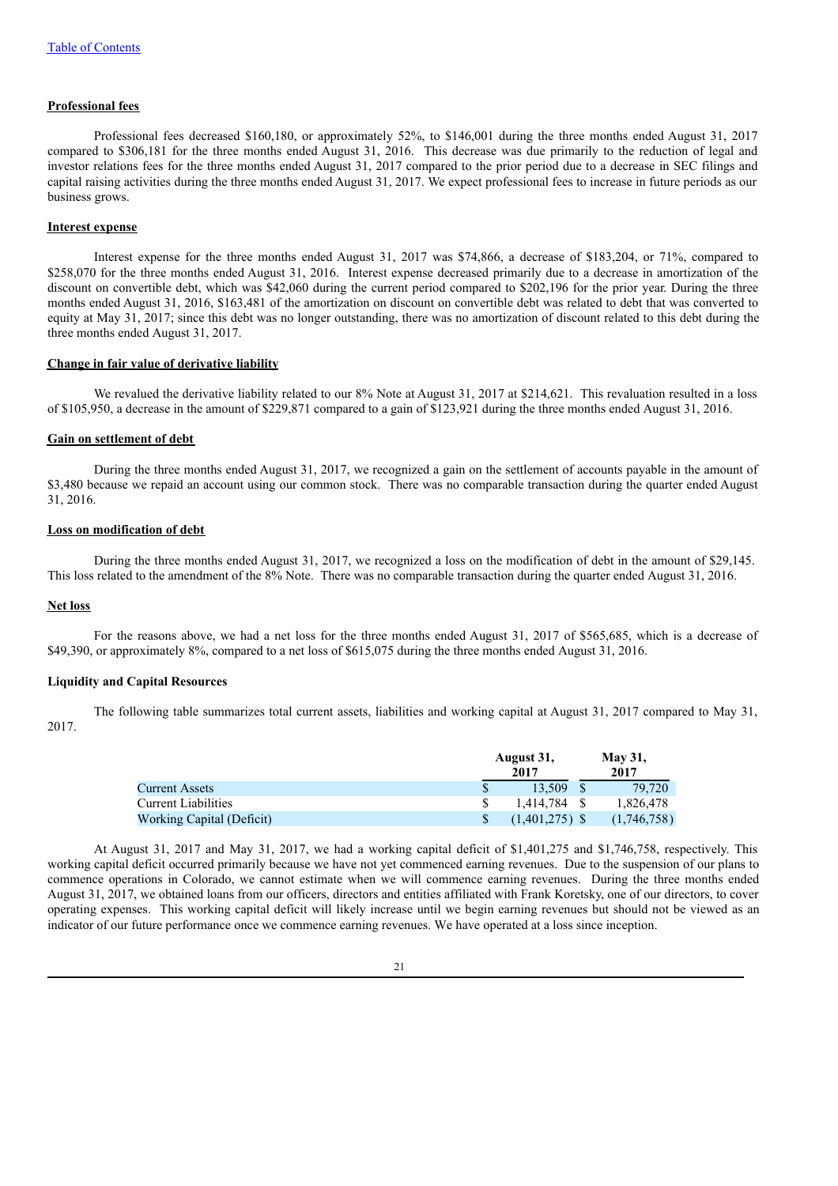#### **Professional fees**

Professional fees decreased \$160,180, or approximately 52%, to \$146,001 during the three months ended August 31, 2017 compared to \$306,181 for the three months ended August 31, 2016. This decrease was due primarily to the reduction of legal and investor relations fees for the three months ended August 31, 2017 compared to the prior period due to a decrease in SEC filings and capital raising activities during the three months ended August 31, 2017. We expect professional fees to increase in future periods as our business grows.

### **Interest expense**

Interest expense for the three months ended August 31, 2017 was \$74,866, a decrease of \$183,204, or 71%, compared to \$258,070 for the three months ended August 31, 2016. Interest expense decreased primarily due to a decrease in amortization of the discount on convertible debt, which was \$42,060 during the current period compared to \$202,196 for the prior year. During the three months ended August 31, 2016, \$163,481 of the amortization on discount on convertible debt was related to debt that was converted to equity at May 31, 2017; since this debt was no longer outstanding, there was no amortization of discount related to this debt during the three months ended August 31, 2017.

### **Change in fair value of derivative liability**

We revalued the derivative liability related to our 8% Note at August 31, 2017 at \$214,621. This revaluation resulted in a loss of \$105,950, a decrease in the amount of \$229,871 compared to a gain of \$123,921 during the three months ended August 31, 2016.

### **Gain on settlement of debt**

During the three months ended August 31, 2017, we recognized a gain on the settlement of accounts payable in the amount of \$3,480 because we repaid an account using our common stock. There was no comparable transaction during the quarter ended August 31, 2016.

# **Loss on modification of debt**

During the three months ended August 31, 2017, we recognized a loss on the modification of debt in the amount of \$29,145. This loss related to the amendment of the 8% Note. There was no comparable transaction during the quarter ended August 31, 2016.

#### **Net loss**

For the reasons above, we had a net loss for the three months ended August 31, 2017 of \$565,685, which is a decrease of \$49,390, or approximately 8%, compared to a net loss of \$615,075 during the three months ended August 31, 2016.

# **Liquidity and Capital Resources**

The following table summarizes total current assets, liabilities and working capital at August 31, 2017 compared to May 31, 2017.

|                            | August 31,<br>2017 | <b>May 31,</b><br>2017 |             |  |
|----------------------------|--------------------|------------------------|-------------|--|
| <b>Current Assets</b>      | 13.509             |                        | 79.720      |  |
| <b>Current Liabilities</b> | 1.414.784 \$       |                        | 1.826.478   |  |
| Working Capital (Deficit)  | $(1.401.275)$ \$   |                        | (1.746.758) |  |

At August 31, 2017 and May 31, 2017, we had a working capital deficit of \$1,401,275 and \$1,746,758, respectively. This working capital deficit occurred primarily because we have not yet commenced earning revenues. Due to the suspension of our plans to commence operations in Colorado, we cannot estimate when we will commence earning revenues. During the three months ended August 31, 2017, we obtained loans from our officers, directors and entities affiliated with Frank Koretsky, one of our directors, to cover operating expenses. This working capital deficit will likely increase until we begin earning revenues but should not be viewed as an indicator of our future performance once we commence earning revenues. We have operated at a loss since inception.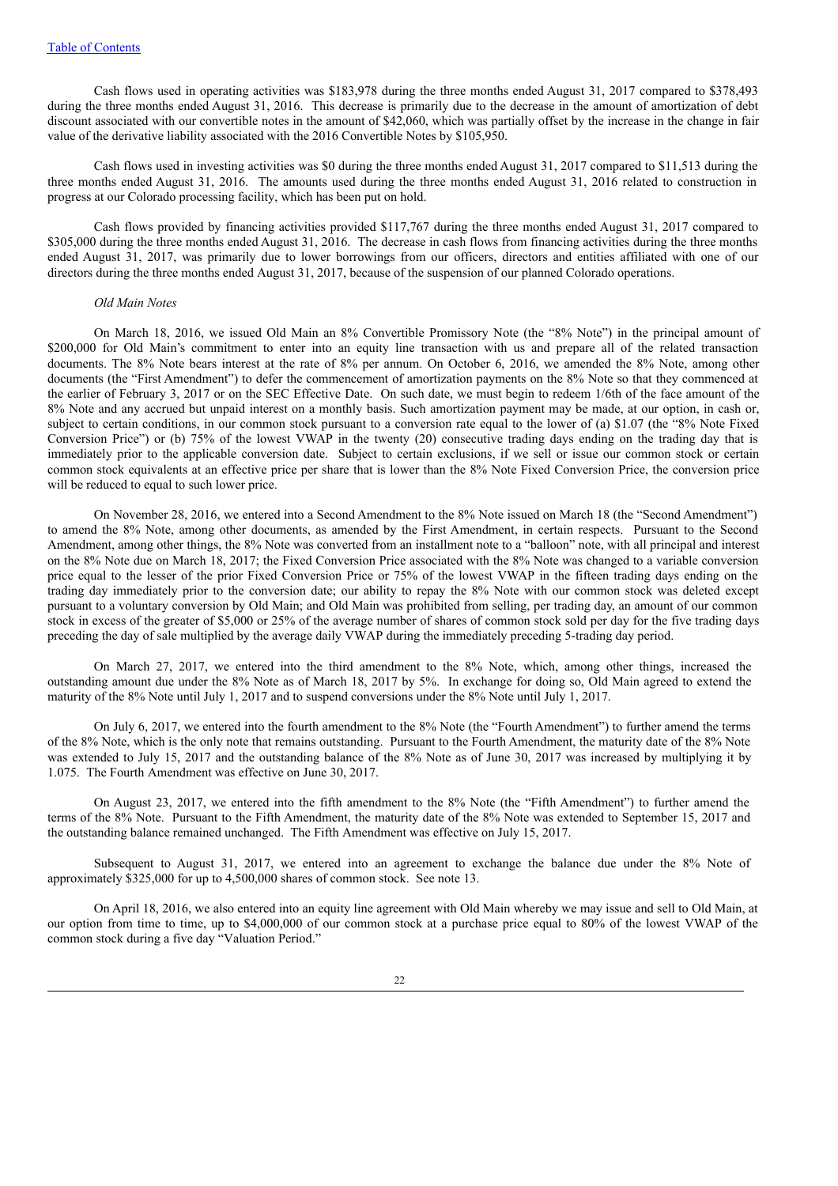Cash flows used in operating activities was \$183,978 during the three months ended August 31, 2017 compared to \$378,493 during the three months ended August 31, 2016. This decrease is primarily due to the decrease in the amount of amortization of debt discount associated with our convertible notes in the amount of \$42,060, which was partially offset by the increase in the change in fair value of the derivative liability associated with the 2016 Convertible Notes by \$105,950.

Cash flows used in investing activities was \$0 during the three months ended August 31, 2017 compared to \$11,513 during the three months ended August 31, 2016. The amounts used during the three months ended August 31, 2016 related to construction in progress at our Colorado processing facility, which has been put on hold.

Cash flows provided by financing activities provided \$117,767 during the three months ended August 31, 2017 compared to \$305,000 during the three months ended August 31, 2016. The decrease in cash flows from financing activities during the three months ended August 31, 2017, was primarily due to lower borrowings from our officers, directors and entities affiliated with one of our directors during the three months ended August 31, 2017, because of the suspension of our planned Colorado operations.

#### *Old Main Notes*

On March 18, 2016, we issued Old Main an 8% Convertible Promissory Note (the "8% Note") in the principal amount of \$200,000 for Old Main's commitment to enter into an equity line transaction with us and prepare all of the related transaction documents. The 8% Note bears interest at the rate of 8% per annum. On October 6, 2016, we amended the 8% Note, among other documents (the "First Amendment") to defer the commencement of amortization payments on the 8% Note so that they commenced at the earlier of February 3, 2017 or on the SEC Effective Date. On such date, we must begin to redeem 1/6th of the face amount of the 8% Note and any accrued but unpaid interest on a monthly basis. Such amortization payment may be made, at our option, in cash or, subject to certain conditions, in our common stock pursuant to a conversion rate equal to the lower of (a) \$1.07 (the "8% Note Fixed Conversion Price") or (b) 75% of the lowest VWAP in the twenty (20) consecutive trading days ending on the trading day that is immediately prior to the applicable conversion date. Subject to certain exclusions, if we sell or issue our common stock or certain common stock equivalents at an effective price per share that is lower than the 8% Note Fixed Conversion Price, the conversion price will be reduced to equal to such lower price.

On November 28, 2016, we entered into a Second Amendment to the 8% Note issued on March 18 (the "Second Amendment") to amend the 8% Note, among other documents, as amended by the First Amendment, in certain respects. Pursuant to the Second Amendment, among other things, the 8% Note was converted from an installment note to a "balloon" note, with all principal and interest on the 8% Note due on March 18, 2017; the Fixed Conversion Price associated with the 8% Note was changed to a variable conversion price equal to the lesser of the prior Fixed Conversion Price or 75% of the lowest VWAP in the fifteen trading days ending on the trading day immediately prior to the conversion date; our ability to repay the 8% Note with our common stock was deleted except pursuant to a voluntary conversion by Old Main; and Old Main was prohibited from selling, per trading day, an amount of our common stock in excess of the greater of \$5,000 or 25% of the average number of shares of common stock sold per day for the five trading days preceding the day of sale multiplied by the average daily VWAP during the immediately preceding 5-trading day period.

On March 27, 2017, we entered into the third amendment to the 8% Note, which, among other things, increased the outstanding amount due under the 8% Note as of March 18, 2017 by 5%. In exchange for doing so, Old Main agreed to extend the maturity of the 8% Note until July 1, 2017 and to suspend conversions under the 8% Note until July 1, 2017.

On July 6, 2017, we entered into the fourth amendment to the 8% Note (the "Fourth Amendment") to further amend the terms of the 8% Note, which is the only note that remains outstanding. Pursuant to the Fourth Amendment, the maturity date of the 8% Note was extended to July 15, 2017 and the outstanding balance of the 8% Note as of June 30, 2017 was increased by multiplying it by 1.075. The Fourth Amendment was effective on June 30, 2017.

On August 23, 2017, we entered into the fifth amendment to the 8% Note (the "Fifth Amendment") to further amend the terms of the 8% Note. Pursuant to the Fifth Amendment, the maturity date of the 8% Note was extended to September 15, 2017 and the outstanding balance remained unchanged. The Fifth Amendment was effective on July 15, 2017.

Subsequent to August 31, 2017, we entered into an agreement to exchange the balance due under the 8% Note of approximately \$325,000 for up to 4,500,000 shares of common stock. See note 13.

On April 18, 2016, we also entered into an equity line agreement with Old Main whereby we may issue and sell to Old Main, at our option from time to time, up to \$4,000,000 of our common stock at a purchase price equal to 80% of the lowest VWAP of the common stock during a five day "Valuation Period."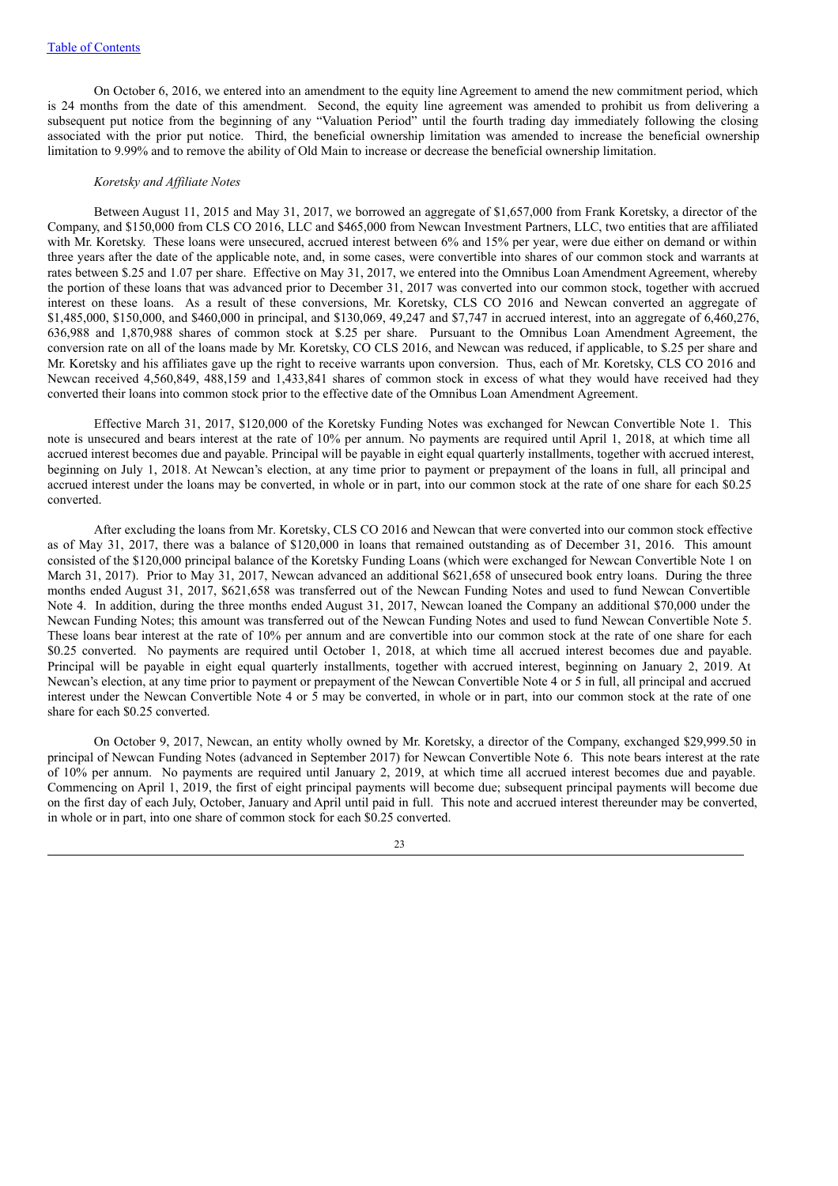On October 6, 2016, we entered into an amendment to the equity line Agreement to amend the new commitment period, which is 24 months from the date of this amendment. Second, the equity line agreement was amended to prohibit us from delivering a subsequent put notice from the beginning of any "Valuation Period" until the fourth trading day immediately following the closing associated with the prior put notice. Third, the beneficial ownership limitation was amended to increase the beneficial ownership limitation to 9.99% and to remove the ability of Old Main to increase or decrease the beneficial ownership limitation.

#### *Koretsky and Af iliate Notes*

Between August 11, 2015 and May 31, 2017, we borrowed an aggregate of \$1,657,000 from Frank Koretsky, a director of the Company, and \$150,000 from CLS CO 2016, LLC and \$465,000 from Newcan Investment Partners, LLC, two entities that are affiliated with Mr. Koretsky. These loans were unsecured, accrued interest between 6% and 15% per year, were due either on demand or within three years after the date of the applicable note, and, in some cases, were convertible into shares of our common stock and warrants at rates between \$.25 and 1.07 per share. Effective on May 31, 2017, we entered into the Omnibus Loan Amendment Agreement, whereby the portion of these loans that was advanced prior to December 31, 2017 was converted into our common stock, together with accrued interest on these loans. As a result of these conversions, Mr. Koretsky, CLS CO 2016 and Newcan converted an aggregate of \$1,485,000, \$150,000, and \$460,000 in principal, and \$130,069, 49,247 and \$7,747 in accrued interest, into an aggregate of 6,460,276, 636,988 and 1,870,988 shares of common stock at \$.25 per share. Pursuant to the Omnibus Loan Amendment Agreement, the conversion rate on all of the loans made by Mr. Koretsky, CO CLS 2016, and Newcan was reduced, if applicable, to \$.25 per share and Mr. Koretsky and his affiliates gave up the right to receive warrants upon conversion. Thus, each of Mr. Koretsky, CLS CO 2016 and Newcan received 4,560,849, 488,159 and 1,433,841 shares of common stock in excess of what they would have received had they converted their loans into common stock prior to the effective date of the Omnibus Loan Amendment Agreement.

Effective March 31, 2017, \$120,000 of the Koretsky Funding Notes was exchanged for Newcan Convertible Note 1. This note is unsecured and bears interest at the rate of 10% per annum. No payments are required until April 1, 2018, at which time all accrued interest becomes due and payable. Principal will be payable in eight equal quarterly installments, together with accrued interest, beginning on July 1, 2018. At Newcan's election, at any time prior to payment or prepayment of the loans in full, all principal and accrued interest under the loans may be converted, in whole or in part, into our common stock at the rate of one share for each \$0.25 converted.

After excluding the loans from Mr. Koretsky, CLS CO 2016 and Newcan that were converted into our common stock effective as of May 31, 2017, there was a balance of \$120,000 in loans that remained outstanding as of December 31, 2016. This amount consisted of the \$120,000 principal balance of the Koretsky Funding Loans (which were exchanged for Newcan Convertible Note 1 on March 31, 2017). Prior to May 31, 2017, Newcan advanced an additional \$621,658 of unsecured book entry loans. During the three months ended August 31, 2017, \$621,658 was transferred out of the Newcan Funding Notes and used to fund Newcan Convertible Note 4. In addition, during the three months ended August 31, 2017, Newcan loaned the Company an additional \$70,000 under the Newcan Funding Notes; this amount was transferred out of the Newcan Funding Notes and used to fund Newcan Convertible Note 5. These loans bear interest at the rate of 10% per annum and are convertible into our common stock at the rate of one share for each \$0.25 converted. No payments are required until October 1, 2018, at which time all accrued interest becomes due and payable. Principal will be payable in eight equal quarterly installments, together with accrued interest, beginning on January 2, 2019. At Newcan's election, at any time prior to payment or prepayment of the Newcan Convertible Note 4 or 5 in full, all principal and accrued interest under the Newcan Convertible Note 4 or 5 may be converted, in whole or in part, into our common stock at the rate of one share for each \$0.25 converted.

On October 9, 2017, Newcan, an entity wholly owned by Mr. Koretsky, a director of the Company, exchanged \$29,999.50 in principal of Newcan Funding Notes (advanced in September 2017) for Newcan Convertible Note 6. This note bears interest at the rate of 10% per annum. No payments are required until January 2, 2019, at which time all accrued interest becomes due and payable. Commencing on April 1, 2019, the first of eight principal payments will become due; subsequent principal payments will become due on the first day of each July, October, January and April until paid in full. This note and accrued interest thereunder may be converted, in whole or in part, into one share of common stock for each \$0.25 converted.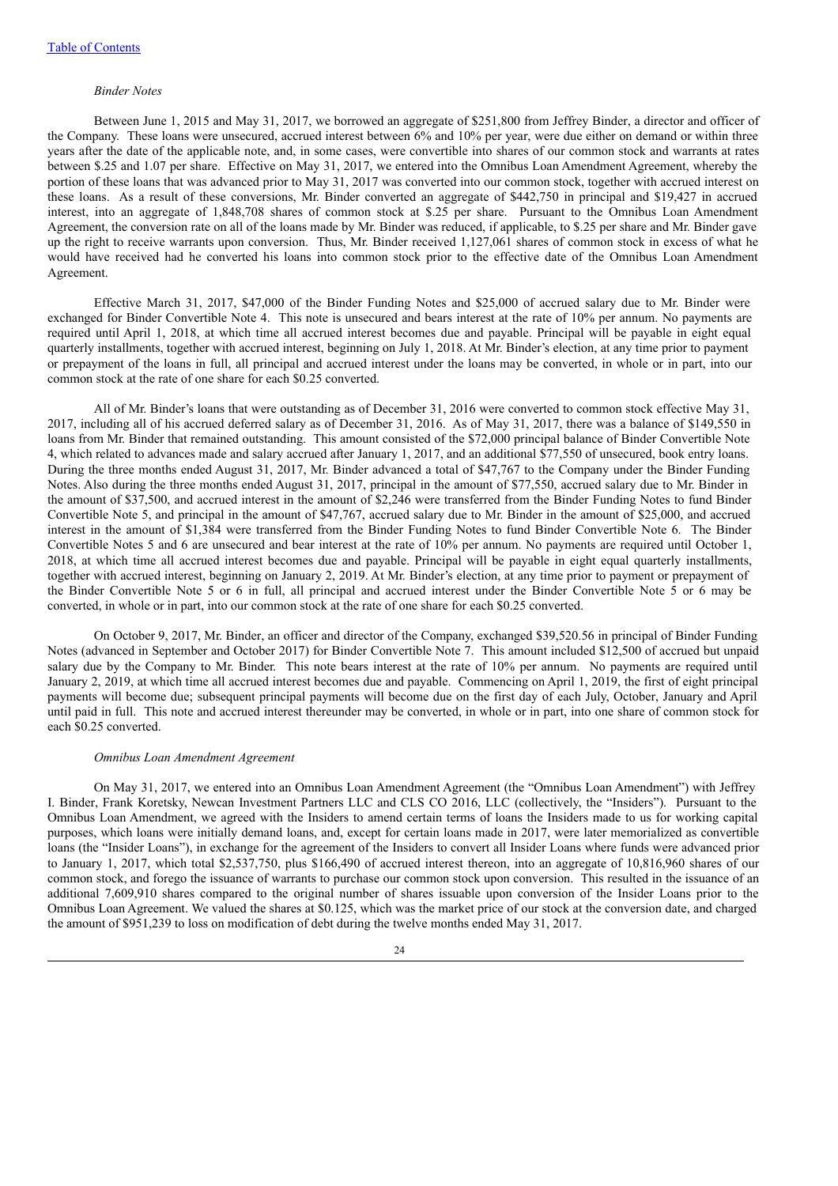#### *Binder Notes*

Between June 1, 2015 and May 31, 2017, we borrowed an aggregate of \$251,800 from Jeffrey Binder, a director and officer of the Company. These loans were unsecured, accrued interest between 6% and 10% per year, were due either on demand or within three years after the date of the applicable note, and, in some cases, were convertible into shares of our common stock and warrants at rates between \$.25 and 1.07 per share. Effective on May 31, 2017, we entered into the Omnibus Loan Amendment Agreement, whereby the portion of these loans that was advanced prior to May 31, 2017 was converted into our common stock, together with accrued interest on these loans. As a result of these conversions, Mr. Binder converted an aggregate of \$442,750 in principal and \$19,427 in accrued interest, into an aggregate of 1,848,708 shares of common stock at \$.25 per share. Pursuant to the Omnibus Loan Amendment Agreement, the conversion rate on all of the loans made by Mr. Binder was reduced, if applicable, to \$.25 per share and Mr. Binder gave up the right to receive warrants upon conversion. Thus, Mr. Binder received 1,127,061 shares of common stock in excess of what he would have received had he converted his loans into common stock prior to the effective date of the Omnibus Loan Amendment Agreement.

Effective March 31, 2017, \$47,000 of the Binder Funding Notes and \$25,000 of accrued salary due to Mr. Binder were exchanged for Binder Convertible Note 4. This note is unsecured and bears interest at the rate of 10% per annum. No payments are required until April 1, 2018, at which time all accrued interest becomes due and payable. Principal will be payable in eight equal quarterly installments, together with accrued interest, beginning on July 1, 2018. At Mr. Binder's election, at any time prior to payment or prepayment of the loans in full, all principal and accrued interest under the loans may be converted, in whole or in part, into our common stock at the rate of one share for each \$0.25 converted.

All of Mr. Binder's loans that were outstanding as of December 31, 2016 were converted to common stock effective May 31, 2017, including all of his accrued deferred salary as of December 31, 2016. As of May 31, 2017, there was a balance of \$149,550 in loans from Mr. Binder that remained outstanding. This amount consisted of the \$72,000 principal balance of Binder Convertible Note 4, which related to advances made and salary accrued after January 1, 2017, and an additional \$77,550 of unsecured, book entry loans. During the three months ended August 31, 2017, Mr. Binder advanced a total of \$47,767 to the Company under the Binder Funding Notes. Also during the three months ended August 31, 2017, principal in the amount of \$77,550, accrued salary due to Mr. Binder in the amount of \$37,500, and accrued interest in the amount of \$2,246 were transferred from the Binder Funding Notes to fund Binder Convertible Note 5, and principal in the amount of \$47,767, accrued salary due to Mr. Binder in the amount of \$25,000, and accrued interest in the amount of \$1,384 were transferred from the Binder Funding Notes to fund Binder Convertible Note 6. The Binder Convertible Notes 5 and 6 are unsecured and bear interest at the rate of 10% per annum. No payments are required until October 1, 2018, at which time all accrued interest becomes due and payable. Principal will be payable in eight equal quarterly installments, together with accrued interest, beginning on January 2, 2019. At Mr. Binder's election, at any time prior to payment or prepayment of the Binder Convertible Note 5 or 6 in full, all principal and accrued interest under the Binder Convertible Note 5 or 6 may be converted, in whole or in part, into our common stock at the rate of one share for each \$0.25 converted.

On October 9, 2017, Mr. Binder, an officer and director of the Company, exchanged \$39,520.56 in principal of Binder Funding Notes (advanced in September and October 2017) for Binder Convertible Note 7. This amount included \$12,500 of accrued but unpaid salary due by the Company to Mr. Binder. This note bears interest at the rate of 10% per annum. No payments are required until January 2, 2019, at which time all accrued interest becomes due and payable. Commencing on April 1, 2019, the first of eight principal payments will become due; subsequent principal payments will become due on the first day of each July, October, January and April until paid in full. This note and accrued interest thereunder may be converted, in whole or in part, into one share of common stock for each \$0.25 converted.

#### *Omnibus Loan Amendment Agreement*

On May 31, 2017, we entered into an Omnibus Loan Amendment Agreement (the "Omnibus Loan Amendment") with Jeffrey I. Binder, Frank Koretsky, Newcan Investment Partners LLC and CLS CO 2016, LLC (collectively, the "Insiders"). Pursuant to the Omnibus Loan Amendment, we agreed with the Insiders to amend certain terms of loans the Insiders made to us for working capital purposes, which loans were initially demand loans, and, except for certain loans made in 2017, were later memorialized as convertible loans (the "Insider Loans"), in exchange for the agreement of the Insiders to convert all Insider Loans where funds were advanced prior to January 1, 2017, which total \$2,537,750, plus \$166,490 of accrued interest thereon, into an aggregate of 10,816,960 shares of our common stock, and forego the issuance of warrants to purchase our common stock upon conversion. This resulted in the issuance of an additional 7,609,910 shares compared to the original number of shares issuable upon conversion of the Insider Loans prior to the Omnibus Loan Agreement. We valued the shares at \$0.125, which was the market price of our stock at the conversion date, and charged the amount of \$951,239 to loss on modification of debt during the twelve months ended May 31, 2017.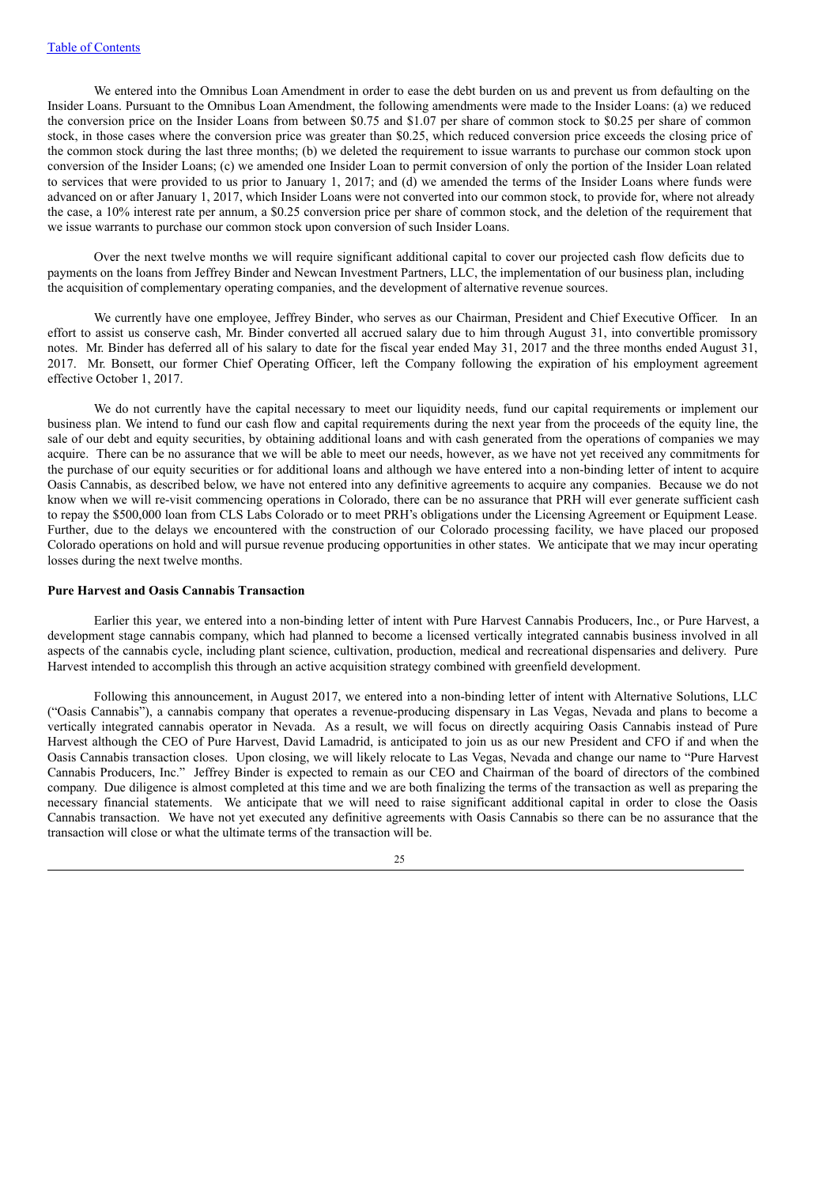We entered into the Omnibus Loan Amendment in order to ease the debt burden on us and prevent us from defaulting on the Insider Loans. Pursuant to the Omnibus Loan Amendment, the following amendments were made to the Insider Loans: (a) we reduced the conversion price on the Insider Loans from between \$0.75 and \$1.07 per share of common stock to \$0.25 per share of common stock, in those cases where the conversion price was greater than \$0.25, which reduced conversion price exceeds the closing price of the common stock during the last three months; (b) we deleted the requirement to issue warrants to purchase our common stock upon conversion of the Insider Loans; (c) we amended one Insider Loan to permit conversion of only the portion of the Insider Loan related to services that were provided to us prior to January 1, 2017; and (d) we amended the terms of the Insider Loans where funds were advanced on or after January 1, 2017, which Insider Loans were not converted into our common stock, to provide for, where not already the case, a 10% interest rate per annum, a \$0.25 conversion price per share of common stock, and the deletion of the requirement that we issue warrants to purchase our common stock upon conversion of such Insider Loans.

Over the next twelve months we will require significant additional capital to cover our projected cash flow deficits due to payments on the loans from Jeffrey Binder and Newcan Investment Partners, LLC, the implementation of our business plan, including the acquisition of complementary operating companies, and the development of alternative revenue sources.

We currently have one employee, Jeffrey Binder, who serves as our Chairman, President and Chief Executive Officer. In an effort to assist us conserve cash, Mr. Binder converted all accrued salary due to him through August 31, into convertible promissory notes. Mr. Binder has deferred all of his salary to date for the fiscal year ended May 31, 2017 and the three months ended August 31, 2017. Mr. Bonsett, our former Chief Operating Officer, left the Company following the expiration of his employment agreement effective October 1, 2017.

We do not currently have the capital necessary to meet our liquidity needs, fund our capital requirements or implement our business plan. We intend to fund our cash flow and capital requirements during the next year from the proceeds of the equity line, the sale of our debt and equity securities, by obtaining additional loans and with cash generated from the operations of companies we may acquire. There can be no assurance that we will be able to meet our needs, however, as we have not yet received any commitments for the purchase of our equity securities or for additional loans and although we have entered into a non-binding letter of intent to acquire Oasis Cannabis, as described below, we have not entered into any definitive agreements to acquire any companies. Because we do not know when we will re-visit commencing operations in Colorado, there can be no assurance that PRH will ever generate sufficient cash to repay the \$500,000 loan from CLS Labs Colorado or to meet PRH's obligations under the Licensing Agreement or Equipment Lease. Further, due to the delays we encountered with the construction of our Colorado processing facility, we have placed our proposed Colorado operations on hold and will pursue revenue producing opportunities in other states. We anticipate that we may incur operating losses during the next twelve months.

#### **Pure Harvest and Oasis Cannabis Transaction**

Earlier this year, we entered into a non-binding letter of intent with Pure Harvest Cannabis Producers, Inc., or Pure Harvest, a development stage cannabis company, which had planned to become a licensed vertically integrated cannabis business involved in all aspects of the cannabis cycle, including plant science, cultivation, production, medical and recreational dispensaries and delivery. Pure Harvest intended to accomplish this through an active acquisition strategy combined with greenfield development.

Following this announcement, in August 2017, we entered into a non-binding letter of intent with Alternative Solutions, LLC ("Oasis Cannabis"), a cannabis company that operates a revenue-producing dispensary in Las Vegas, Nevada and plans to become a vertically integrated cannabis operator in Nevada. As a result, we will focus on directly acquiring Oasis Cannabis instead of Pure Harvest although the CEO of Pure Harvest, David Lamadrid, is anticipated to join us as our new President and CFO if and when the Oasis Cannabis transaction closes. Upon closing, we will likely relocate to Las Vegas, Nevada and change our name to "Pure Harvest Cannabis Producers, Inc." Jeffrey Binder is expected to remain as our CEO and Chairman of the board of directors of the combined company. Due diligence is almost completed at this time and we are both finalizing the terms of the transaction as well as preparing the necessary financial statements. We anticipate that we will need to raise significant additional capital in order to close the Oasis Cannabis transaction. We have not yet executed any definitive agreements with Oasis Cannabis so there can be no assurance that the transaction will close or what the ultimate terms of the transaction will be.

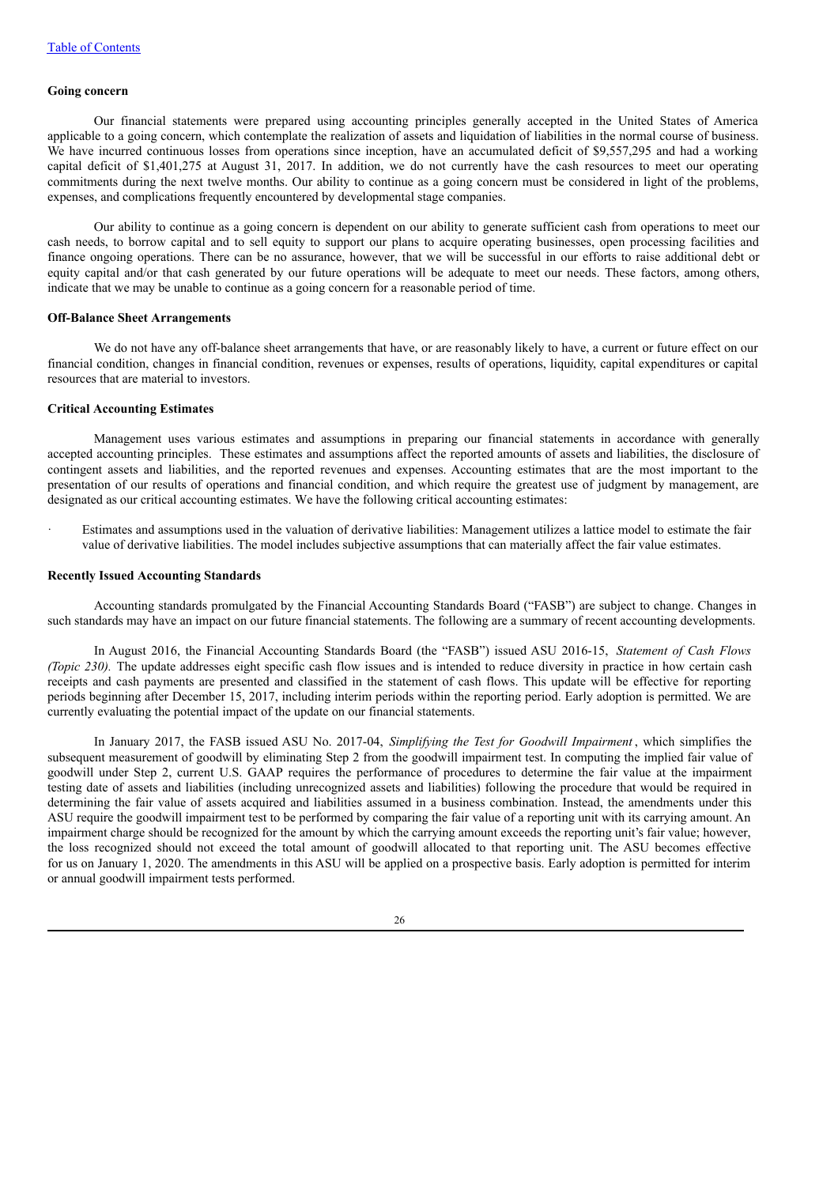# **Going concern**

Our financial statements were prepared using accounting principles generally accepted in the United States of America applicable to a going concern, which contemplate the realization of assets and liquidation of liabilities in the normal course of business. We have incurred continuous losses from operations since inception, have an accumulated deficit of \$9,557,295 and had a working capital deficit of \$1,401,275 at August 31, 2017. In addition, we do not currently have the cash resources to meet our operating commitments during the next twelve months. Our ability to continue as a going concern must be considered in light of the problems, expenses, and complications frequently encountered by developmental stage companies.

Our ability to continue as a going concern is dependent on our ability to generate sufficient cash from operations to meet our cash needs, to borrow capital and to sell equity to support our plans to acquire operating businesses, open processing facilities and finance ongoing operations. There can be no assurance, however, that we will be successful in our efforts to raise additional debt or equity capital and/or that cash generated by our future operations will be adequate to meet our needs. These factors, among others, indicate that we may be unable to continue as a going concern for a reasonable period of time.

#### **Off-Balance Sheet Arrangements**

We do not have any off-balance sheet arrangements that have, or are reasonably likely to have, a current or future effect on our financial condition, changes in financial condition, revenues or expenses, results of operations, liquidity, capital expenditures or capital resources that are material to investors.

# **Critical Accounting Estimates**

Management uses various estimates and assumptions in preparing our financial statements in accordance with generally accepted accounting principles. These estimates and assumptions affect the reported amounts of assets and liabilities, the disclosure of contingent assets and liabilities, and the reported revenues and expenses. Accounting estimates that are the most important to the presentation of our results of operations and financial condition, and which require the greatest use of judgment by management, are designated as our critical accounting estimates. We have the following critical accounting estimates:

Estimates and assumptions used in the valuation of derivative liabilities: Management utilizes a lattice model to estimate the fair value of derivative liabilities. The model includes subjective assumptions that can materially affect the fair value estimates.

#### **Recently Issued Accounting Standards**

Accounting standards promulgated by the Financial Accounting Standards Board ("FASB") are subject to change. Changes in such standards may have an impact on our future financial statements. The following are a summary of recent accounting developments.

In August 2016, the Financial Accounting Standards Board (the "FASB") issued ASU 2016-15, *Statement of Cash Flows (Topic 230)*. The update addresses eight specific cash flow issues and is intended to reduce diversity in practice in how certain cash receipts and cash payments are presented and classified in the statement of cash flows. This update will be effective for reporting periods beginning after December 15, 2017, including interim periods within the reporting period. Early adoption is permitted. We are currently evaluating the potential impact of the update on our financial statements.

In January 2017, the FASB issued ASU No. 2017-04, *Simplifying the Test for Goodwill Impairment* , which simplifies the subsequent measurement of goodwill by eliminating Step 2 from the goodwill impairment test. In computing the implied fair value of goodwill under Step 2, current U.S. GAAP requires the performance of procedures to determine the fair value at the impairment testing date of assets and liabilities (including unrecognized assets and liabilities) following the procedure that would be required in determining the fair value of assets acquired and liabilities assumed in a business combination. Instead, the amendments under this ASU require the goodwill impairment test to be performed by comparing the fair value of a reporting unit with its carrying amount. An impairment charge should be recognized for the amount by which the carrying amount exceeds the reporting unit's fair value; however, the loss recognized should not exceed the total amount of goodwill allocated to that reporting unit. The ASU becomes effective for us on January 1, 2020. The amendments in this ASU will be applied on a prospective basis. Early adoption is permitted for interim or annual goodwill impairment tests performed.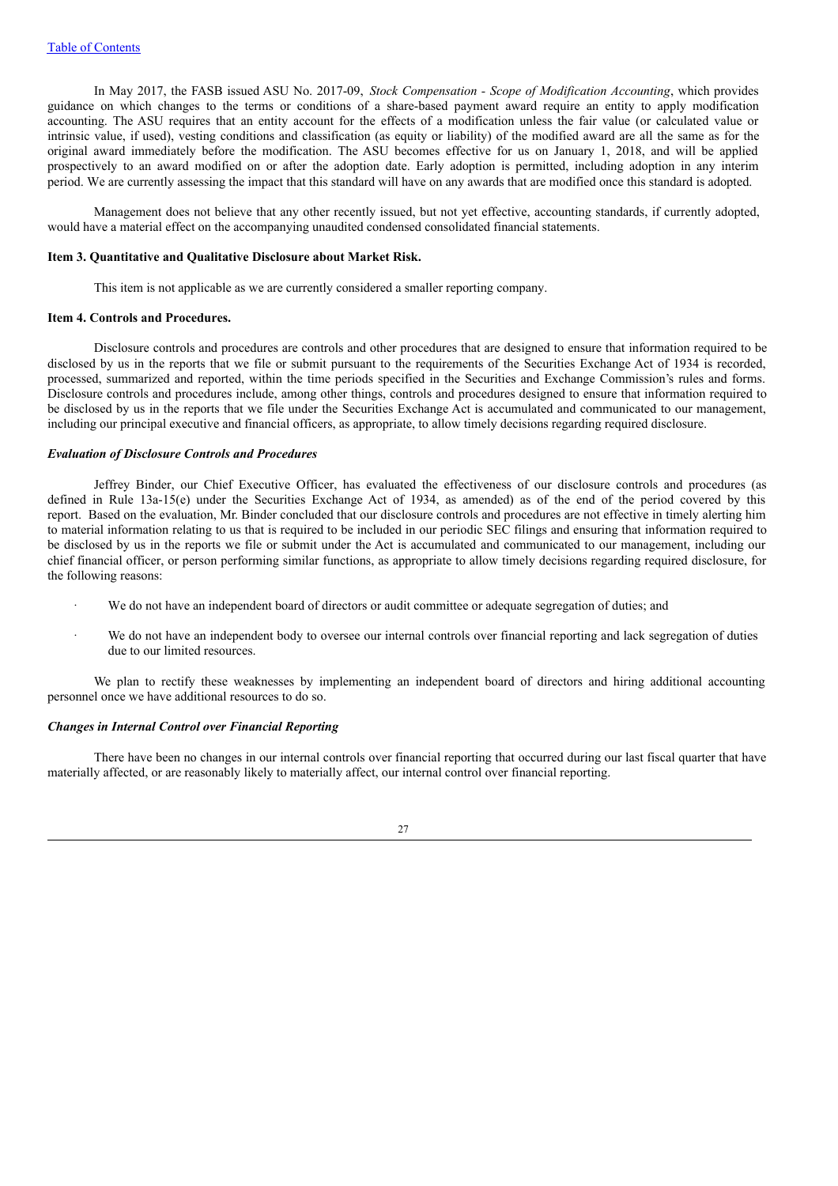In May 2017, the FASB issued ASU No. 2017-09, *Stock Compensation - Scope of Modification Accounting*, which provides guidance on which changes to the terms or conditions of a share-based payment award require an entity to apply modification accounting. The ASU requires that an entity account for the effects of a modification unless the fair value (or calculated value or intrinsic value, if used), vesting conditions and classification (as equity or liability) of the modified award are all the same as for the original award immediately before the modification. The ASU becomes effective for us on January 1, 2018, and will be applied prospectively to an award modified on or after the adoption date. Early adoption is permitted, including adoption in any interim period. We are currently assessing the impact that this standard will have on any awards that are modified once this standard is adopted.

Management does not believe that any other recently issued, but not yet effective, accounting standards, if currently adopted, would have a material effect on the accompanying unaudited condensed consolidated financial statements.

#### **Item 3. Quantitative and Qualitative Disclosure about Market Risk.**

This item is not applicable as we are currently considered a smaller reporting company.

# **Item 4. Controls and Procedures.**

Disclosure controls and procedures are controls and other procedures that are designed to ensure that information required to be disclosed by us in the reports that we file or submit pursuant to the requirements of the Securities Exchange Act of 1934 is recorded, processed, summarized and reported, within the time periods specified in the Securities and Exchange Commission's rules and forms. Disclosure controls and procedures include, among other things, controls and procedures designed to ensure that information required to be disclosed by us in the reports that we file under the Securities Exchange Act is accumulated and communicated to our management, including our principal executive and financial officers, as appropriate, to allow timely decisions regarding required disclosure.

### *Evaluation of Disclosure Controls and Procedures*

Jeffrey Binder, our Chief Executive Officer, has evaluated the effectiveness of our disclosure controls and procedures (as defined in Rule 13a-15(e) under the Securities Exchange Act of 1934, as amended) as of the end of the period covered by this report. Based on the evaluation, Mr. Binder concluded that our disclosure controls and procedures are not effective in timely alerting him to material information relating to us that is required to be included in our periodic SEC filings and ensuring that information required to be disclosed by us in the reports we file or submit under the Act is accumulated and communicated to our management, including our chief financial officer, or person performing similar functions, as appropriate to allow timely decisions regarding required disclosure, for the following reasons:

- We do not have an independent board of directors or audit committee or adequate segregation of duties; and
- We do not have an independent body to oversee our internal controls over financial reporting and lack segregation of duties due to our limited resources.

We plan to rectify these weaknesses by implementing an independent board of directors and hiring additional accounting personnel once we have additional resources to do so.

#### *Changes in Internal Control over Financial Reporting*

There have been no changes in our internal controls over financial reporting that occurred during our last fiscal quarter that have materially affected, or are reasonably likely to materially affect, our internal control over financial reporting.

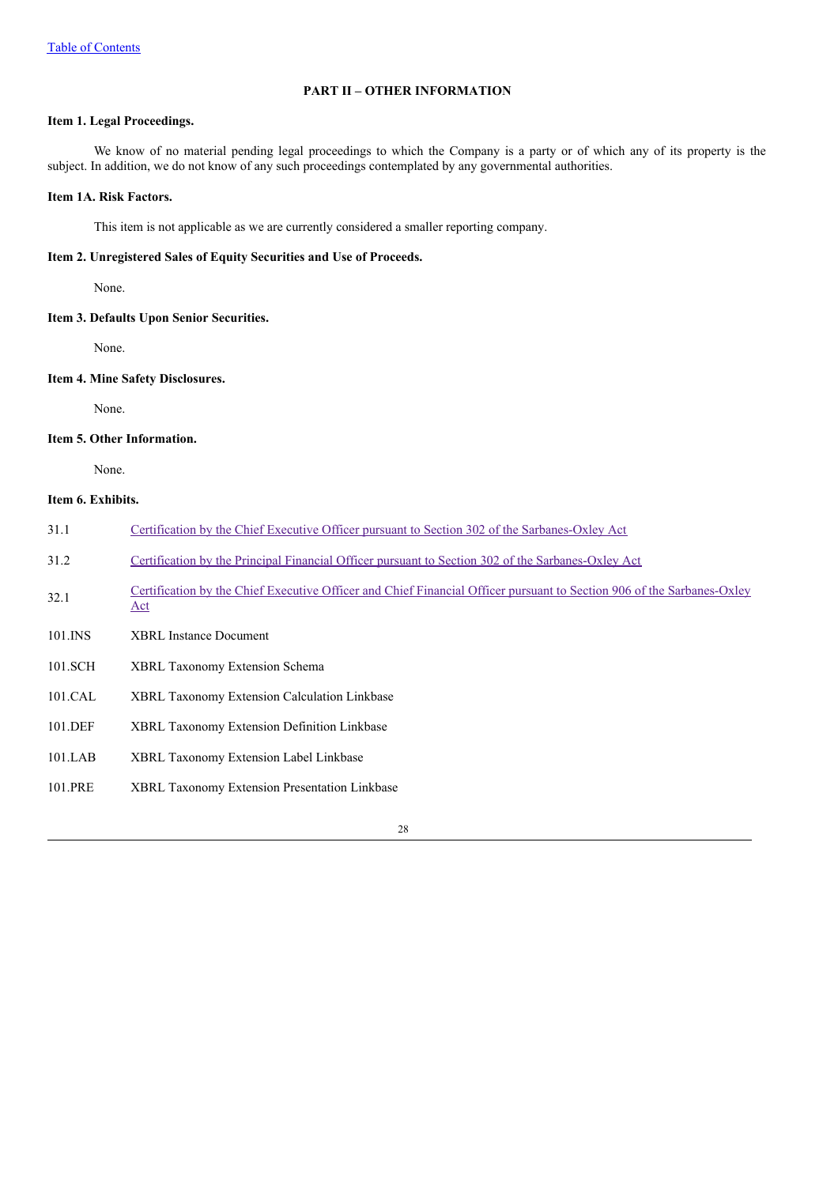# **PART II – OTHER INFORMATION**

# **Item 1. Legal Proceedings.**

We know of no material pending legal proceedings to which the Company is a party or of which any of its property is the subject. In addition, we do not know of any such proceedings contemplated by any governmental authorities.

# **Item 1A. Risk Factors.**

This item is not applicable as we are currently considered a smaller reporting company.

# **Item 2. Unregistered Sales of Equity Securities and Use of Proceeds.**

None.

# **Item 3. Defaults Upon Senior Securities.**

None.

# **Item 4. Mine Safety Disclosures.**

None.

# **Item 5. Other Information.**

None.

# **Item 6. Exhibits.**

| 31.1    | Certification by the Chief Executive Officer pursuant to Section 302 of the Sarbanes-Oxley Act                                |
|---------|-------------------------------------------------------------------------------------------------------------------------------|
| 31.2    | Certification by the Principal Financial Officer pursuant to Section 302 of the Sarbanes-Oxley Act                            |
| 32.1    | Certification by the Chief Executive Officer and Chief Financial Officer pursuant to Section 906 of the Sarbanes-Oxley<br>Act |
| 101.INS | <b>XBRL</b> Instance Document                                                                                                 |
| 101.SCH | <b>XBRL Taxonomy Extension Schema</b>                                                                                         |
| 101.CAL | XBRL Taxonomy Extension Calculation Linkbase                                                                                  |
| 101.DEF | <b>XBRL Taxonomy Extension Definition Linkbase</b>                                                                            |
| 101.LAB | <b>XBRL Taxonomy Extension Label Linkbase</b>                                                                                 |
| 101.PRE | <b>XBRL Taxonomy Extension Presentation Linkbase</b>                                                                          |
|         |                                                                                                                               |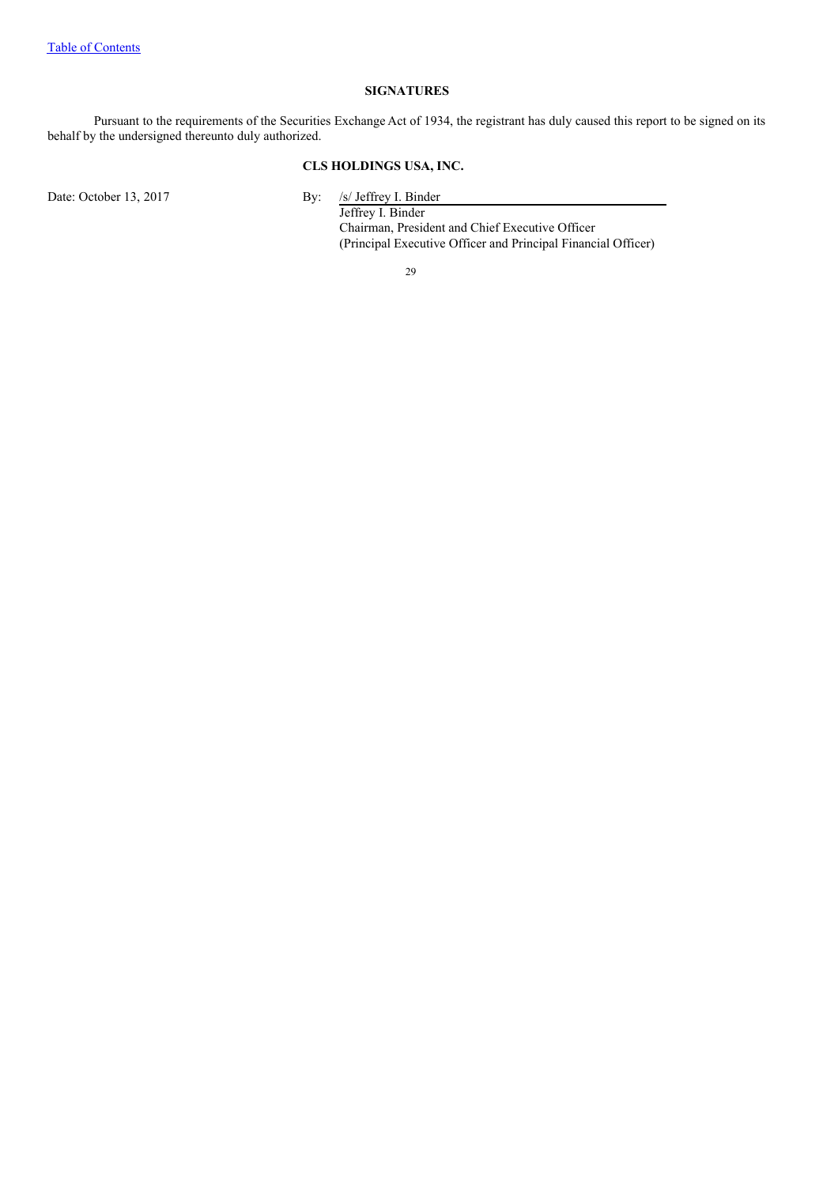# **SIGNATURES**

Pursuant to the requirements of the Securities Exchange Act of 1934, the registrant has duly caused this report to be signed on its behalf by the undersigned thereunto duly authorized.

# **CLS HOLDINGS USA, INC.**

Date: October 13, 2017 By:

/s/ Jeffrey I. Binder<br>Jeffrey I. Binder Chairman, President and Chief Executive Officer (Principal Executive Officer and Principal Financial Officer)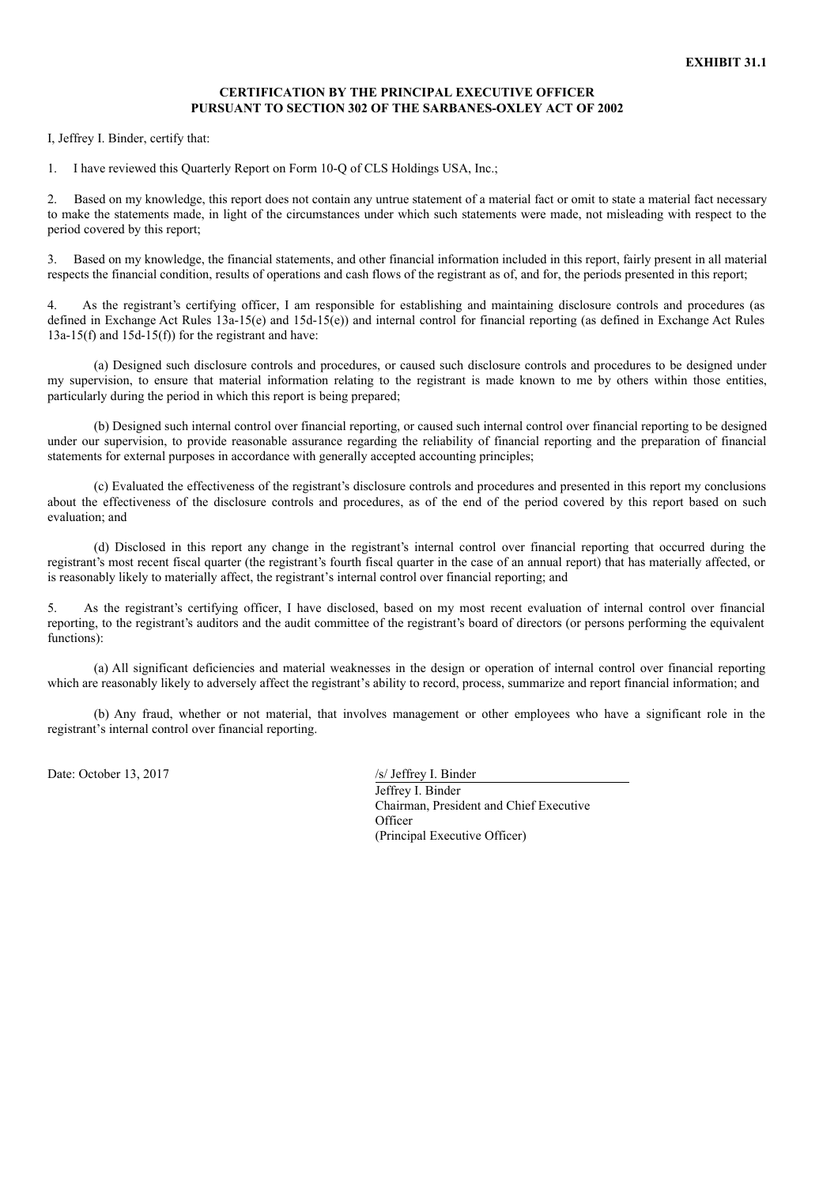## **CERTIFICATION BY THE PRINCIPAL EXECUTIVE OFFICER PURSUANT TO SECTION 302 OF THE SARBANES-OXLEY ACT OF 2002**

I, Jeffrey I. Binder, certify that:

1. I have reviewed this Quarterly Report on Form 10-Q of CLS Holdings USA, Inc.;

2. Based on my knowledge, this report does not contain any untrue statement of a material fact or omit to state a material fact necessary to make the statements made, in light of the circumstances under which such statements were made, not misleading with respect to the period covered by this report;

3. Based on my knowledge, the financial statements, and other financial information included in this report, fairly present in all material respects the financial condition, results of operations and cash flows of the registrant as of, and for, the periods presented in this report;

4. As the registrant's certifying officer, I am responsible for establishing and maintaining disclosure controls and procedures (as defined in Exchange Act Rules 13a-15(e) and 15d-15(e)) and internal control for financial reporting (as defined in Exchange Act Rules  $13a-15(f)$  and  $15d-15(f)$  for the registrant and have:

(a) Designed such disclosure controls and procedures, or caused such disclosure controls and procedures to be designed under my supervision, to ensure that material information relating to the registrant is made known to me by others within those entities, particularly during the period in which this report is being prepared;

(b) Designed such internal control over financial reporting, or caused such internal control over financial reporting to be designed under our supervision, to provide reasonable assurance regarding the reliability of financial reporting and the preparation of financial statements for external purposes in accordance with generally accepted accounting principles;

(c) Evaluated the effectiveness of the registrant's disclosure controls and procedures and presented in this report my conclusions about the effectiveness of the disclosure controls and procedures, as of the end of the period covered by this report based on such evaluation; and

(d) Disclosed in this report any change in the registrant's internal control over financial reporting that occurred during the registrant's most recent fiscal quarter (the registrant's fourth fiscal quarter in the case of an annual report) that has materially affected, or is reasonably likely to materially affect, the registrant's internal control over financial reporting; and

5. As the registrant's certifying officer, I have disclosed, based on my most recent evaluation of internal control over financial reporting, to the registrant's auditors and the audit committee of the registrant's board of directors (or persons performing the equivalent functions):

(a) All significant deficiencies and material weaknesses in the design or operation of internal control over financial reporting which are reasonably likely to adversely affect the registrant's ability to record, process, summarize and report financial information; and

(b) Any fraud, whether or not material, that involves management or other employees who have a significant role in the registrant's internal control over financial reporting.

Date: October 13, 2017 /s/ Jeffrey I. Binder

Jeffrey I. Binder Chairman, President and Chief Executive **Officer** (Principal Executive Officer)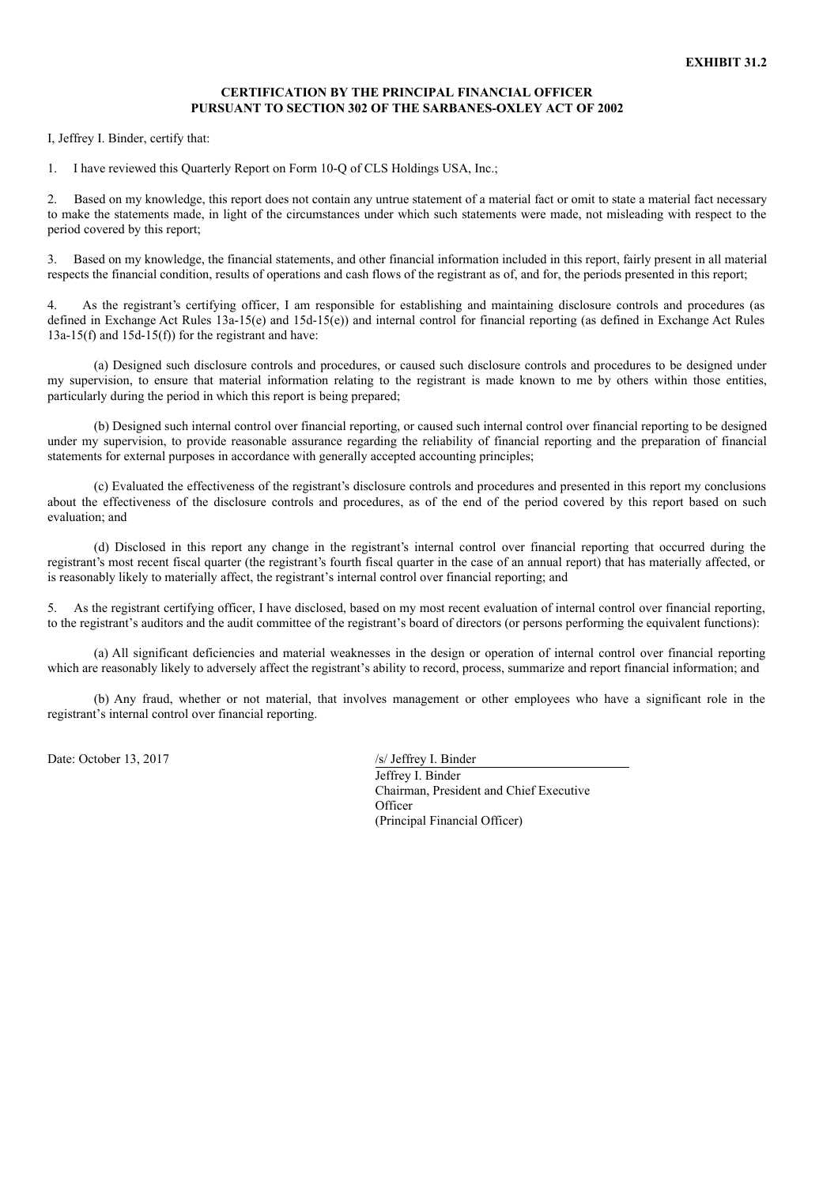## **CERTIFICATION BY THE PRINCIPAL FINANCIAL OFFICER PURSUANT TO SECTION 302 OF THE SARBANES-OXLEY ACT OF 2002**

I, Jeffrey I. Binder, certify that:

1. I have reviewed this Quarterly Report on Form 10-Q of CLS Holdings USA, Inc.;

2. Based on my knowledge, this report does not contain any untrue statement of a material fact or omit to state a material fact necessary to make the statements made, in light of the circumstances under which such statements were made, not misleading with respect to the period covered by this report;

3. Based on my knowledge, the financial statements, and other financial information included in this report, fairly present in all material respects the financial condition, results of operations and cash flows of the registrant as of, and for, the periods presented in this report;

4. As the registrant's certifying officer, I am responsible for establishing and maintaining disclosure controls and procedures (as defined in Exchange Act Rules 13a-15(e) and 15d-15(e)) and internal control for financial reporting (as defined in Exchange Act Rules  $13a-15(f)$  and  $15d-15(f)$  for the registrant and have:

(a) Designed such disclosure controls and procedures, or caused such disclosure controls and procedures to be designed under my supervision, to ensure that material information relating to the registrant is made known to me by others within those entities, particularly during the period in which this report is being prepared;

(b) Designed such internal control over financial reporting, or caused such internal control over financial reporting to be designed under my supervision, to provide reasonable assurance regarding the reliability of financial reporting and the preparation of financial statements for external purposes in accordance with generally accepted accounting principles;

(c) Evaluated the effectiveness of the registrant's disclosure controls and procedures and presented in this report my conclusions about the effectiveness of the disclosure controls and procedures, as of the end of the period covered by this report based on such evaluation; and

(d) Disclosed in this report any change in the registrant's internal control over financial reporting that occurred during the registrant's most recent fiscal quarter (the registrant's fourth fiscal quarter in the case of an annual report) that has materially affected, or is reasonably likely to materially affect, the registrant's internal control over financial reporting; and

5. As the registrant certifying officer, I have disclosed, based on my most recent evaluation of internal control over financial reporting, to the registrant's auditors and the audit committee of the registrant's board of directors (or persons performing the equivalent functions):

(a) All significant deficiencies and material weaknesses in the design or operation of internal control over financial reporting which are reasonably likely to adversely affect the registrant's ability to record, process, summarize and report financial information; and

(b) Any fraud, whether or not material, that involves management or other employees who have a significant role in the registrant's internal control over financial reporting.

Date: October 13, 2017 /s/ Jeffrey I. Binder

Jeffrey I. Binder Chairman, President and Chief Executive **Officer** (Principal Financial Officer)